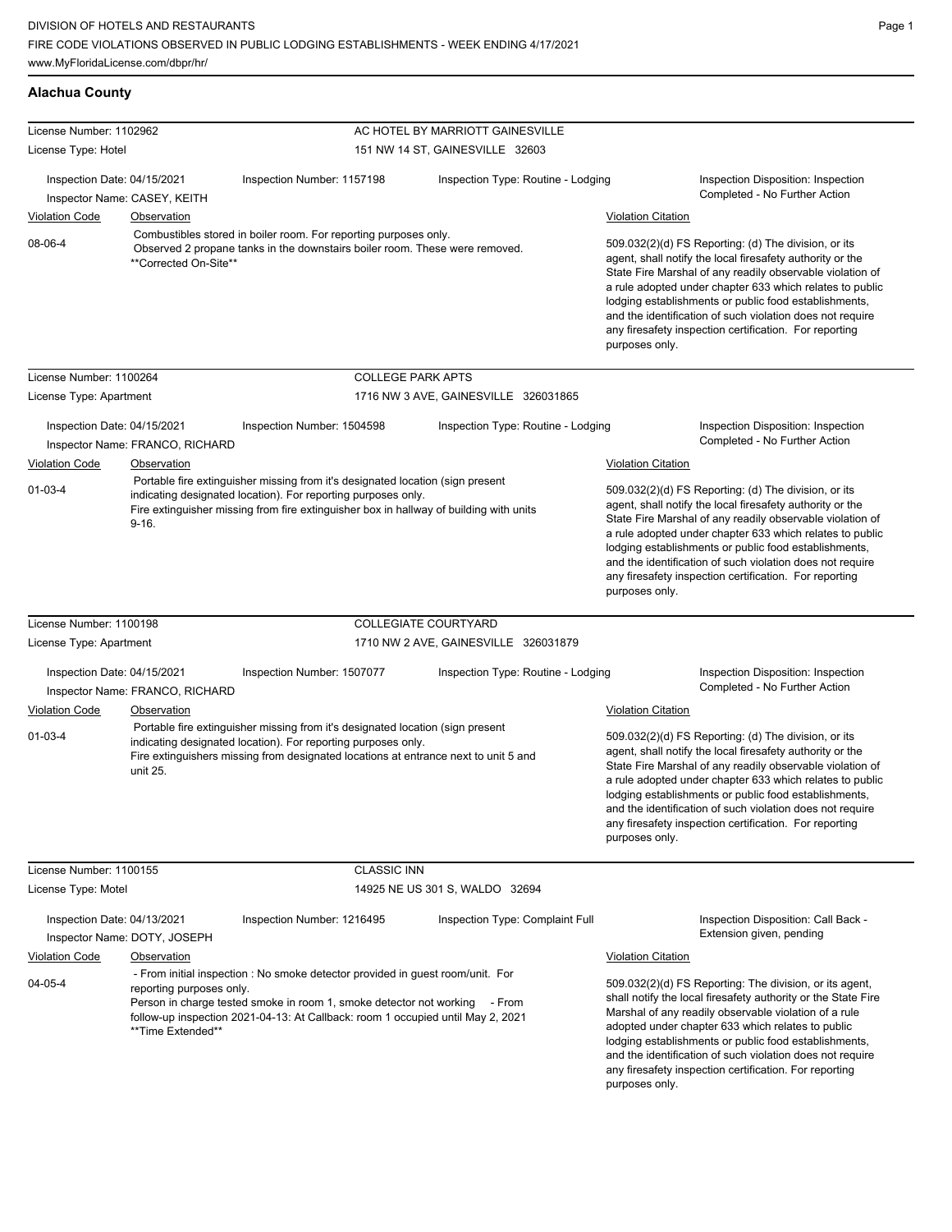## **Alachua County**

| License Number: 1102962                                     |                                               |                                                                                                                                                                                                                                           | AC HOTEL BY MARRIOTT GAINESVILLE     |                                                                                                                                                                                                                                                                                                                                                                                                                                              |
|-------------------------------------------------------------|-----------------------------------------------|-------------------------------------------------------------------------------------------------------------------------------------------------------------------------------------------------------------------------------------------|--------------------------------------|----------------------------------------------------------------------------------------------------------------------------------------------------------------------------------------------------------------------------------------------------------------------------------------------------------------------------------------------------------------------------------------------------------------------------------------------|
| License Type: Hotel                                         |                                               |                                                                                                                                                                                                                                           | 151 NW 14 ST, GAINESVILLE 32603      |                                                                                                                                                                                                                                                                                                                                                                                                                                              |
|                                                             |                                               |                                                                                                                                                                                                                                           |                                      |                                                                                                                                                                                                                                                                                                                                                                                                                                              |
| Inspection Date: 04/15/2021<br>Inspector Name: CASEY, KEITH |                                               | Inspection Number: 1157198                                                                                                                                                                                                                | Inspection Type: Routine - Lodging   | Inspection Disposition: Inspection<br>Completed - No Further Action                                                                                                                                                                                                                                                                                                                                                                          |
| <b>Violation Code</b>                                       | Observation                                   |                                                                                                                                                                                                                                           |                                      | <b>Violation Citation</b>                                                                                                                                                                                                                                                                                                                                                                                                                    |
| 08-06-4                                                     | **Corrected On-Site**                         | Combustibles stored in boiler room. For reporting purposes only.<br>Observed 2 propane tanks in the downstairs boiler room. These were removed.                                                                                           |                                      | 509.032(2)(d) FS Reporting: (d) The division, or its<br>agent, shall notify the local firesafety authority or the<br>State Fire Marshal of any readily observable violation of<br>a rule adopted under chapter 633 which relates to public<br>lodging establishments or public food establishments,<br>and the identification of such violation does not require<br>any firesafety inspection certification. For reporting<br>purposes only. |
| License Number: 1100264                                     |                                               | <b>COLLEGE PARK APTS</b>                                                                                                                                                                                                                  |                                      |                                                                                                                                                                                                                                                                                                                                                                                                                                              |
| License Type: Apartment                                     |                                               |                                                                                                                                                                                                                                           | 1716 NW 3 AVE, GAINESVILLE 326031865 |                                                                                                                                                                                                                                                                                                                                                                                                                                              |
| Inspection Date: 04/15/2021                                 | Inspector Name: FRANCO, RICHARD               | Inspection Number: 1504598                                                                                                                                                                                                                | Inspection Type: Routine - Lodging   | Inspection Disposition: Inspection<br>Completed - No Further Action                                                                                                                                                                                                                                                                                                                                                                          |
| <b>Violation Code</b>                                       | Observation                                   |                                                                                                                                                                                                                                           |                                      | <b>Violation Citation</b>                                                                                                                                                                                                                                                                                                                                                                                                                    |
| $01 - 03 - 4$                                               | $9 - 16.$                                     | Portable fire extinguisher missing from it's designated location (sign present<br>indicating designated location). For reporting purposes only.<br>Fire extinguisher missing from fire extinguisher box in hallway of building with units |                                      | 509.032(2)(d) FS Reporting: (d) The division, or its<br>agent, shall notify the local firesafety authority or the<br>State Fire Marshal of any readily observable violation of<br>a rule adopted under chapter 633 which relates to public<br>lodging establishments or public food establishments,<br>and the identification of such violation does not require<br>any firesafety inspection certification. For reporting<br>purposes only. |
| License Number: 1100198                                     |                                               |                                                                                                                                                                                                                                           | <b>COLLEGIATE COURTYARD</b>          |                                                                                                                                                                                                                                                                                                                                                                                                                                              |
| License Type: Apartment                                     |                                               |                                                                                                                                                                                                                                           | 1710 NW 2 AVE, GAINESVILLE 326031879 |                                                                                                                                                                                                                                                                                                                                                                                                                                              |
| Inspection Date: 04/15/2021                                 | Inspector Name: FRANCO, RICHARD               | Inspection Number: 1507077                                                                                                                                                                                                                | Inspection Type: Routine - Lodging   | Inspection Disposition: Inspection<br>Completed - No Further Action                                                                                                                                                                                                                                                                                                                                                                          |
| <b>Violation Code</b>                                       | <b>Observation</b>                            |                                                                                                                                                                                                                                           |                                      | <b>Violation Citation</b>                                                                                                                                                                                                                                                                                                                                                                                                                    |
| $01 - 03 - 4$                                               | unit 25.                                      | Portable fire extinguisher missing from it's designated location (sign present<br>indicating designated location). For reporting purposes only.<br>Fire extinguishers missing from designated locations at entrance next to unit 5 and    |                                      | 509.032(2)(d) FS Reporting: (d) The division, or its<br>agent, shall notify the local firesafety authority or the<br>State Fire Marshal of any readily observable violation of<br>a rule adopted under chapter 633 which relates to public<br>lodging establishments or public food establishments,<br>and the identification of such violation does not require<br>any firesafety inspection certification. For reporting<br>purposes only. |
| License Number: 1100155                                     |                                               | <b>CLASSIC INN</b>                                                                                                                                                                                                                        |                                      |                                                                                                                                                                                                                                                                                                                                                                                                                                              |
| License Type: Motel                                         |                                               |                                                                                                                                                                                                                                           | 14925 NE US 301 S, WALDO 32694       |                                                                                                                                                                                                                                                                                                                                                                                                                                              |
| Inspection Date: 04/13/2021                                 | Inspector Name: DOTY, JOSEPH                  | Inspection Number: 1216495                                                                                                                                                                                                                | Inspection Type: Complaint Full      | Inspection Disposition: Call Back -<br>Extension given, pending                                                                                                                                                                                                                                                                                                                                                                              |
| <b>Violation Code</b>                                       | <b>Observation</b>                            |                                                                                                                                                                                                                                           |                                      | <b>Violation Citation</b>                                                                                                                                                                                                                                                                                                                                                                                                                    |
| 04-05-4                                                     | reporting purposes only.<br>**Time Extended** | - From initial inspection : No smoke detector provided in guest room/unit. For<br>Person in charge tested smoke in room 1, smoke detector not working<br>follow-up inspection 2021-04-13: At Callback: room 1 occupied until May 2, 2021  | - From                               | 509.032(2)(d) FS Reporting: The division, or its agent,<br>shall notify the local firesafety authority or the State Fire<br>Marshal of any readily observable violation of a rule<br>adopted under chapter 633 which relates to public<br>lodging establishments or public food establishments,<br>and the identification of such violation does not require<br>any firesafety inspection certification. For reporting<br>purposes only.     |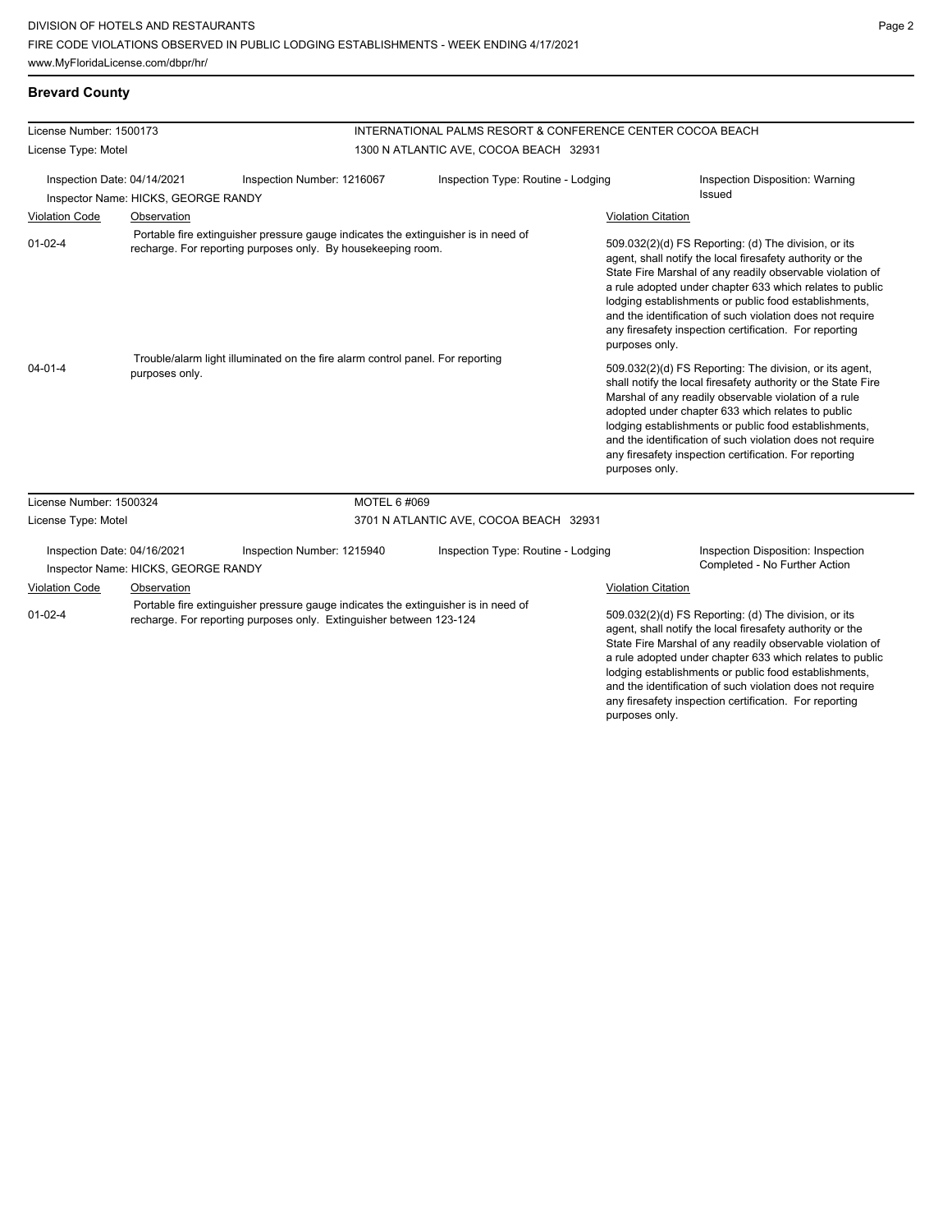## **Brevard County**

| License Number: 1500173                                                                                           |                                     | INTERNATIONAL PALMS RESORT & CONFERENCE CENTER COCOA BEACH                                                                                                |                                                                                                                                                                                                                                                                                                                                                                                                                                          |  |                                                                                                                                                                                                                                                                                                                                                                                                                                              |  |
|-------------------------------------------------------------------------------------------------------------------|-------------------------------------|-----------------------------------------------------------------------------------------------------------------------------------------------------------|------------------------------------------------------------------------------------------------------------------------------------------------------------------------------------------------------------------------------------------------------------------------------------------------------------------------------------------------------------------------------------------------------------------------------------------|--|----------------------------------------------------------------------------------------------------------------------------------------------------------------------------------------------------------------------------------------------------------------------------------------------------------------------------------------------------------------------------------------------------------------------------------------------|--|
| License Type: Motel                                                                                               |                                     |                                                                                                                                                           | 1300 N ATLANTIC AVE, COCOA BEACH 32931                                                                                                                                                                                                                                                                                                                                                                                                   |  |                                                                                                                                                                                                                                                                                                                                                                                                                                              |  |
| Inspection Date: 04/14/2021<br>Inspector Name: HICKS, GEORGE RANDY                                                |                                     | Inspection Number: 1216067                                                                                                                                | Inspection Type: Routine - Lodging                                                                                                                                                                                                                                                                                                                                                                                                       |  | Inspection Disposition: Warning<br>Issued                                                                                                                                                                                                                                                                                                                                                                                                    |  |
| <b>Violation Code</b>                                                                                             | Observation                         |                                                                                                                                                           |                                                                                                                                                                                                                                                                                                                                                                                                                                          |  | <b>Violation Citation</b>                                                                                                                                                                                                                                                                                                                                                                                                                    |  |
| $01 - 02 - 4$                                                                                                     |                                     | Portable fire extinguisher pressure gauge indicates the extinguisher is in need of<br>recharge. For reporting purposes only. By housekeeping room.        |                                                                                                                                                                                                                                                                                                                                                                                                                                          |  | 509.032(2)(d) FS Reporting: (d) The division, or its<br>agent, shall notify the local firesafety authority or the<br>State Fire Marshal of any readily observable violation of<br>a rule adopted under chapter 633 which relates to public<br>lodging establishments or public food establishments,<br>and the identification of such violation does not require<br>any firesafety inspection certification. For reporting<br>purposes only. |  |
| Trouble/alarm light illuminated on the fire alarm control panel. For reporting<br>$04 - 01 - 4$<br>purposes only. |                                     |                                                                                                                                                           | 509.032(2)(d) FS Reporting: The division, or its agent,<br>shall notify the local firesafety authority or the State Fire<br>Marshal of any readily observable violation of a rule<br>adopted under chapter 633 which relates to public<br>lodging establishments or public food establishments,<br>and the identification of such violation does not require<br>any firesafety inspection certification. For reporting<br>purposes only. |  |                                                                                                                                                                                                                                                                                                                                                                                                                                              |  |
| License Number: 1500324                                                                                           |                                     | MOTEL 6 #069                                                                                                                                              |                                                                                                                                                                                                                                                                                                                                                                                                                                          |  |                                                                                                                                                                                                                                                                                                                                                                                                                                              |  |
| License Type: Motel                                                                                               |                                     |                                                                                                                                                           | 3701 N ATLANTIC AVE, COCOA BEACH 32931                                                                                                                                                                                                                                                                                                                                                                                                   |  |                                                                                                                                                                                                                                                                                                                                                                                                                                              |  |
| Inspection Date: 04/16/2021                                                                                       | Inspector Name: HICKS, GEORGE RANDY | Inspection Number: 1215940                                                                                                                                | Inspection Type: Routine - Lodging                                                                                                                                                                                                                                                                                                                                                                                                       |  | Inspection Disposition: Inspection<br>Completed - No Further Action                                                                                                                                                                                                                                                                                                                                                                          |  |
| <b>Violation Code</b>                                                                                             | Observation                         |                                                                                                                                                           |                                                                                                                                                                                                                                                                                                                                                                                                                                          |  | <b>Violation Citation</b>                                                                                                                                                                                                                                                                                                                                                                                                                    |  |
| $01 - 02 - 4$                                                                                                     |                                     | Portable fire extinguisher pressure gauge indicates the extinguisher is in need of<br>recharge. For reporting purposes only. Extinguisher between 123-124 |                                                                                                                                                                                                                                                                                                                                                                                                                                          |  | 509.032(2)(d) FS Reporting: (d) The division, or its<br>agent, shall notify the local firesafety authority or the<br>State Fire Marshal of any readily observable violation of<br>a rule adopted under chapter 633 which relates to public<br>lodging establishments or public food establishments,<br>and the identification of such violation does not require<br>any firesafety inspection certification. For reporting                   |  |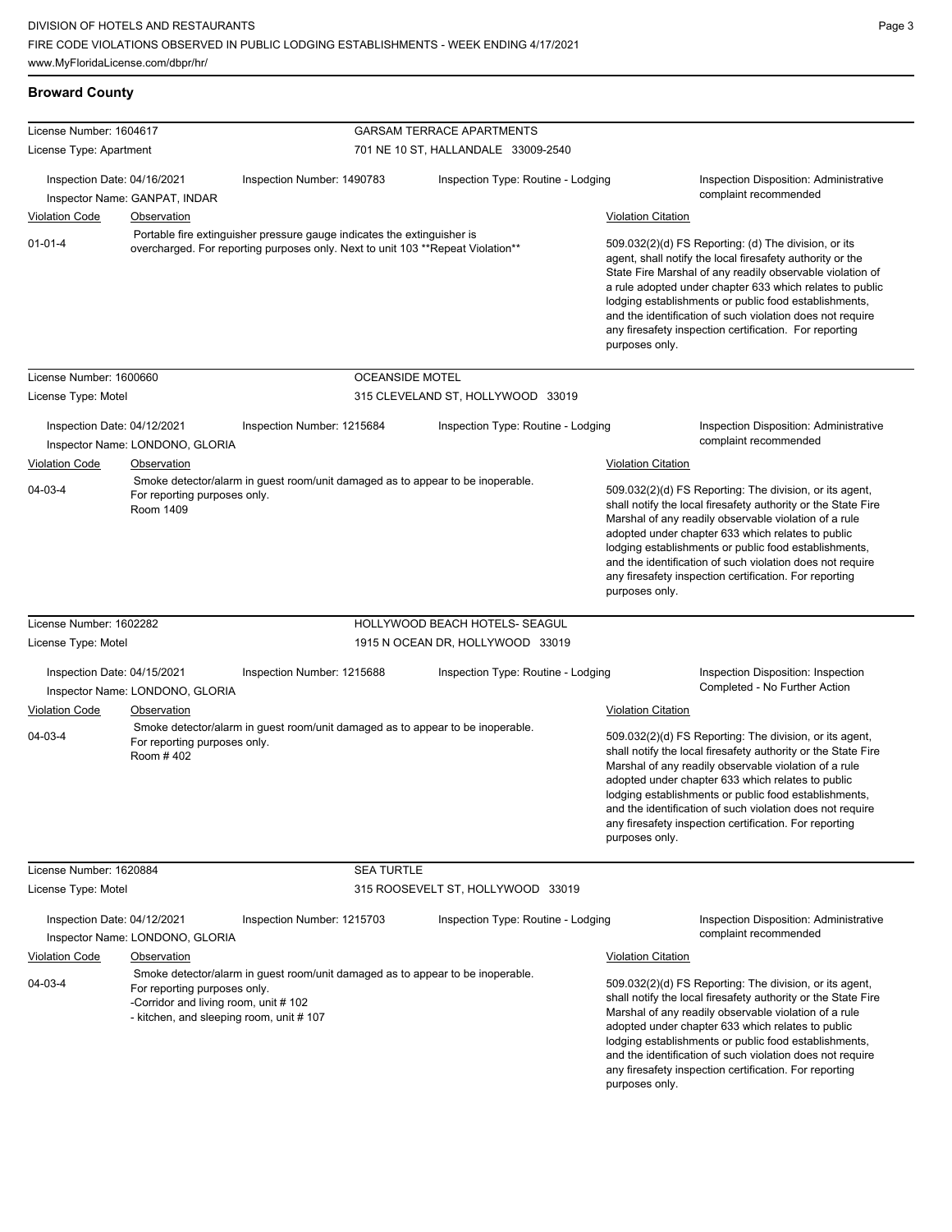## **Broward County**

| License Number: 1604617     |                                                                                                                 |                                                                                                                                                             | <b>GARSAM TERRACE APARTMENTS</b>    |                                                                                                                                                                                                                                                                                                                                                                                                                                              |
|-----------------------------|-----------------------------------------------------------------------------------------------------------------|-------------------------------------------------------------------------------------------------------------------------------------------------------------|-------------------------------------|----------------------------------------------------------------------------------------------------------------------------------------------------------------------------------------------------------------------------------------------------------------------------------------------------------------------------------------------------------------------------------------------------------------------------------------------|
| License Type: Apartment     |                                                                                                                 |                                                                                                                                                             | 701 NE 10 ST, HALLANDALE 33009-2540 |                                                                                                                                                                                                                                                                                                                                                                                                                                              |
| Inspection Date: 04/16/2021 | Inspector Name: GANPAT, INDAR                                                                                   | Inspection Number: 1490783                                                                                                                                  | Inspection Type: Routine - Lodging  | Inspection Disposition: Administrative<br>complaint recommended                                                                                                                                                                                                                                                                                                                                                                              |
| <b>Violation Code</b>       | Observation                                                                                                     |                                                                                                                                                             |                                     | <b>Violation Citation</b>                                                                                                                                                                                                                                                                                                                                                                                                                    |
| $01 - 01 - 4$               |                                                                                                                 | Portable fire extinguisher pressure gauge indicates the extinguisher is<br>overcharged. For reporting purposes only. Next to unit 103 ** Repeat Violation** |                                     | 509.032(2)(d) FS Reporting: (d) The division, or its<br>agent, shall notify the local firesafety authority or the<br>State Fire Marshal of any readily observable violation of<br>a rule adopted under chapter 633 which relates to public<br>lodging establishments or public food establishments,<br>and the identification of such violation does not require<br>any firesafety inspection certification. For reporting<br>purposes only. |
| License Number: 1600660     |                                                                                                                 | <b>OCEANSIDE MOTEL</b>                                                                                                                                      |                                     |                                                                                                                                                                                                                                                                                                                                                                                                                                              |
| License Type: Motel         |                                                                                                                 |                                                                                                                                                             | 315 CLEVELAND ST, HOLLYWOOD 33019   |                                                                                                                                                                                                                                                                                                                                                                                                                                              |
| Inspection Date: 04/12/2021 | Inspector Name: LONDONO, GLORIA                                                                                 | Inspection Number: 1215684                                                                                                                                  | Inspection Type: Routine - Lodging  | <b>Inspection Disposition: Administrative</b><br>complaint recommended                                                                                                                                                                                                                                                                                                                                                                       |
| <b>Violation Code</b>       | <b>Observation</b>                                                                                              |                                                                                                                                                             |                                     | <b>Violation Citation</b>                                                                                                                                                                                                                                                                                                                                                                                                                    |
| 04-03-4                     | For reporting purposes only.<br>Room 1409                                                                       | Smoke detector/alarm in guest room/unit damaged as to appear to be inoperable.                                                                              |                                     | 509.032(2)(d) FS Reporting: The division, or its agent,<br>shall notify the local firesafety authority or the State Fire<br>Marshal of any readily observable violation of a rule<br>adopted under chapter 633 which relates to public<br>lodging establishments or public food establishments,<br>and the identification of such violation does not require<br>any firesafety inspection certification. For reporting<br>purposes only.     |
| License Number: 1602282     |                                                                                                                 |                                                                                                                                                             | HOLLYWOOD BEACH HOTELS- SEAGUL      |                                                                                                                                                                                                                                                                                                                                                                                                                                              |
| License Type: Motel         |                                                                                                                 |                                                                                                                                                             | 1915 N OCEAN DR, HOLLYWOOD 33019    |                                                                                                                                                                                                                                                                                                                                                                                                                                              |
| Inspection Date: 04/15/2021 | Inspector Name: LONDONO, GLORIA                                                                                 | Inspection Number: 1215688                                                                                                                                  | Inspection Type: Routine - Lodging  | Inspection Disposition: Inspection<br>Completed - No Further Action                                                                                                                                                                                                                                                                                                                                                                          |
| <b>Violation Code</b>       | Observation                                                                                                     |                                                                                                                                                             |                                     | <b>Violation Citation</b>                                                                                                                                                                                                                                                                                                                                                                                                                    |
| 04-03-4                     | For reporting purposes only.<br>Room #402                                                                       | Smoke detector/alarm in guest room/unit damaged as to appear to be inoperable.                                                                              |                                     | 509.032(2)(d) FS Reporting: The division, or its agent,<br>shall notify the local firesafety authority or the State Fire<br>Marshal of any readily observable violation of a rule<br>adopted under chapter 633 which relates to public<br>lodging establishments or public food establishments,<br>and the identification of such violation does not require<br>any firesafety inspection certification. For reporting<br>purposes only.     |
| License Number: 1620884     |                                                                                                                 | <b>SEA TURTLE</b>                                                                                                                                           |                                     |                                                                                                                                                                                                                                                                                                                                                                                                                                              |
| License Type: Motel         |                                                                                                                 |                                                                                                                                                             | 315 ROOSEVELT ST, HOLLYWOOD 33019   |                                                                                                                                                                                                                                                                                                                                                                                                                                              |
| Inspection Date: 04/12/2021 | Inspector Name: LONDONO, GLORIA                                                                                 | Inspection Number: 1215703                                                                                                                                  | Inspection Type: Routine - Lodging  | <b>Inspection Disposition: Administrative</b><br>complaint recommended                                                                                                                                                                                                                                                                                                                                                                       |
| <b>Violation Code</b>       | Observation                                                                                                     |                                                                                                                                                             |                                     | <b>Violation Citation</b>                                                                                                                                                                                                                                                                                                                                                                                                                    |
| 04-03-4                     | For reporting purposes only.<br>-Corridor and living room, unit #102<br>- kitchen, and sleeping room, unit #107 | Smoke detector/alarm in guest room/unit damaged as to appear to be inoperable.                                                                              |                                     | 509.032(2)(d) FS Reporting: The division, or its agent,<br>shall notify the local firesafety authority or the State Fire<br>Marshal of any readily observable violation of a rule<br>adopted under chapter 633 which relates to public<br>lodging establishments or public food establishments,<br>and the identification of such violation does not require<br>any firesafety inspection certification. For reporting<br>purposes only.     |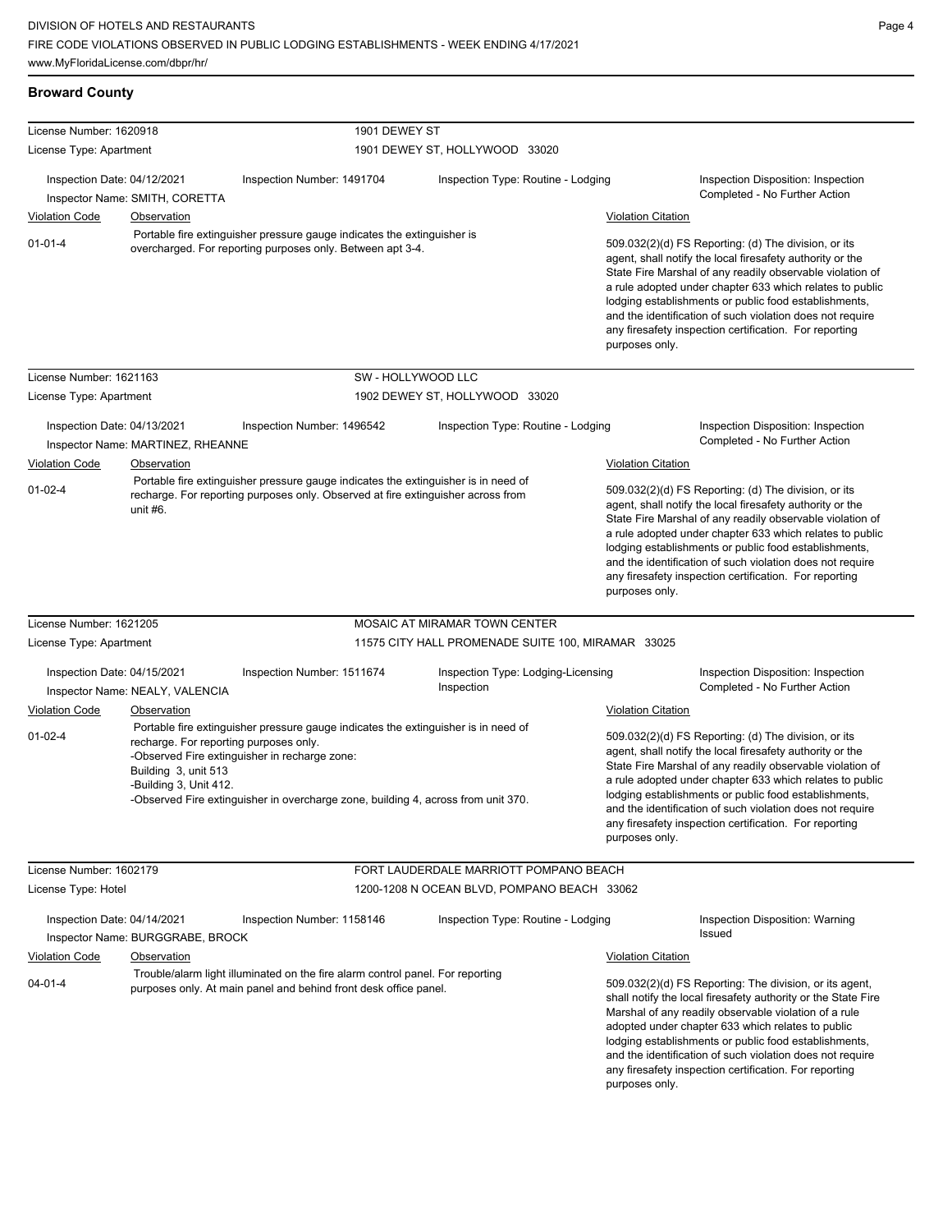**Broward County**

| License Number: 1620918     |                                                                                          |                                                                                                                                                                                                                          | 1901 DEWEY ST                                      |                           |                                                                                                                                                                                                                                                                                                                                                                                                                            |  |
|-----------------------------|------------------------------------------------------------------------------------------|--------------------------------------------------------------------------------------------------------------------------------------------------------------------------------------------------------------------------|----------------------------------------------------|---------------------------|----------------------------------------------------------------------------------------------------------------------------------------------------------------------------------------------------------------------------------------------------------------------------------------------------------------------------------------------------------------------------------------------------------------------------|--|
| License Type: Apartment     |                                                                                          |                                                                                                                                                                                                                          | 1901 DEWEY ST, HOLLYWOOD 33020                     |                           |                                                                                                                                                                                                                                                                                                                                                                                                                            |  |
| Inspection Date: 04/12/2021 | Inspector Name: SMITH, CORETTA                                                           | Inspection Number: 1491704                                                                                                                                                                                               | Inspection Type: Routine - Lodging                 |                           | Inspection Disposition: Inspection<br>Completed - No Further Action                                                                                                                                                                                                                                                                                                                                                        |  |
| <b>Violation Code</b>       | <b>Observation</b>                                                                       |                                                                                                                                                                                                                          |                                                    | <b>Violation Citation</b> |                                                                                                                                                                                                                                                                                                                                                                                                                            |  |
| $01 - 01 - 4$               |                                                                                          | Portable fire extinguisher pressure gauge indicates the extinguisher is<br>overcharged. For reporting purposes only. Between apt 3-4.                                                                                    |                                                    | purposes only.            | 509.032(2)(d) FS Reporting: (d) The division, or its<br>agent, shall notify the local firesafety authority or the<br>State Fire Marshal of any readily observable violation of<br>a rule adopted under chapter 633 which relates to public<br>lodging establishments or public food establishments,<br>and the identification of such violation does not require<br>any firesafety inspection certification. For reporting |  |
| License Number: 1621163     |                                                                                          | SW - HOLLYWOOD LLC                                                                                                                                                                                                       |                                                    |                           |                                                                                                                                                                                                                                                                                                                                                                                                                            |  |
| License Type: Apartment     |                                                                                          |                                                                                                                                                                                                                          | 1902 DEWEY ST, HOLLYWOOD 33020                     |                           |                                                                                                                                                                                                                                                                                                                                                                                                                            |  |
| Inspection Date: 04/13/2021 | Inspector Name: MARTINEZ, RHEANNE                                                        | Inspection Number: 1496542                                                                                                                                                                                               | Inspection Type: Routine - Lodging                 |                           | Inspection Disposition: Inspection<br>Completed - No Further Action                                                                                                                                                                                                                                                                                                                                                        |  |
| <b>Violation Code</b>       | <b>Observation</b>                                                                       |                                                                                                                                                                                                                          |                                                    | <b>Violation Citation</b> |                                                                                                                                                                                                                                                                                                                                                                                                                            |  |
| $01 - 02 - 4$               | unit #6.                                                                                 | Portable fire extinguisher pressure gauge indicates the extinguisher is in need of<br>recharge. For reporting purposes only. Observed at fire extinguisher across from                                                   |                                                    | purposes only.            | 509.032(2)(d) FS Reporting: (d) The division, or its<br>agent, shall notify the local firesafety authority or the<br>State Fire Marshal of any readily observable violation of<br>a rule adopted under chapter 633 which relates to public<br>lodging establishments or public food establishments,<br>and the identification of such violation does not require<br>any firesafety inspection certification. For reporting |  |
| License Number: 1621205     |                                                                                          |                                                                                                                                                                                                                          | MOSAIC AT MIRAMAR TOWN CENTER                      |                           |                                                                                                                                                                                                                                                                                                                                                                                                                            |  |
| License Type: Apartment     |                                                                                          |                                                                                                                                                                                                                          | 11575 CITY HALL PROMENADE SUITE 100, MIRAMAR 33025 |                           |                                                                                                                                                                                                                                                                                                                                                                                                                            |  |
| Inspection Date: 04/15/2021 | Inspector Name: NEALY, VALENCIA                                                          | Inspection Number: 1511674                                                                                                                                                                                               | Inspection Type: Lodging-Licensing<br>Inspection   |                           | Inspection Disposition: Inspection<br>Completed - No Further Action                                                                                                                                                                                                                                                                                                                                                        |  |
| <b>Violation Code</b>       | Observation                                                                              |                                                                                                                                                                                                                          |                                                    | <b>Violation Citation</b> |                                                                                                                                                                                                                                                                                                                                                                                                                            |  |
| $01 - 02 - 4$               | recharge. For reporting purposes only.<br>Building 3, unit 513<br>-Building 3, Unit 412. | Portable fire extinguisher pressure gauge indicates the extinguisher is in need of<br>-Observed Fire extinguisher in recharge zone:<br>-Observed Fire extinguisher in overcharge zone, building 4, across from unit 370. |                                                    | purposes only.            | 509.032(2)(d) FS Reporting: (d) The division, or its<br>agent, shall notify the local firesafety authority or the<br>State Fire Marshal of any readily observable violation of<br>a rule adopted under chapter 633 which relates to public<br>lodging establishments or public food establishments,<br>and the identification of such violation does not require<br>any firesafety inspection certification. For reporting |  |
| License Number: 1602179     |                                                                                          |                                                                                                                                                                                                                          | FORT LAUDERDALE MARRIOTT POMPANO BEACH             |                           |                                                                                                                                                                                                                                                                                                                                                                                                                            |  |
| License Type: Hotel         |                                                                                          |                                                                                                                                                                                                                          | 1200-1208 N OCEAN BLVD, POMPANO BEACH 33062        |                           |                                                                                                                                                                                                                                                                                                                                                                                                                            |  |
| Inspection Date: 04/14/2021 | Inspector Name: BURGGRABE, BROCK                                                         | Inspection Number: 1158146                                                                                                                                                                                               | Inspection Type: Routine - Lodging                 |                           | Inspection Disposition: Warning<br>Issued                                                                                                                                                                                                                                                                                                                                                                                  |  |
| <b>Violation Code</b>       | <b>Observation</b>                                                                       |                                                                                                                                                                                                                          |                                                    | <b>Violation Citation</b> |                                                                                                                                                                                                                                                                                                                                                                                                                            |  |
| $04 - 01 - 4$               |                                                                                          | Trouble/alarm light illuminated on the fire alarm control panel. For reporting<br>purposes only. At main panel and behind front desk office panel.                                                                       |                                                    | purposes only.            | 509.032(2)(d) FS Reporting: The division, or its agent,<br>shall notify the local firesafety authority or the State Fire<br>Marshal of any readily observable violation of a rule<br>adopted under chapter 633 which relates to public<br>lodging establishments or public food establishments,<br>and the identification of such violation does not require<br>any firesafety inspection certification. For reporting     |  |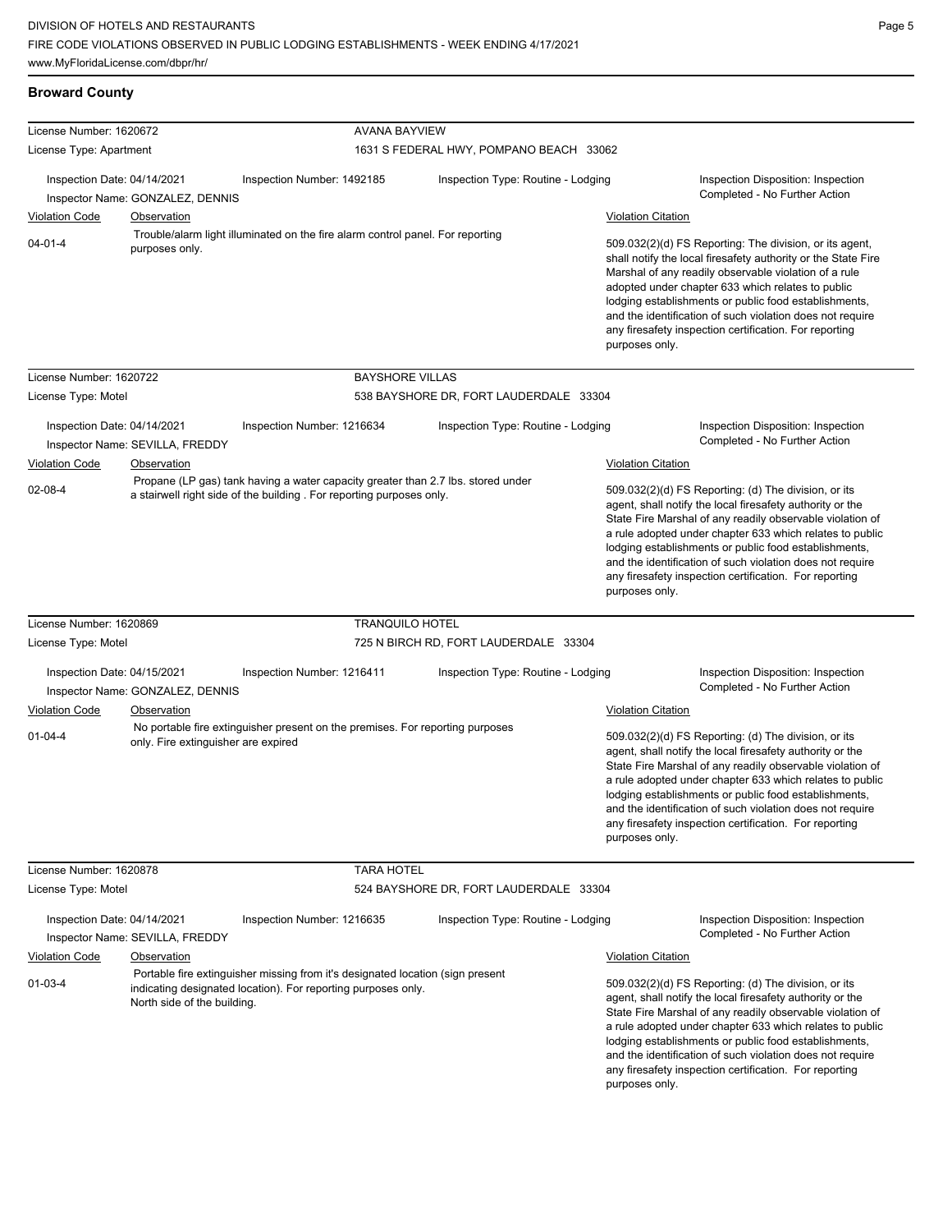| License Number: 1620672                                         |                                     | <b>AVANA BAYVIEW</b>                                                                                                                                     |                                         |                                                                                                                                                                                                                                                                                                                                                                                                                                              |
|-----------------------------------------------------------------|-------------------------------------|----------------------------------------------------------------------------------------------------------------------------------------------------------|-----------------------------------------|----------------------------------------------------------------------------------------------------------------------------------------------------------------------------------------------------------------------------------------------------------------------------------------------------------------------------------------------------------------------------------------------------------------------------------------------|
| License Type: Apartment                                         |                                     |                                                                                                                                                          | 1631 S FEDERAL HWY, POMPANO BEACH 33062 |                                                                                                                                                                                                                                                                                                                                                                                                                                              |
| Inspection Date: 04/14/2021<br>Inspector Name: GONZALEZ, DENNIS |                                     | Inspection Number: 1492185                                                                                                                               | Inspection Type: Routine - Lodging      | Inspection Disposition: Inspection<br>Completed - No Further Action                                                                                                                                                                                                                                                                                                                                                                          |
| <b>Violation Code</b><br>Observation                            |                                     |                                                                                                                                                          |                                         | <b>Violation Citation</b>                                                                                                                                                                                                                                                                                                                                                                                                                    |
| $04 - 01 - 4$                                                   | purposes only.                      | Trouble/alarm light illuminated on the fire alarm control panel. For reporting                                                                           |                                         | 509.032(2)(d) FS Reporting: The division, or its agent,<br>shall notify the local firesafety authority or the State Fire<br>Marshal of any readily observable violation of a rule<br>adopted under chapter 633 which relates to public<br>lodging establishments or public food establishments,<br>and the identification of such violation does not require<br>any firesafety inspection certification. For reporting<br>purposes only.     |
| License Number: 1620722                                         |                                     | <b>BAYSHORE VILLAS</b>                                                                                                                                   |                                         |                                                                                                                                                                                                                                                                                                                                                                                                                                              |
| License Type: Motel                                             |                                     |                                                                                                                                                          | 538 BAYSHORE DR, FORT LAUDERDALE 33304  |                                                                                                                                                                                                                                                                                                                                                                                                                                              |
| Inspection Date: 04/14/2021                                     | Inspector Name: SEVILLA, FREDDY     | Inspection Number: 1216634                                                                                                                               | Inspection Type: Routine - Lodging      | Inspection Disposition: Inspection<br>Completed - No Further Action                                                                                                                                                                                                                                                                                                                                                                          |
| <b>Violation Code</b>                                           | Observation                         |                                                                                                                                                          |                                         | <b>Violation Citation</b>                                                                                                                                                                                                                                                                                                                                                                                                                    |
| $02 - 08 - 4$                                                   |                                     | Propane (LP gas) tank having a water capacity greater than 2.7 lbs. stored under<br>a stairwell right side of the building. For reporting purposes only. |                                         | 509.032(2)(d) FS Reporting: (d) The division, or its<br>agent, shall notify the local firesafety authority or the<br>State Fire Marshal of any readily observable violation of<br>a rule adopted under chapter 633 which relates to public<br>lodging establishments or public food establishments,<br>and the identification of such violation does not require<br>any firesafety inspection certification. For reporting<br>purposes only. |
| License Number: 1620869                                         |                                     | <b>TRANQUILO HOTEL</b>                                                                                                                                   |                                         |                                                                                                                                                                                                                                                                                                                                                                                                                                              |
| License Type: Motel                                             |                                     |                                                                                                                                                          | 725 N BIRCH RD, FORT LAUDERDALE 33304   |                                                                                                                                                                                                                                                                                                                                                                                                                                              |
| Inspection Date: 04/15/2021                                     | Inspector Name: GONZALEZ, DENNIS    | Inspection Number: 1216411                                                                                                                               | Inspection Type: Routine - Lodging      | Inspection Disposition: Inspection<br>Completed - No Further Action                                                                                                                                                                                                                                                                                                                                                                          |
| Violation Code                                                  | Observation                         |                                                                                                                                                          |                                         | <b>Violation Citation</b>                                                                                                                                                                                                                                                                                                                                                                                                                    |
| $01 - 04 - 4$                                                   | only. Fire extinguisher are expired | No portable fire extinguisher present on the premises. For reporting purposes                                                                            |                                         | 509.032(2)(d) FS Reporting: (d) The division, or its<br>agent, shall notify the local firesafety authority or the<br>State Fire Marshal of any readily observable violation of<br>a rule adopted under chapter 633 which relates to public<br>lodging establishments or public food establishments,<br>and the identification of such violation does not require<br>any firesafety inspection certification. For reporting<br>purposes only. |
| License Number: 1620878                                         |                                     | <b>TARA HOTEL</b>                                                                                                                                        |                                         |                                                                                                                                                                                                                                                                                                                                                                                                                                              |
| License Type: Motel                                             |                                     |                                                                                                                                                          | 524 BAYSHORE DR, FORT LAUDERDALE 33304  |                                                                                                                                                                                                                                                                                                                                                                                                                                              |
| Inspection Date: 04/14/2021                                     | Inspector Name: SEVILLA, FREDDY     | Inspection Number: 1216635                                                                                                                               | Inspection Type: Routine - Lodging      | Inspection Disposition: Inspection<br>Completed - No Further Action                                                                                                                                                                                                                                                                                                                                                                          |
| <b>Violation Code</b>                                           | <b>Observation</b>                  |                                                                                                                                                          |                                         | <b>Violation Citation</b>                                                                                                                                                                                                                                                                                                                                                                                                                    |
| $01 - 03 - 4$                                                   | North side of the building.         | Portable fire extinguisher missing from it's designated location (sign present<br>indicating designated location). For reporting purposes only.          |                                         | 509.032(2)(d) FS Reporting: (d) The division, or its<br>agent, shall notify the local firesafety authority or the<br>State Fire Marshal of any readily observable violation of<br>a rule adopted under chapter 633 which relates to public<br>lodging establishments or public food establishments,<br>and the identification of such violation does not require<br>any firesafety inspection certification. For reporting<br>purposes only. |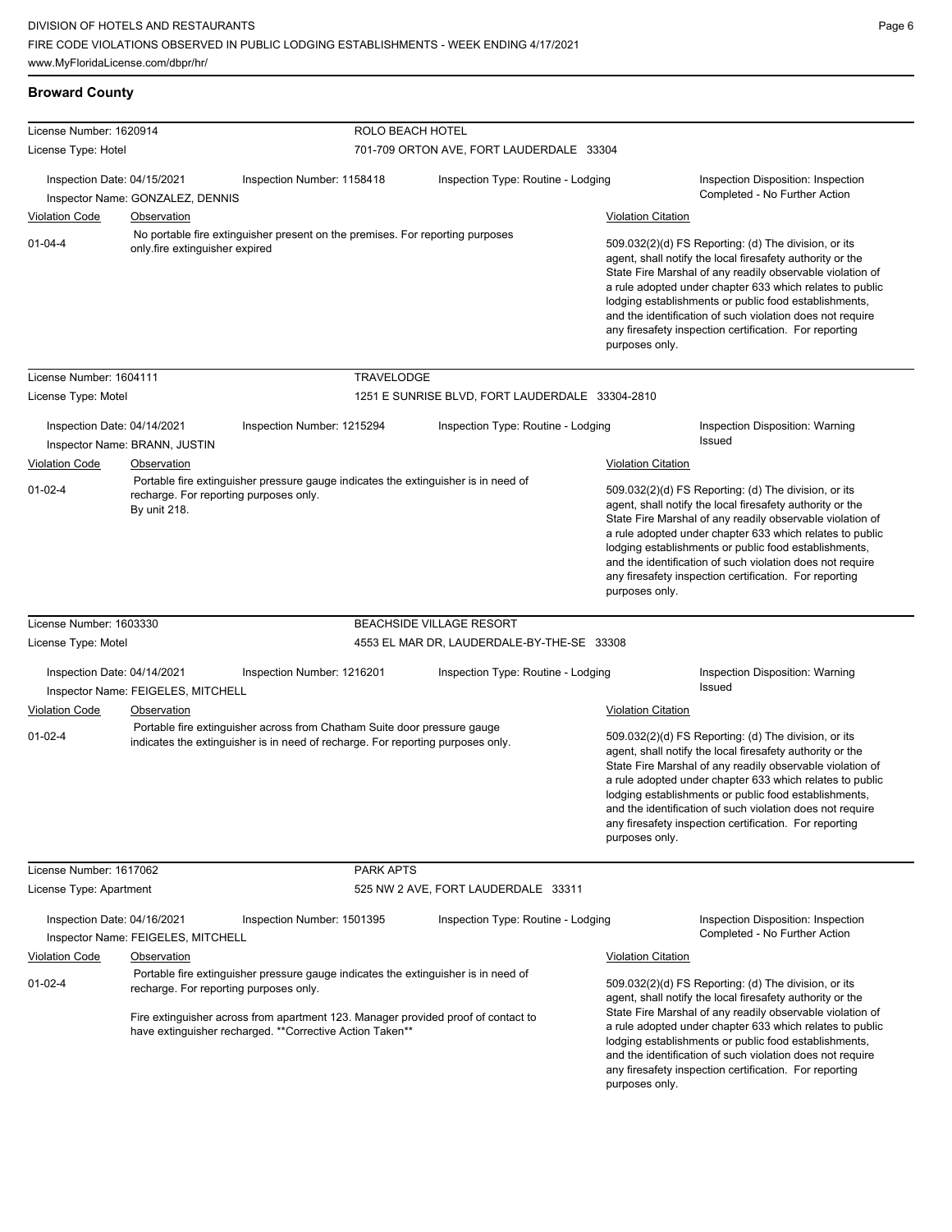## **Broward County**

| License Number: 1620914                                         |                                    | ROLO BEACH HOTEL                                                                                                                                                                                                                                                               |                                                 |                                                                                                                                                                                                                                                                                                                                                                                                                                              |  |
|-----------------------------------------------------------------|------------------------------------|--------------------------------------------------------------------------------------------------------------------------------------------------------------------------------------------------------------------------------------------------------------------------------|-------------------------------------------------|----------------------------------------------------------------------------------------------------------------------------------------------------------------------------------------------------------------------------------------------------------------------------------------------------------------------------------------------------------------------------------------------------------------------------------------------|--|
| License Type: Hotel                                             |                                    |                                                                                                                                                                                                                                                                                | 701-709 ORTON AVE, FORT LAUDERDALE 33304        |                                                                                                                                                                                                                                                                                                                                                                                                                                              |  |
| Inspection Date: 04/15/2021<br>Inspector Name: GONZALEZ, DENNIS |                                    | Inspection Number: 1158418                                                                                                                                                                                                                                                     | Inspection Type: Routine - Lodging              | Inspection Disposition: Inspection<br>Completed - No Further Action                                                                                                                                                                                                                                                                                                                                                                          |  |
| <b>Violation Code</b>                                           | Observation                        |                                                                                                                                                                                                                                                                                |                                                 | <b>Violation Citation</b>                                                                                                                                                                                                                                                                                                                                                                                                                    |  |
| $01 - 04 - 4$                                                   | only fire extinguisher expired     | No portable fire extinguisher present on the premises. For reporting purposes                                                                                                                                                                                                  |                                                 | 509.032(2)(d) FS Reporting: (d) The division, or its<br>agent, shall notify the local firesafety authority or the<br>State Fire Marshal of any readily observable violation of<br>a rule adopted under chapter 633 which relates to public<br>lodging establishments or public food establishments,<br>and the identification of such violation does not require<br>any firesafety inspection certification. For reporting<br>purposes only. |  |
| License Number: 1604111                                         |                                    | TRAVELODGE                                                                                                                                                                                                                                                                     |                                                 |                                                                                                                                                                                                                                                                                                                                                                                                                                              |  |
| License Type: Motel                                             |                                    |                                                                                                                                                                                                                                                                                | 1251 E SUNRISE BLVD, FORT LAUDERDALE 33304-2810 |                                                                                                                                                                                                                                                                                                                                                                                                                                              |  |
| Inspection Date: 04/14/2021                                     | Inspector Name: BRANN, JUSTIN      | Inspection Number: 1215294                                                                                                                                                                                                                                                     | Inspection Type: Routine - Lodging              | Inspection Disposition: Warning<br>Issued                                                                                                                                                                                                                                                                                                                                                                                                    |  |
| <b>Violation Code</b>                                           | Observation                        |                                                                                                                                                                                                                                                                                |                                                 | <b>Violation Citation</b>                                                                                                                                                                                                                                                                                                                                                                                                                    |  |
| $01 - 02 - 4$                                                   | By unit 218.                       | Portable fire extinguisher pressure gauge indicates the extinguisher is in need of<br>recharge. For reporting purposes only.                                                                                                                                                   |                                                 | 509.032(2)(d) FS Reporting: (d) The division, or its<br>agent, shall notify the local firesafety authority or the<br>State Fire Marshal of any readily observable violation of<br>a rule adopted under chapter 633 which relates to public<br>lodging establishments or public food establishments,<br>and the identification of such violation does not require<br>any firesafety inspection certification. For reporting<br>purposes only. |  |
| License Number: 1603330                                         |                                    |                                                                                                                                                                                                                                                                                | <b>BEACHSIDE VILLAGE RESORT</b>                 |                                                                                                                                                                                                                                                                                                                                                                                                                                              |  |
| License Type: Motel                                             |                                    |                                                                                                                                                                                                                                                                                | 4553 EL MAR DR, LAUDERDALE-BY-THE-SE 33308      |                                                                                                                                                                                                                                                                                                                                                                                                                                              |  |
| Inspection Date: 04/14/2021                                     | Inspector Name: FEIGELES, MITCHELL | Inspection Number: 1216201                                                                                                                                                                                                                                                     | Inspection Type: Routine - Lodging              | Inspection Disposition: Warning<br>Issued                                                                                                                                                                                                                                                                                                                                                                                                    |  |
| <b>Violation Code</b>                                           | Observation                        |                                                                                                                                                                                                                                                                                |                                                 | <b>Violation Citation</b>                                                                                                                                                                                                                                                                                                                                                                                                                    |  |
| $01 - 02 - 4$                                                   |                                    | Portable fire extinguisher across from Chatham Suite door pressure gauge<br>indicates the extinguisher is in need of recharge. For reporting purposes only.                                                                                                                    |                                                 | 509.032(2)(d) FS Reporting: (d) The division, or its<br>agent, shall notify the local firesafety authority or the<br>State Fire Marshal of any readily observable violation of<br>a rule adopted under chapter 633 which relates to public<br>lodging establishments or public food establishments,<br>and the identification of such violation does not require<br>any firesafety inspection certification. For reporting<br>purposes only. |  |
| License Number: 1617062                                         |                                    | <b>PARK APTS</b>                                                                                                                                                                                                                                                               |                                                 |                                                                                                                                                                                                                                                                                                                                                                                                                                              |  |
| License Type: Apartment                                         |                                    |                                                                                                                                                                                                                                                                                | 525 NW 2 AVE, FORT LAUDERDALE 33311             |                                                                                                                                                                                                                                                                                                                                                                                                                                              |  |
| Inspection Date: 04/16/2021                                     | Inspector Name: FEIGELES, MITCHELL | Inspection Number: 1501395                                                                                                                                                                                                                                                     | Inspection Type: Routine - Lodging              | Inspection Disposition: Inspection<br>Completed - No Further Action                                                                                                                                                                                                                                                                                                                                                                          |  |
| <b>Violation Code</b>                                           | Observation                        |                                                                                                                                                                                                                                                                                |                                                 | <b>Violation Citation</b>                                                                                                                                                                                                                                                                                                                                                                                                                    |  |
| $01-02-4$                                                       |                                    | Portable fire extinguisher pressure gauge indicates the extinguisher is in need of<br>recharge. For reporting purposes only.<br>Fire extinguisher across from apartment 123. Manager provided proof of contact to<br>have extinguisher recharged. ** Corrective Action Taken** |                                                 | 509.032(2)(d) FS Reporting: (d) The division, or its<br>agent, shall notify the local firesafety authority or the<br>State Fire Marshal of any readily observable violation of<br>a rule adopted under chapter 633 which relates to public<br>lodging establishments or public food establishments,<br>and the identification of such violation does not require<br>any firesafety inspection certification. For reporting<br>purposes only. |  |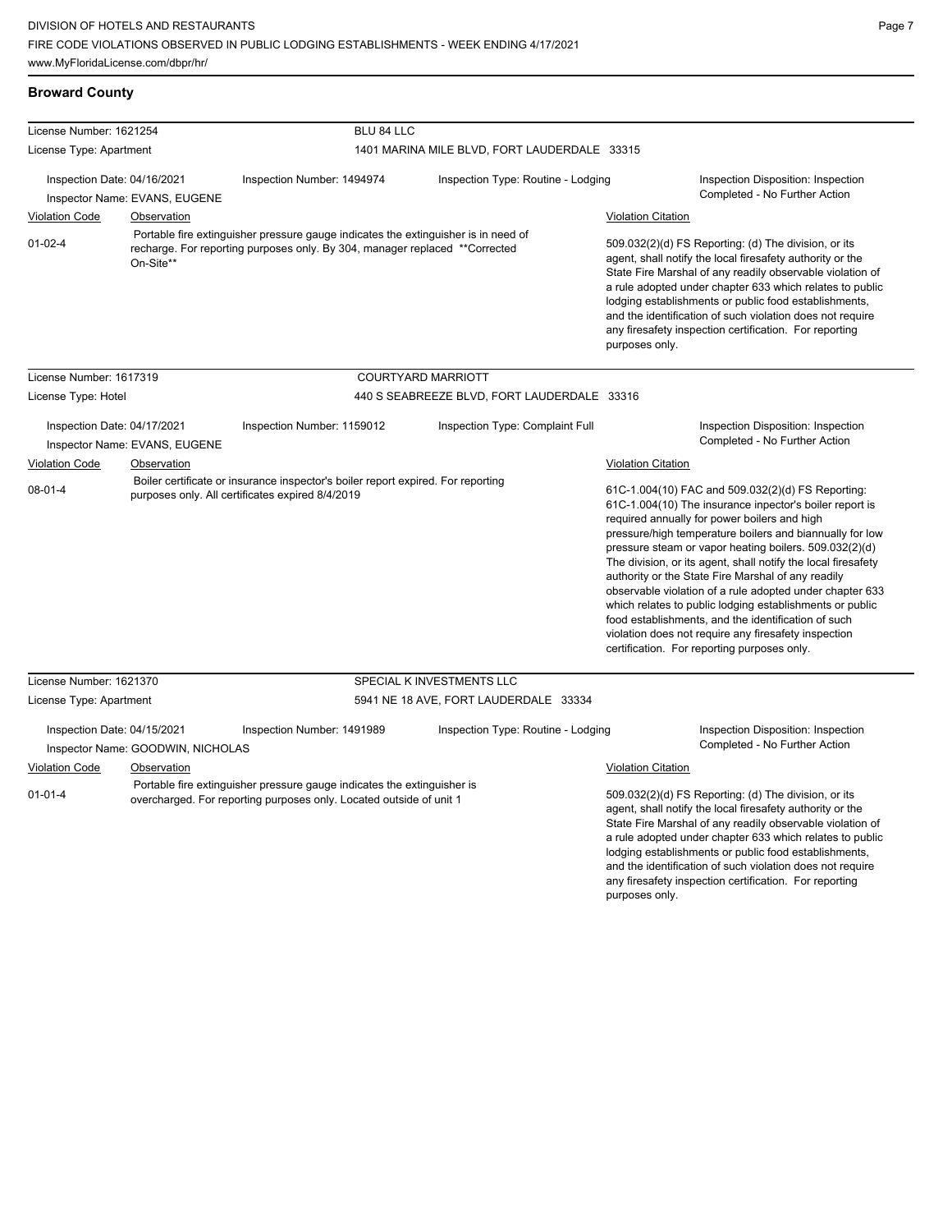| License Number: 1621254                                      |                                   | BLU 84 LLC                                                                                                                                                        |                                              |                                                                                                                                                                                                                                                                                                                                                                                                                                                                                                                                                                                                                                                                                                 |                                                                                                                                                                                                                                                                                                                                                                                                                            |  |  |  |
|--------------------------------------------------------------|-----------------------------------|-------------------------------------------------------------------------------------------------------------------------------------------------------------------|----------------------------------------------|-------------------------------------------------------------------------------------------------------------------------------------------------------------------------------------------------------------------------------------------------------------------------------------------------------------------------------------------------------------------------------------------------------------------------------------------------------------------------------------------------------------------------------------------------------------------------------------------------------------------------------------------------------------------------------------------------|----------------------------------------------------------------------------------------------------------------------------------------------------------------------------------------------------------------------------------------------------------------------------------------------------------------------------------------------------------------------------------------------------------------------------|--|--|--|
| License Type: Apartment                                      |                                   |                                                                                                                                                                   | 1401 MARINA MILE BLVD, FORT LAUDERDALE 33315 |                                                                                                                                                                                                                                                                                                                                                                                                                                                                                                                                                                                                                                                                                                 |                                                                                                                                                                                                                                                                                                                                                                                                                            |  |  |  |
|                                                              |                                   |                                                                                                                                                                   |                                              |                                                                                                                                                                                                                                                                                                                                                                                                                                                                                                                                                                                                                                                                                                 |                                                                                                                                                                                                                                                                                                                                                                                                                            |  |  |  |
| Inspection Date: 04/16/2021<br>Inspector Name: EVANS, EUGENE |                                   | Inspection Number: 1494974                                                                                                                                        | Inspection Type: Routine - Lodging           |                                                                                                                                                                                                                                                                                                                                                                                                                                                                                                                                                                                                                                                                                                 | Inspection Disposition: Inspection                                                                                                                                                                                                                                                                                                                                                                                         |  |  |  |
|                                                              |                                   |                                                                                                                                                                   |                                              |                                                                                                                                                                                                                                                                                                                                                                                                                                                                                                                                                                                                                                                                                                 | Completed - No Further Action                                                                                                                                                                                                                                                                                                                                                                                              |  |  |  |
| <b>Violation Code</b>                                        | <b>Observation</b>                |                                                                                                                                                                   |                                              | <b>Violation Citation</b>                                                                                                                                                                                                                                                                                                                                                                                                                                                                                                                                                                                                                                                                       |                                                                                                                                                                                                                                                                                                                                                                                                                            |  |  |  |
| $01 - 02 - 4$                                                | On-Site**                         | Portable fire extinguisher pressure gauge indicates the extinguisher is in need of<br>recharge. For reporting purposes only. By 304, manager replaced **Corrected |                                              | purposes only.                                                                                                                                                                                                                                                                                                                                                                                                                                                                                                                                                                                                                                                                                  | 509.032(2)(d) FS Reporting: (d) The division, or its<br>agent, shall notify the local firesafety authority or the<br>State Fire Marshal of any readily observable violation of<br>a rule adopted under chapter 633 which relates to public<br>lodging establishments or public food establishments,<br>and the identification of such violation does not require<br>any firesafety inspection certification. For reporting |  |  |  |
| License Number: 1617319                                      |                                   |                                                                                                                                                                   | COURTYARD MARRIOTT                           |                                                                                                                                                                                                                                                                                                                                                                                                                                                                                                                                                                                                                                                                                                 |                                                                                                                                                                                                                                                                                                                                                                                                                            |  |  |  |
| License Type: Hotel                                          |                                   | 440 S SEABREEZE BLVD, FORT LAUDERDALE 33316                                                                                                                       |                                              |                                                                                                                                                                                                                                                                                                                                                                                                                                                                                                                                                                                                                                                                                                 |                                                                                                                                                                                                                                                                                                                                                                                                                            |  |  |  |
| Inspection Date: 04/17/2021                                  | Inspector Name: EVANS, EUGENE     | Inspection Number: 1159012                                                                                                                                        | Inspection Type: Complaint Full              |                                                                                                                                                                                                                                                                                                                                                                                                                                                                                                                                                                                                                                                                                                 | Inspection Disposition: Inspection<br>Completed - No Further Action                                                                                                                                                                                                                                                                                                                                                        |  |  |  |
| <b>Violation Code</b>                                        | Observation                       |                                                                                                                                                                   |                                              | Violation Citation                                                                                                                                                                                                                                                                                                                                                                                                                                                                                                                                                                                                                                                                              |                                                                                                                                                                                                                                                                                                                                                                                                                            |  |  |  |
| $08 - 01 - 4$                                                |                                   | Boiler certificate or insurance inspector's boiler report expired. For reporting<br>purposes only. All certificates expired 8/4/2019                              |                                              | 61C-1.004(10) FAC and 509.032(2)(d) FS Reporting:<br>61C-1.004(10) The insurance inpector's boiler report is<br>required annually for power boilers and high<br>pressure/high temperature boilers and biannually for low<br>pressure steam or vapor heating boilers. 509.032(2)(d)<br>The division, or its agent, shall notify the local firesafety<br>authority or the State Fire Marshal of any readily<br>observable violation of a rule adopted under chapter 633<br>which relates to public lodging establishments or public<br>food establishments, and the identification of such<br>violation does not require any firesafety inspection<br>certification. For reporting purposes only. |                                                                                                                                                                                                                                                                                                                                                                                                                            |  |  |  |
| License Number: 1621370                                      |                                   |                                                                                                                                                                   | SPECIAL K INVESTMENTS LLC                    |                                                                                                                                                                                                                                                                                                                                                                                                                                                                                                                                                                                                                                                                                                 |                                                                                                                                                                                                                                                                                                                                                                                                                            |  |  |  |
| License Type: Apartment                                      |                                   |                                                                                                                                                                   | 5941 NE 18 AVE, FORT LAUDERDALE 33334        |                                                                                                                                                                                                                                                                                                                                                                                                                                                                                                                                                                                                                                                                                                 |                                                                                                                                                                                                                                                                                                                                                                                                                            |  |  |  |
| Inspection Date: 04/15/2021                                  | Inspector Name: GOODWIN, NICHOLAS | Inspection Number: 1491989                                                                                                                                        | Inspection Type: Routine - Lodging           |                                                                                                                                                                                                                                                                                                                                                                                                                                                                                                                                                                                                                                                                                                 | Inspection Disposition: Inspection<br>Completed - No Further Action                                                                                                                                                                                                                                                                                                                                                        |  |  |  |
| <b>Violation Code</b>                                        | Observation                       |                                                                                                                                                                   |                                              | <b>Violation Citation</b>                                                                                                                                                                                                                                                                                                                                                                                                                                                                                                                                                                                                                                                                       |                                                                                                                                                                                                                                                                                                                                                                                                                            |  |  |  |
| $01 - 01 - 4$                                                |                                   | Portable fire extinguisher pressure gauge indicates the extinguisher is<br>overcharged. For reporting purposes only. Located outside of unit 1                    |                                              |                                                                                                                                                                                                                                                                                                                                                                                                                                                                                                                                                                                                                                                                                                 | 509.032(2)(d) FS Reporting: (d) The division, or its<br>agent, shall notify the local firesafety authority or the<br>State Fire Marshal of any readily observable violation of<br>a rule adopted under chapter 633 which relates to public<br>lodging establishments or public food establishments,                                                                                                                        |  |  |  |

and the identification of such violation does not require any firesafety inspection certification. For reporting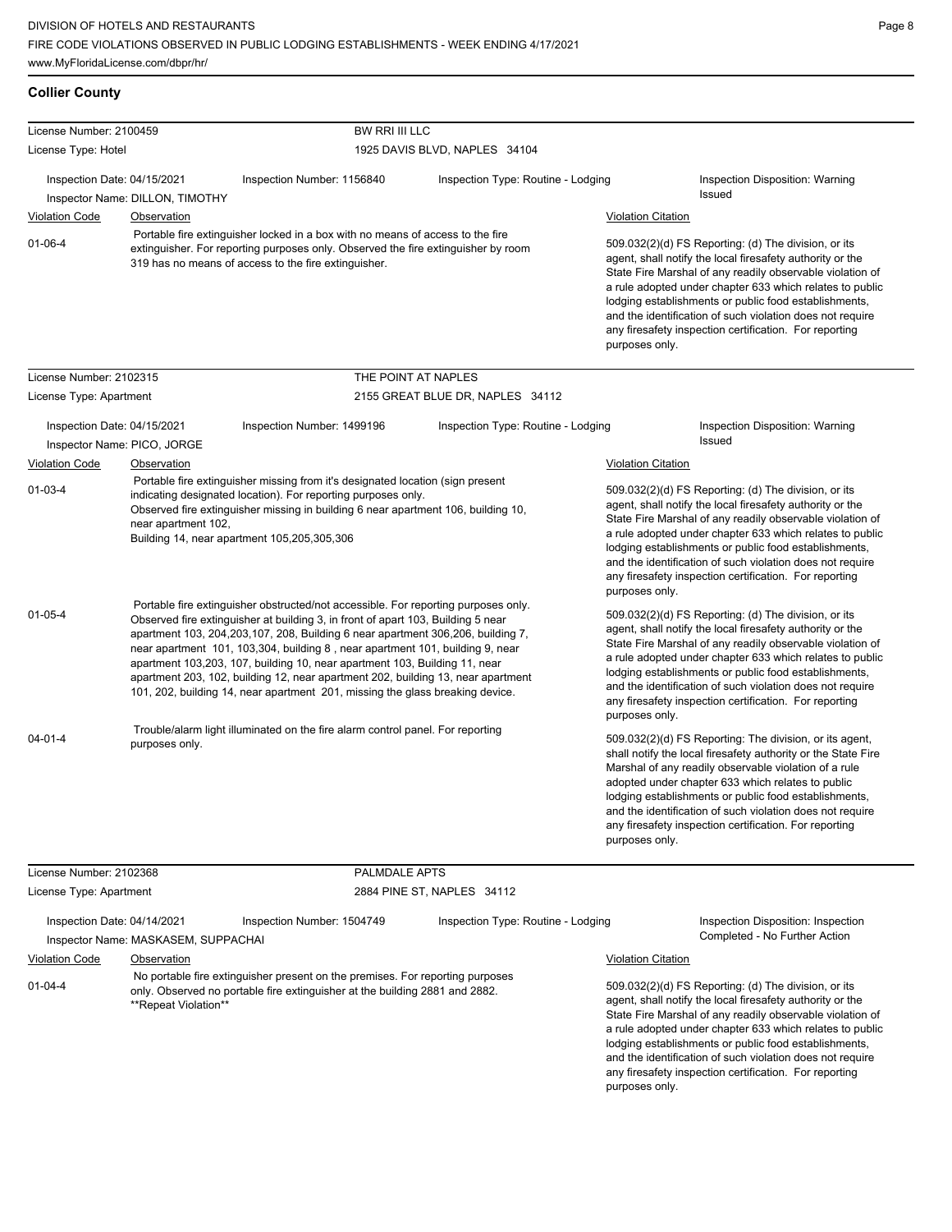| <b>Collier County</b>                                                   |                             |                                                                                                                                                                                                                                                                                                                                                                                                                                                                                                                                                                                                  |                                                                                   |                           |                                                                                                                                                                                                                                                                                                                                                                                                                                              |
|-------------------------------------------------------------------------|-----------------------------|--------------------------------------------------------------------------------------------------------------------------------------------------------------------------------------------------------------------------------------------------------------------------------------------------------------------------------------------------------------------------------------------------------------------------------------------------------------------------------------------------------------------------------------------------------------------------------------------------|-----------------------------------------------------------------------------------|---------------------------|----------------------------------------------------------------------------------------------------------------------------------------------------------------------------------------------------------------------------------------------------------------------------------------------------------------------------------------------------------------------------------------------------------------------------------------------|
| License Number: 2100459                                                 |                             | BW RRI III LLC                                                                                                                                                                                                                                                                                                                                                                                                                                                                                                                                                                                   |                                                                                   |                           |                                                                                                                                                                                                                                                                                                                                                                                                                                              |
| License Type: Hotel                                                     |                             |                                                                                                                                                                                                                                                                                                                                                                                                                                                                                                                                                                                                  | 1925 DAVIS BLVD, NAPLES 34104                                                     |                           |                                                                                                                                                                                                                                                                                                                                                                                                                                              |
| Inspection Date: 04/15/2021                                             |                             | Inspection Number: 1156840                                                                                                                                                                                                                                                                                                                                                                                                                                                                                                                                                                       | Inspection Type: Routine - Lodging                                                |                           | Inspection Disposition: Warning<br>Issued                                                                                                                                                                                                                                                                                                                                                                                                    |
| Inspector Name: DILLON, TIMOTHY<br><b>Violation Code</b><br>Observation |                             |                                                                                                                                                                                                                                                                                                                                                                                                                                                                                                                                                                                                  |                                                                                   | <b>Violation Citation</b> |                                                                                                                                                                                                                                                                                                                                                                                                                                              |
|                                                                         |                             | Portable fire extinguisher locked in a box with no means of access to the fire                                                                                                                                                                                                                                                                                                                                                                                                                                                                                                                   |                                                                                   |                           |                                                                                                                                                                                                                                                                                                                                                                                                                                              |
| $01 - 06 - 4$                                                           |                             | 319 has no means of access to the fire extinguisher.                                                                                                                                                                                                                                                                                                                                                                                                                                                                                                                                             | extinguisher. For reporting purposes only. Observed the fire extinguisher by room |                           | 509.032(2)(d) FS Reporting: (d) The division, or its<br>agent, shall notify the local firesafety authority or the<br>State Fire Marshal of any readily observable violation of<br>a rule adopted under chapter 633 which relates to public<br>lodging establishments or public food establishments,<br>and the identification of such violation does not require<br>any firesafety inspection certification. For reporting<br>purposes only. |
| License Number: 2102315                                                 |                             |                                                                                                                                                                                                                                                                                                                                                                                                                                                                                                                                                                                                  | THE POINT AT NAPLES                                                               |                           |                                                                                                                                                                                                                                                                                                                                                                                                                                              |
| License Type: Apartment                                                 |                             |                                                                                                                                                                                                                                                                                                                                                                                                                                                                                                                                                                                                  | 2155 GREAT BLUE DR, NAPLES 34112                                                  |                           |                                                                                                                                                                                                                                                                                                                                                                                                                                              |
| Inspection Date: 04/15/2021                                             | Inspector Name: PICO, JORGE | Inspection Number: 1499196                                                                                                                                                                                                                                                                                                                                                                                                                                                                                                                                                                       | Inspection Type: Routine - Lodging                                                |                           | Inspection Disposition: Warning<br>Issued                                                                                                                                                                                                                                                                                                                                                                                                    |
| Violation Code                                                          | Observation                 |                                                                                                                                                                                                                                                                                                                                                                                                                                                                                                                                                                                                  |                                                                                   | Violation Citation        |                                                                                                                                                                                                                                                                                                                                                                                                                                              |
| $01 - 03 - 4$                                                           | near apartment 102,         | Portable fire extinguisher missing from it's designated location (sign present<br>indicating designated location). For reporting purposes only.<br>Observed fire extinguisher missing in building 6 near apartment 106, building 10,<br>Building 14, near apartment 105,205,305,306                                                                                                                                                                                                                                                                                                              |                                                                                   | purposes only.            | 509.032(2)(d) FS Reporting: (d) The division, or its<br>agent, shall notify the local firesafety authority or the<br>State Fire Marshal of any readily observable violation of<br>a rule adopted under chapter 633 which relates to public<br>lodging establishments or public food establishments,<br>and the identification of such violation does not require<br>any firesafety inspection certification. For reporting                   |
| $01 - 05 - 4$                                                           |                             | Portable fire extinguisher obstructed/not accessible. For reporting purposes only.<br>Observed fire extinguisher at building 3, in front of apart 103, Building 5 near<br>apartment 103, 204, 203, 107, 208, Building 6 near apartment 306, 206, building 7,<br>near apartment 101, 103,304, building 8, near apartment 101, building 9, near<br>apartment 103,203, 107, building 10, near apartment 103, Building 11, near<br>apartment 203, 102, building 12, near apartment 202, building 13, near apartment<br>101, 202, building 14, near apartment 201, missing the glass breaking device. |                                                                                   | purposes only.            | 509.032(2)(d) FS Reporting: (d) The division, or its<br>agent, shall notify the local firesafety authority or the<br>State Fire Marshal of any readily observable violation of<br>a rule adopted under chapter 633 which relates to public<br>lodging establishments or public food establishments,<br>and the identification of such violation does not require<br>any firesafety inspection certification. For reporting                   |
| $04 - 01 - 4$                                                           | purposes only.              | Trouble/alarm light illuminated on the fire alarm control panel. For reporting                                                                                                                                                                                                                                                                                                                                                                                                                                                                                                                   |                                                                                   | purposes only.            | 509.032(2)(d) FS Reporting: The division, or its agent,<br>shall notify the local firesafety authority or the State Fire<br>Marshal of any readily observable violation of a rule<br>adopted under chapter 633 which relates to public<br>lodging establishments or public food establishments,<br>and the identification of such violation does not require<br>any firesafety inspection certification. For reporting                       |
| License Number: 2102368                                                 |                             | PALMDALE APTS                                                                                                                                                                                                                                                                                                                                                                                                                                                                                                                                                                                    |                                                                                   |                           |                                                                                                                                                                                                                                                                                                                                                                                                                                              |
| License Type: Apartment                                                 |                             |                                                                                                                                                                                                                                                                                                                                                                                                                                                                                                                                                                                                  | 2884 PINE ST, NAPLES 34112                                                        |                           |                                                                                                                                                                                                                                                                                                                                                                                                                                              |

Inspection Date: 04/14/2021 Inspection Number: 1504749 Inspection Type: Routine - Lodging Inspection Disposition: Inspection

Inspector Name: MASKASEM, SUPPACHAI No Further Action Inspector Name: MASKASEM, SUPPACHAI

Violation Code Observation Violation Citation 01-04-4 No portable fire extinguisher present on the premises. For reporting purposes only. Observed no portable fire extinguisher at the building 2881 and 2882. \*\*Repeat Violation\*\*

509.032(2)(d) FS Reporting: (d) The division, or its agent, shall notify the local firesafety authority or the State Fire Marshal of any readily observable violation of a rule adopted under chapter 633 which relates to public lodging establishments or public food establishments, and the identification of such violation does not require any firesafety inspection certification. For reporting purposes only.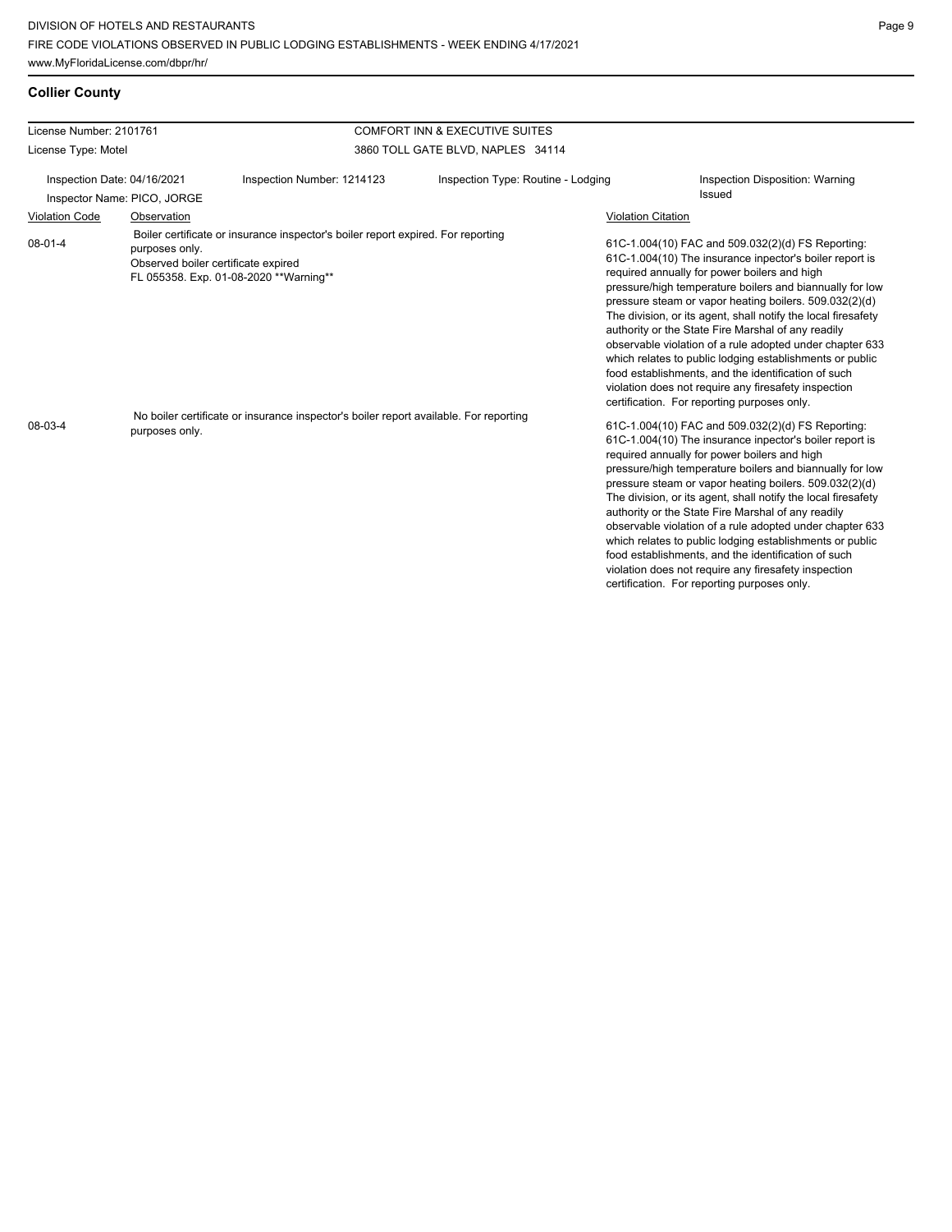## **Collier County**

| License Number: 2101761     |                                                       |                                                                                                                             | <b>COMFORT INN &amp; EXECUTIVE SUITES</b> |                           |                                                                                                                                                                                                                                                                                                                                                                                                                                                                                                                                                                                                                                                                                                 |
|-----------------------------|-------------------------------------------------------|-----------------------------------------------------------------------------------------------------------------------------|-------------------------------------------|---------------------------|-------------------------------------------------------------------------------------------------------------------------------------------------------------------------------------------------------------------------------------------------------------------------------------------------------------------------------------------------------------------------------------------------------------------------------------------------------------------------------------------------------------------------------------------------------------------------------------------------------------------------------------------------------------------------------------------------|
| License Type: Motel         |                                                       |                                                                                                                             | 3860 TOLL GATE BLVD, NAPLES 34114         |                           |                                                                                                                                                                                                                                                                                                                                                                                                                                                                                                                                                                                                                                                                                                 |
| Inspection Date: 04/16/2021 | Inspector Name: PICO, JORGE                           | Inspection Number: 1214123                                                                                                  | Inspection Type: Routine - Lodging        |                           | Inspection Disposition: Warning<br>Issued                                                                                                                                                                                                                                                                                                                                                                                                                                                                                                                                                                                                                                                       |
| <b>Violation Code</b>       | Observation                                           |                                                                                                                             |                                           | <b>Violation Citation</b> |                                                                                                                                                                                                                                                                                                                                                                                                                                                                                                                                                                                                                                                                                                 |
| 08-01-4                     | purposes only.<br>Observed boiler certificate expired | Boiler certificate or insurance inspector's boiler report expired. For reporting<br>FL 055358. Exp. 01-08-2020 ** Warning** |                                           |                           | 61C-1.004(10) FAC and 509.032(2)(d) FS Reporting:<br>61C-1.004(10) The insurance inpector's boiler report is<br>required annually for power boilers and high<br>pressure/high temperature boilers and biannually for low<br>pressure steam or vapor heating boilers. 509.032(2)(d)<br>The division, or its agent, shall notify the local firesafety<br>authority or the State Fire Marshal of any readily<br>observable violation of a rule adopted under chapter 633<br>which relates to public lodging establishments or public<br>food establishments, and the identification of such<br>violation does not require any firesafety inspection<br>certification. For reporting purposes only. |
| 08-03-4                     | purposes only.                                        | No boiler certificate or insurance inspector's boiler report available. For reporting                                       |                                           |                           | 61C-1.004(10) FAC and 509.032(2)(d) FS Reporting:<br>61C-1.004(10) The insurance inpector's boiler report is<br>required annually for power boilers and high<br>pressure/high temperature boilers and biannually for low<br>pressure steam or vapor heating boilers. 509.032(2)(d)<br>The division, or its agent, shall notify the local firesafety<br>authority or the State Fire Marshal of any readily<br>observable violation of a rule adopted under chapter 633<br>which relates to public lodging establishments or public<br>food establishments, and the identification of such<br>violation does not require any firesafety inspection<br>certification. For reporting purposes only. |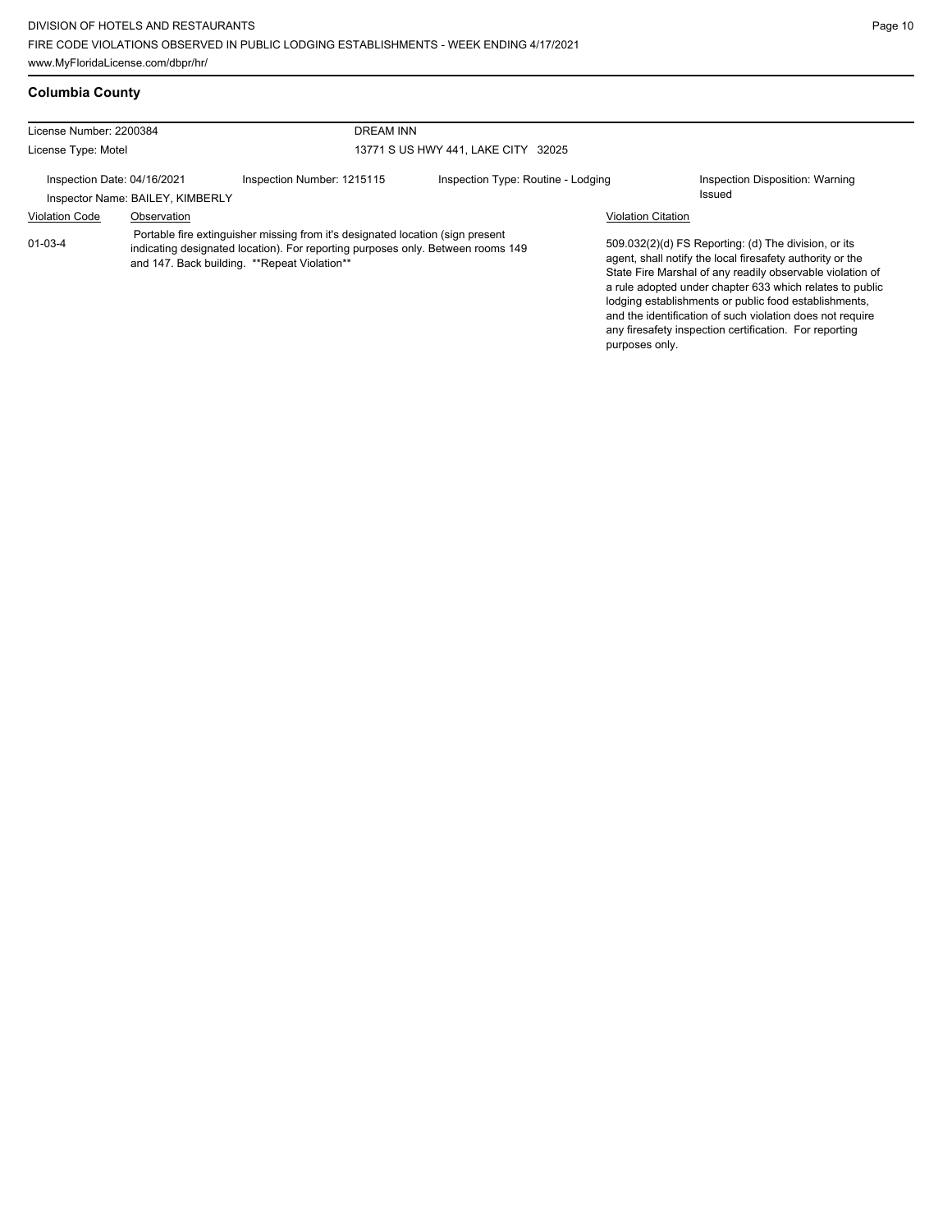and the identification of such violation does not require any firesafety inspection certification. For reporting

purposes only.

| <b>Columbia County</b>  |                                     |
|-------------------------|-------------------------------------|
| License Number: 2200384 | DREAM INN                           |
| License Type: Motel     | 13771 S US HWY 441, LAKE CITY 32025 |

Inspection Date: 04/16/2021 Inspection Number: 1215115 Inspection Type: Routine - Lodging Inspection Disposition: Warning Issued Inspector Name: BAILEY, KIMBERLY Violation Code Observation Violation Citation 509.032(2)(d) FS Reporting: (d) The division, or its agent, shall notify the local firesafety authority or the State Fire Marshal of any readily observable violation of a rule adopted under chapter 633 which relates to public lodging establishments or public food establishments, 01-03-4 Portable fire extinguisher missing from it's designated location (sign present indicating designated location). For reporting purposes only. Between rooms 149 and 147. Back building. \*\* Repeat Violation\*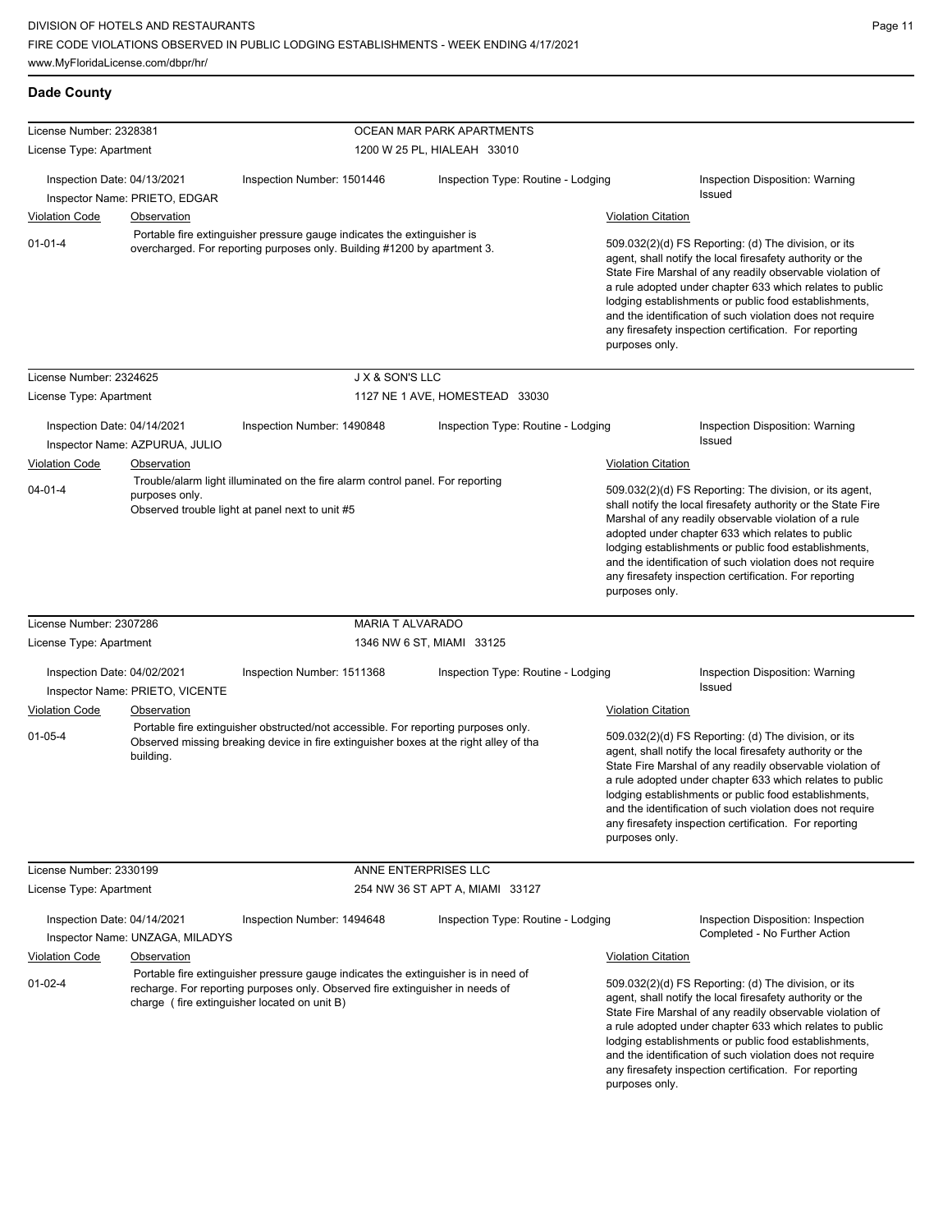| License Number: 2328381     |                                 |                                                                                                                                                                                                                     | OCEAN MAR PARK APARTMENTS          |                                                                                                                                                                                                                                                                                                                                                                                                                                              |
|-----------------------------|---------------------------------|---------------------------------------------------------------------------------------------------------------------------------------------------------------------------------------------------------------------|------------------------------------|----------------------------------------------------------------------------------------------------------------------------------------------------------------------------------------------------------------------------------------------------------------------------------------------------------------------------------------------------------------------------------------------------------------------------------------------|
| License Type: Apartment     |                                 |                                                                                                                                                                                                                     | 1200 W 25 PL, HIALEAH 33010        |                                                                                                                                                                                                                                                                                                                                                                                                                                              |
|                             |                                 |                                                                                                                                                                                                                     |                                    |                                                                                                                                                                                                                                                                                                                                                                                                                                              |
| Inspection Date: 04/13/2021 |                                 | Inspection Number: 1501446                                                                                                                                                                                          | Inspection Type: Routine - Lodging | Inspection Disposition: Warning                                                                                                                                                                                                                                                                                                                                                                                                              |
|                             | Inspector Name: PRIETO, EDGAR   |                                                                                                                                                                                                                     |                                    | Issued                                                                                                                                                                                                                                                                                                                                                                                                                                       |
| <b>Violation Code</b>       | Observation                     |                                                                                                                                                                                                                     |                                    | <b>Violation Citation</b>                                                                                                                                                                                                                                                                                                                                                                                                                    |
| $01 - 01 - 4$               |                                 | Portable fire extinguisher pressure gauge indicates the extinguisher is<br>overcharged. For reporting purposes only. Building #1200 by apartment 3.                                                                 |                                    | 509.032(2)(d) FS Reporting: (d) The division, or its<br>agent, shall notify the local firesafety authority or the<br>State Fire Marshal of any readily observable violation of<br>a rule adopted under chapter 633 which relates to public<br>lodging establishments or public food establishments,<br>and the identification of such violation does not require<br>any firesafety inspection certification. For reporting<br>purposes only. |
| License Number: 2324625     |                                 | J X & SON'S LLC                                                                                                                                                                                                     |                                    |                                                                                                                                                                                                                                                                                                                                                                                                                                              |
| License Type: Apartment     |                                 |                                                                                                                                                                                                                     | 1127 NE 1 AVE, HOMESTEAD 33030     |                                                                                                                                                                                                                                                                                                                                                                                                                                              |
|                             |                                 |                                                                                                                                                                                                                     |                                    |                                                                                                                                                                                                                                                                                                                                                                                                                                              |
| Inspection Date: 04/14/2021 |                                 | Inspection Number: 1490848                                                                                                                                                                                          | Inspection Type: Routine - Lodging | Inspection Disposition: Warning<br>Issued                                                                                                                                                                                                                                                                                                                                                                                                    |
|                             | Inspector Name: AZPURUA, JULIO  |                                                                                                                                                                                                                     |                                    |                                                                                                                                                                                                                                                                                                                                                                                                                                              |
| <b>Violation Code</b>       | Observation                     | Trouble/alarm light illuminated on the fire alarm control panel. For reporting                                                                                                                                      |                                    | <b>Violation Citation</b>                                                                                                                                                                                                                                                                                                                                                                                                                    |
| $04 - 01 - 4$               | purposes only.                  | Observed trouble light at panel next to unit #5                                                                                                                                                                     |                                    | 509.032(2)(d) FS Reporting: The division, or its agent,<br>shall notify the local firesafety authority or the State Fire<br>Marshal of any readily observable violation of a rule<br>adopted under chapter 633 which relates to public<br>lodging establishments or public food establishments,<br>and the identification of such violation does not require<br>any firesafety inspection certification. For reporting<br>purposes only.     |
| License Number: 2307286     |                                 | <b>MARIA T ALVARADO</b>                                                                                                                                                                                             |                                    |                                                                                                                                                                                                                                                                                                                                                                                                                                              |
| License Type: Apartment     |                                 | 1346 NW 6 ST, MIAMI 33125                                                                                                                                                                                           |                                    |                                                                                                                                                                                                                                                                                                                                                                                                                                              |
| Inspection Date: 04/02/2021 |                                 | Inspection Number: 1511368                                                                                                                                                                                          | Inspection Type: Routine - Lodging | Inspection Disposition: Warning                                                                                                                                                                                                                                                                                                                                                                                                              |
|                             | Inspector Name: PRIETO, VICENTE |                                                                                                                                                                                                                     |                                    | Issued                                                                                                                                                                                                                                                                                                                                                                                                                                       |
| <b>Violation Code</b>       | Observation                     |                                                                                                                                                                                                                     |                                    | <b>Violation Citation</b>                                                                                                                                                                                                                                                                                                                                                                                                                    |
| $01 - 05 - 4$               | building.                       | Portable fire extinguisher obstructed/not accessible. For reporting purposes only.<br>Observed missing breaking device in fire extinguisher boxes at the right alley of tha                                         |                                    | 509.032(2)(d) FS Reporting: (d) The division, or its<br>agent, shall notify the local firesafety authority or the<br>State Fire Marshal of any readily observable violation of<br>a rule adopted under chapter 633 which relates to public<br>lodging establishments or public food establishments,<br>and the identification of such violation does not require<br>any firesafety inspection certification. For reporting<br>purposes only. |
| License Number: 2330199     |                                 |                                                                                                                                                                                                                     | ANNE ENTERPRISES LLC               |                                                                                                                                                                                                                                                                                                                                                                                                                                              |
| License Type: Apartment     |                                 |                                                                                                                                                                                                                     | 254 NW 36 ST APT A, MIAMI 33127    |                                                                                                                                                                                                                                                                                                                                                                                                                                              |
| Inspection Date: 04/14/2021 | Inspector Name: UNZAGA, MILADYS | Inspection Number: 1494648                                                                                                                                                                                          | Inspection Type: Routine - Lodging | Inspection Disposition: Inspection<br>Completed - No Further Action                                                                                                                                                                                                                                                                                                                                                                          |
| <b>Violation Code</b>       | Observation                     |                                                                                                                                                                                                                     |                                    | <b>Violation Citation</b>                                                                                                                                                                                                                                                                                                                                                                                                                    |
| 01-02-4                     |                                 | Portable fire extinguisher pressure gauge indicates the extinguisher is in need of<br>recharge. For reporting purposes only. Observed fire extinguisher in needs of<br>charge (fire extinguisher located on unit B) |                                    | 509.032(2)(d) FS Reporting: (d) The division, or its<br>agent, shall notify the local firesafety authority or the<br>State Fire Marshal of any readily observable violation of<br>a rule adopted under chapter 633 which relates to public<br>lodging establishments or public food establishments,<br>and the identification of such violation does not require<br>any firesafety inspection certification. For reporting<br>purposes only. |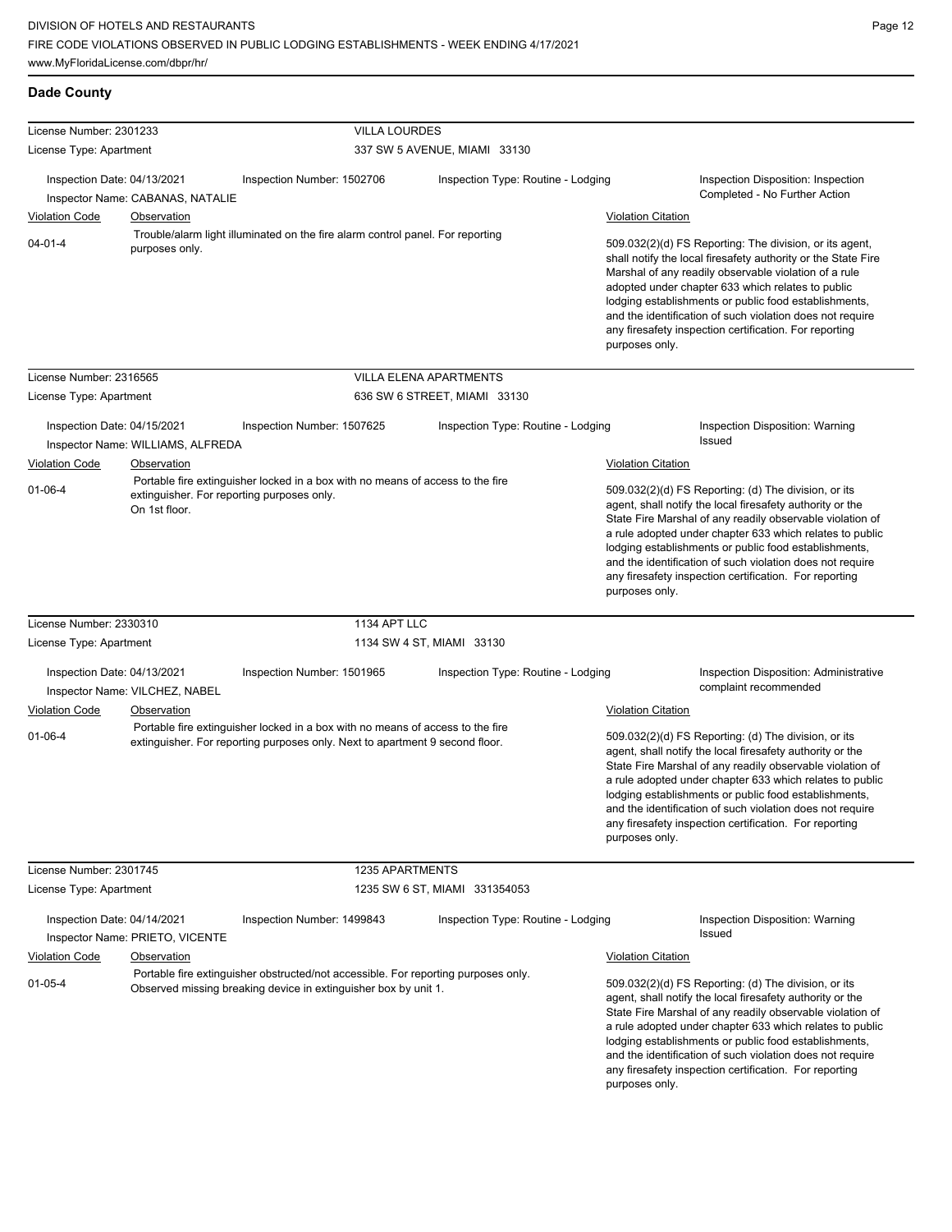| <b>Dade County</b>                                                                                                                                             |                                   |                                                                                                                                                                |                                    |                                                                                                                                                                                                                                                                                                                                                                                                                                              |                                                                                                                                                                                                                                                                                                                                                                                                                            |
|----------------------------------------------------------------------------------------------------------------------------------------------------------------|-----------------------------------|----------------------------------------------------------------------------------------------------------------------------------------------------------------|------------------------------------|----------------------------------------------------------------------------------------------------------------------------------------------------------------------------------------------------------------------------------------------------------------------------------------------------------------------------------------------------------------------------------------------------------------------------------------------|----------------------------------------------------------------------------------------------------------------------------------------------------------------------------------------------------------------------------------------------------------------------------------------------------------------------------------------------------------------------------------------------------------------------------|
| License Number: 2301233                                                                                                                                        |                                   | <b>VILLA LOURDES</b>                                                                                                                                           |                                    |                                                                                                                                                                                                                                                                                                                                                                                                                                              |                                                                                                                                                                                                                                                                                                                                                                                                                            |
| License Type: Apartment                                                                                                                                        |                                   |                                                                                                                                                                | 337 SW 5 AVENUE, MIAMI 33130       |                                                                                                                                                                                                                                                                                                                                                                                                                                              |                                                                                                                                                                                                                                                                                                                                                                                                                            |
| Inspection Date: 04/13/2021                                                                                                                                    |                                   | Inspection Number: 1502706                                                                                                                                     | Inspection Type: Routine - Lodging |                                                                                                                                                                                                                                                                                                                                                                                                                                              | Inspection Disposition: Inspection<br>Completed - No Further Action                                                                                                                                                                                                                                                                                                                                                        |
| Inspector Name: CABANAS, NATALIE<br><b>Violation Code</b><br><b>Observation</b>                                                                                |                                   |                                                                                                                                                                |                                    | <b>Violation Citation</b>                                                                                                                                                                                                                                                                                                                                                                                                                    |                                                                                                                                                                                                                                                                                                                                                                                                                            |
| $04 - 01 - 4$                                                                                                                                                  | purposes only.                    | Trouble/alarm light illuminated on the fire alarm control panel. For reporting<br>purposes only.                                                               |                                    | 509.032(2)(d) FS Reporting: The division, or its agent,<br>shall notify the local firesafety authority or the State Fire<br>Marshal of any readily observable violation of a rule<br>adopted under chapter 633 which relates to public<br>lodging establishments or public food establishments,<br>and the identification of such violation does not require<br>any firesafety inspection certification. For reporting                       |                                                                                                                                                                                                                                                                                                                                                                                                                            |
| License Number: 2316565                                                                                                                                        |                                   |                                                                                                                                                                | <b>VILLA ELENA APARTMENTS</b>      |                                                                                                                                                                                                                                                                                                                                                                                                                                              |                                                                                                                                                                                                                                                                                                                                                                                                                            |
| License Type: Apartment                                                                                                                                        |                                   |                                                                                                                                                                | 636 SW 6 STREET, MIAMI 33130       |                                                                                                                                                                                                                                                                                                                                                                                                                                              |                                                                                                                                                                                                                                                                                                                                                                                                                            |
| Inspection Date: 04/15/2021                                                                                                                                    | Inspector Name: WILLIAMS, ALFREDA | Inspection Number: 1507625                                                                                                                                     | Inspection Type: Routine - Lodging |                                                                                                                                                                                                                                                                                                                                                                                                                                              | Inspection Disposition: Warning<br>Issued                                                                                                                                                                                                                                                                                                                                                                                  |
| Violation Code                                                                                                                                                 | Observation                       |                                                                                                                                                                |                                    | <b>Violation Citation</b>                                                                                                                                                                                                                                                                                                                                                                                                                    |                                                                                                                                                                                                                                                                                                                                                                                                                            |
| Portable fire extinguisher locked in a box with no means of access to the fire<br>$01 - 06 - 4$<br>extinguisher. For reporting purposes only.<br>On 1st floor. |                                   |                                                                                                                                                                |                                    | 509.032(2)(d) FS Reporting: (d) The division, or its<br>agent, shall notify the local firesafety authority or the<br>State Fire Marshal of any readily observable violation of<br>a rule adopted under chapter 633 which relates to public<br>lodging establishments or public food establishments,<br>and the identification of such violation does not require<br>any firesafety inspection certification. For reporting<br>purposes only. |                                                                                                                                                                                                                                                                                                                                                                                                                            |
| License Number: 2330310                                                                                                                                        |                                   | 1134 APT LLC                                                                                                                                                   |                                    |                                                                                                                                                                                                                                                                                                                                                                                                                                              |                                                                                                                                                                                                                                                                                                                                                                                                                            |
| License Type: Apartment                                                                                                                                        |                                   |                                                                                                                                                                | 1134 SW 4 ST, MIAMI 33130          |                                                                                                                                                                                                                                                                                                                                                                                                                                              |                                                                                                                                                                                                                                                                                                                                                                                                                            |
| Inspection Date: 04/13/2021                                                                                                                                    | Inspector Name: VILCHEZ, NABEL    | Inspection Number: 1501965                                                                                                                                     | Inspection Type: Routine - Lodging |                                                                                                                                                                                                                                                                                                                                                                                                                                              | Inspection Disposition: Administrative<br>complaint recommended                                                                                                                                                                                                                                                                                                                                                            |
| <b>Violation Code</b>                                                                                                                                          | Observation                       |                                                                                                                                                                |                                    | <b>Violation Citation</b>                                                                                                                                                                                                                                                                                                                                                                                                                    |                                                                                                                                                                                                                                                                                                                                                                                                                            |
| $01 - 06 - 4$                                                                                                                                                  |                                   | Portable fire extinguisher locked in a box with no means of access to the fire<br>extinguisher. For reporting purposes only. Next to apartment 9 second floor. |                                    | purposes only.                                                                                                                                                                                                                                                                                                                                                                                                                               | 509.032(2)(d) FS Reporting: (d) The division, or its<br>agent, shall notify the local firesafety authority or the<br>State Fire Marshal of any readily observable violation of<br>a rule adopted under chapter 633 which relates to public<br>lodging establishments or public food establishments,<br>and the identification of such violation does not require<br>any firesafety inspection certification. For reporting |
| License Number: 2301745                                                                                                                                        |                                   | 1235 APARTMENTS                                                                                                                                                |                                    |                                                                                                                                                                                                                                                                                                                                                                                                                                              |                                                                                                                                                                                                                                                                                                                                                                                                                            |
| License Type: Apartment                                                                                                                                        |                                   |                                                                                                                                                                | 1235 SW 6 ST, MIAMI 331354053      |                                                                                                                                                                                                                                                                                                                                                                                                                                              |                                                                                                                                                                                                                                                                                                                                                                                                                            |
| Inspection Date: 04/14/2021                                                                                                                                    | Inspector Name: PRIETO, VICENTE   | Inspection Number: 1499843                                                                                                                                     | Inspection Type: Routine - Lodging |                                                                                                                                                                                                                                                                                                                                                                                                                                              | Inspection Disposition: Warning<br>Issued                                                                                                                                                                                                                                                                                                                                                                                  |
| <b>Violation Code</b>                                                                                                                                          | Observation                       |                                                                                                                                                                |                                    | <b>Violation Citation</b>                                                                                                                                                                                                                                                                                                                                                                                                                    |                                                                                                                                                                                                                                                                                                                                                                                                                            |
| $01 - 05 - 4$                                                                                                                                                  |                                   | Portable fire extinguisher obstructed/not accessible. For reporting purposes only.<br>Observed missing breaking device in extinguisher box by unit 1.          |                                    |                                                                                                                                                                                                                                                                                                                                                                                                                                              | 509.032(2)(d) FS Reporting: (d) The division, or its<br>agent, shall notify the local firesafety authority or the<br>State Fire Marshal of any readily observable violation of<br>a rule adopted under chapter 633 which relates to public<br>lodging establishments or public food establishments,<br>and the identification of such violation does not require<br>any firesafety inspection certification. For reporting |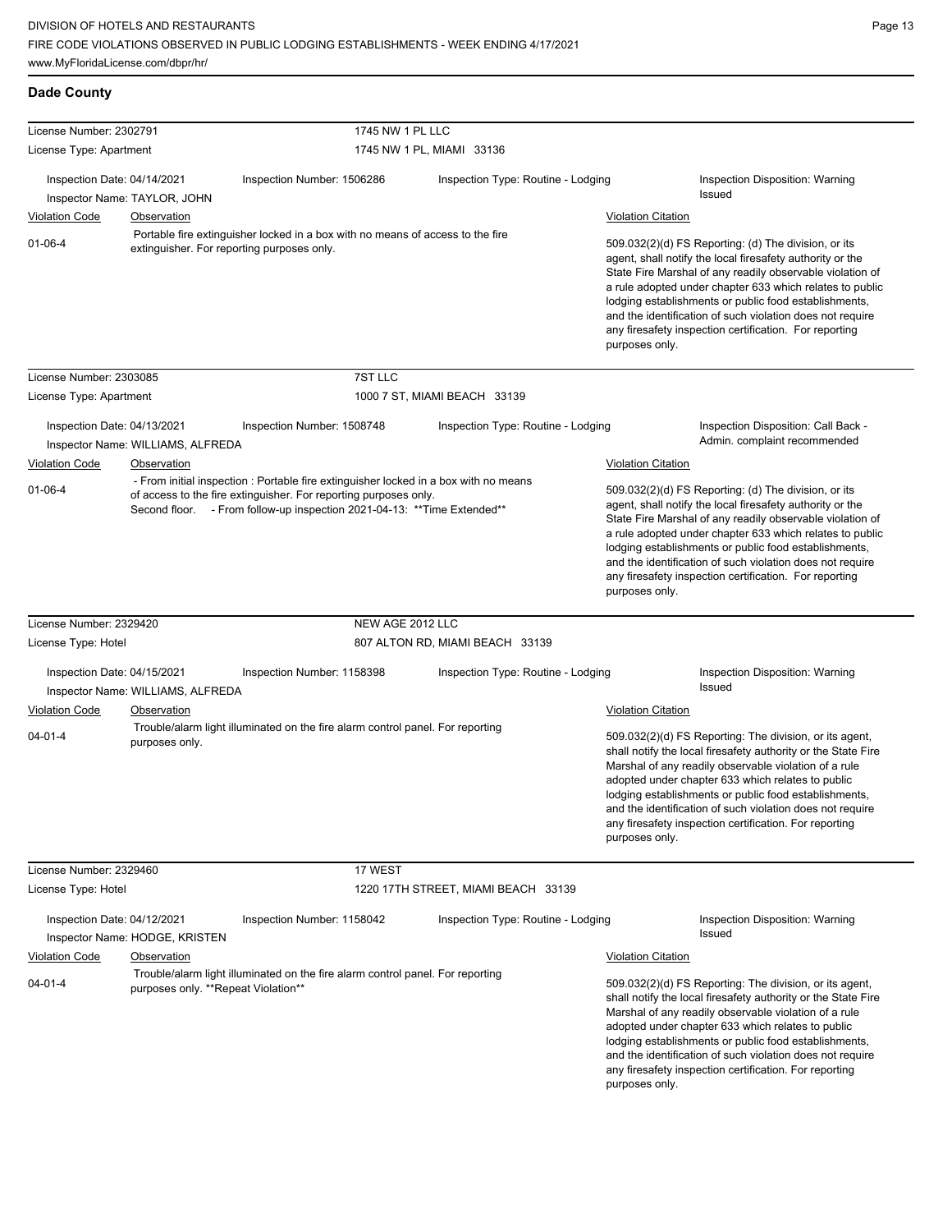**Dade County**

| License Number: 2302791     |                                            | 1745 NW 1 PL LLC                                                                                                                                                                                                                     |                                     |                           |                                                                                                                                                                                                                                                                                                                                                                                                                            |
|-----------------------------|--------------------------------------------|--------------------------------------------------------------------------------------------------------------------------------------------------------------------------------------------------------------------------------------|-------------------------------------|---------------------------|----------------------------------------------------------------------------------------------------------------------------------------------------------------------------------------------------------------------------------------------------------------------------------------------------------------------------------------------------------------------------------------------------------------------------|
| License Type: Apartment     |                                            |                                                                                                                                                                                                                                      | 1745 NW 1 PL, MIAMI 33136           |                           |                                                                                                                                                                                                                                                                                                                                                                                                                            |
| Inspection Date: 04/14/2021 | Inspector Name: TAYLOR, JOHN               | Inspection Number: 1506286                                                                                                                                                                                                           | Inspection Type: Routine - Lodging  |                           | Inspection Disposition: Warning<br>Issued                                                                                                                                                                                                                                                                                                                                                                                  |
| <b>Violation Code</b>       | Observation                                |                                                                                                                                                                                                                                      |                                     | <b>Violation Citation</b> |                                                                                                                                                                                                                                                                                                                                                                                                                            |
| $01 - 06 - 4$               | extinguisher. For reporting purposes only. | Portable fire extinguisher locked in a box with no means of access to the fire                                                                                                                                                       |                                     | purposes only.            | 509.032(2)(d) FS Reporting: (d) The division, or its<br>agent, shall notify the local firesafety authority or the<br>State Fire Marshal of any readily observable violation of<br>a rule adopted under chapter 633 which relates to public<br>lodging establishments or public food establishments,<br>and the identification of such violation does not require<br>any firesafety inspection certification. For reporting |
| License Number: 2303085     |                                            | 7ST LLC                                                                                                                                                                                                                              |                                     |                           |                                                                                                                                                                                                                                                                                                                                                                                                                            |
| License Type: Apartment     |                                            |                                                                                                                                                                                                                                      | 1000 7 ST, MIAMI BEACH 33139        |                           |                                                                                                                                                                                                                                                                                                                                                                                                                            |
| Inspection Date: 04/13/2021 | Inspector Name: WILLIAMS, ALFREDA          | Inspection Number: 1508748                                                                                                                                                                                                           | Inspection Type: Routine - Lodging  |                           | Inspection Disposition: Call Back -<br>Admin. complaint recommended                                                                                                                                                                                                                                                                                                                                                        |
| Violation Code              | Observation                                |                                                                                                                                                                                                                                      |                                     | <b>Violation Citation</b> |                                                                                                                                                                                                                                                                                                                                                                                                                            |
| $01-06-4$                   |                                            | - From initial inspection : Portable fire extinguisher locked in a box with no means<br>of access to the fire extinguisher. For reporting purposes only.<br>Second floor. - From follow-up inspection 2021-04-13: ** Time Extended** |                                     | purposes only.            | 509.032(2)(d) FS Reporting: (d) The division, or its<br>agent, shall notify the local firesafety authority or the<br>State Fire Marshal of any readily observable violation of<br>a rule adopted under chapter 633 which relates to public<br>lodging establishments or public food establishments,<br>and the identification of such violation does not require<br>any firesafety inspection certification. For reporting |
| License Number: 2329420     |                                            | NEW AGE 2012 LLC                                                                                                                                                                                                                     |                                     |                           |                                                                                                                                                                                                                                                                                                                                                                                                                            |
| License Type: Hotel         |                                            |                                                                                                                                                                                                                                      | 807 ALTON RD, MIAMI BEACH 33139     |                           |                                                                                                                                                                                                                                                                                                                                                                                                                            |
| Inspection Date: 04/15/2021 | Inspector Name: WILLIAMS, ALFREDA          | Inspection Number: 1158398                                                                                                                                                                                                           | Inspection Type: Routine - Lodging  |                           | Inspection Disposition: Warning<br><b>Issued</b>                                                                                                                                                                                                                                                                                                                                                                           |
| Violation Code              | Observation                                |                                                                                                                                                                                                                                      |                                     | <b>Violation Citation</b> |                                                                                                                                                                                                                                                                                                                                                                                                                            |
| 04-01-4                     | purposes only.                             | Trouble/alarm light illuminated on the fire alarm control panel. For reporting                                                                                                                                                       |                                     | purposes only.            | 509.032(2)(d) FS Reporting: The division, or its agent,<br>shall notify the local firesafety authority or the State Fire<br>Marshal of any readily observable violation of a rule<br>adopted under chapter 633 which relates to public<br>lodging establishments or public food establishments,<br>and the identification of such violation does not require<br>any firesafety inspection certification. For reporting     |
| License Number: 2329460     |                                            | 17 WEST                                                                                                                                                                                                                              |                                     |                           |                                                                                                                                                                                                                                                                                                                                                                                                                            |
| License Type: Hotel         |                                            |                                                                                                                                                                                                                                      | 1220 17TH STREET, MIAMI BEACH 33139 |                           |                                                                                                                                                                                                                                                                                                                                                                                                                            |
| Inspection Date: 04/12/2021 | Inspector Name: HODGE, KRISTEN             | Inspection Number: 1158042                                                                                                                                                                                                           | Inspection Type: Routine - Lodging  |                           | Inspection Disposition: Warning<br><b>Issued</b>                                                                                                                                                                                                                                                                                                                                                                           |
| <b>Violation Code</b>       | Observation                                |                                                                                                                                                                                                                                      |                                     | <b>Violation Citation</b> |                                                                                                                                                                                                                                                                                                                                                                                                                            |
| 04-01-4                     | purposes only. **Repeat Violation**        | Trouble/alarm light illuminated on the fire alarm control panel. For reporting                                                                                                                                                       |                                     |                           | 509.032(2)(d) FS Reporting: The division, or its agent,<br>shall notify the local firesafety authority or the State Fire<br>Marshal of any readily observable violation of a rule<br>adopted under chapter 633 which relates to public<br>lodging establishments or public food establishments,<br>and the identification of such violation does not require<br>any firesafety inspection certification. For reporting     |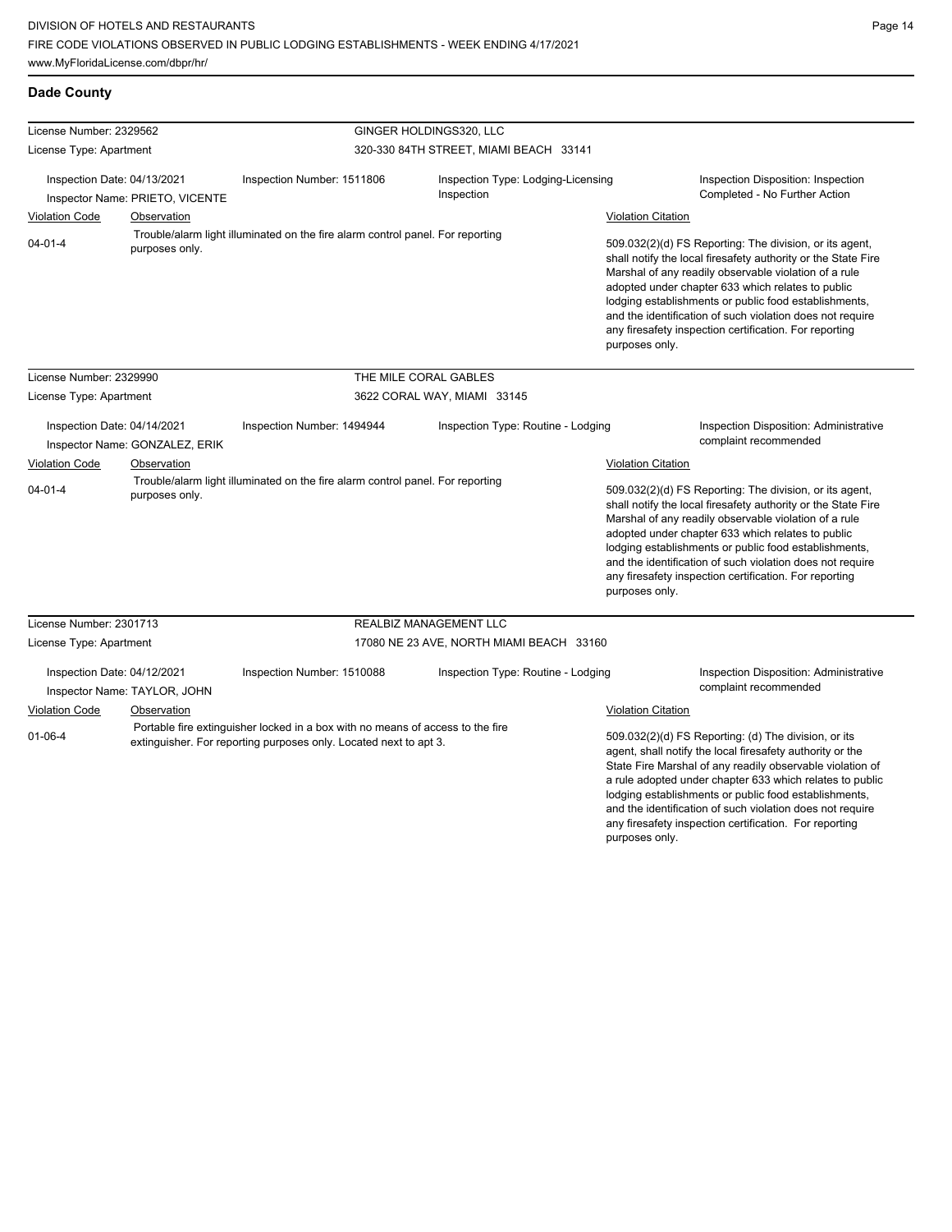**Dade County**

| License Number: 2329562                                                                                                                                   |                              |                                                                                                                                                     | GINGER HOLDINGS320, LLC                  |                                                                                                                                                                                                                                                                                                                                                                                                                                          |                                                                                                                                                                                                                                                                                                                                                                                                                            |
|-----------------------------------------------------------------------------------------------------------------------------------------------------------|------------------------------|-----------------------------------------------------------------------------------------------------------------------------------------------------|------------------------------------------|------------------------------------------------------------------------------------------------------------------------------------------------------------------------------------------------------------------------------------------------------------------------------------------------------------------------------------------------------------------------------------------------------------------------------------------|----------------------------------------------------------------------------------------------------------------------------------------------------------------------------------------------------------------------------------------------------------------------------------------------------------------------------------------------------------------------------------------------------------------------------|
| License Type: Apartment                                                                                                                                   |                              |                                                                                                                                                     | 320-330 84TH STREET, MIAMI BEACH 33141   |                                                                                                                                                                                                                                                                                                                                                                                                                                          |                                                                                                                                                                                                                                                                                                                                                                                                                            |
| Inspection Date: 04/13/2021<br>Inspector Name: PRIETO, VICENTE                                                                                            |                              | Inspection Type: Lodging-Licensing<br>Inspection Number: 1511806<br>Inspection                                                                      |                                          |                                                                                                                                                                                                                                                                                                                                                                                                                                          | Inspection Disposition: Inspection<br>Completed - No Further Action                                                                                                                                                                                                                                                                                                                                                        |
| <b>Violation Code</b><br>Observation<br>Trouble/alarm light illuminated on the fire alarm control panel. For reporting<br>$04 - 01 - 4$<br>purposes only. |                              |                                                                                                                                                     |                                          | <b>Violation Citation</b>                                                                                                                                                                                                                                                                                                                                                                                                                |                                                                                                                                                                                                                                                                                                                                                                                                                            |
|                                                                                                                                                           |                              |                                                                                                                                                     |                                          | 509.032(2)(d) FS Reporting: The division, or its agent,<br>shall notify the local firesafety authority or the State Fire<br>Marshal of any readily observable violation of a rule<br>adopted under chapter 633 which relates to public<br>lodging establishments or public food establishments,<br>and the identification of such violation does not require<br>any firesafety inspection certification. For reporting<br>purposes only. |                                                                                                                                                                                                                                                                                                                                                                                                                            |
| License Number: 2329990                                                                                                                                   |                              |                                                                                                                                                     | THE MILE CORAL GABLES                    |                                                                                                                                                                                                                                                                                                                                                                                                                                          |                                                                                                                                                                                                                                                                                                                                                                                                                            |
| License Type: Apartment                                                                                                                                   |                              |                                                                                                                                                     | 3622 CORAL WAY, MIAMI 33145              |                                                                                                                                                                                                                                                                                                                                                                                                                                          |                                                                                                                                                                                                                                                                                                                                                                                                                            |
| Inspection Date: 04/14/2021<br>Inspector Name: GONZALEZ, ERIK                                                                                             |                              | Inspection Number: 1494944                                                                                                                          | Inspection Type: Routine - Lodging       |                                                                                                                                                                                                                                                                                                                                                                                                                                          | Inspection Disposition: Administrative<br>complaint recommended                                                                                                                                                                                                                                                                                                                                                            |
| <b>Violation Code</b>                                                                                                                                     | Observation                  |                                                                                                                                                     |                                          | <b>Violation Citation</b>                                                                                                                                                                                                                                                                                                                                                                                                                |                                                                                                                                                                                                                                                                                                                                                                                                                            |
| $04 - 01 - 4$                                                                                                                                             | purposes only.               | Trouble/alarm light illuminated on the fire alarm control panel. For reporting                                                                      |                                          | purposes only.                                                                                                                                                                                                                                                                                                                                                                                                                           | 509.032(2)(d) FS Reporting: The division, or its agent,<br>shall notify the local firesafety authority or the State Fire<br>Marshal of any readily observable violation of a rule<br>adopted under chapter 633 which relates to public<br>lodging establishments or public food establishments,<br>and the identification of such violation does not require<br>any firesafety inspection certification. For reporting     |
| License Number: 2301713                                                                                                                                   |                              |                                                                                                                                                     | <b>REALBIZ MANAGEMENT LLC</b>            |                                                                                                                                                                                                                                                                                                                                                                                                                                          |                                                                                                                                                                                                                                                                                                                                                                                                                            |
| License Type: Apartment                                                                                                                                   |                              |                                                                                                                                                     | 17080 NE 23 AVE, NORTH MIAMI BEACH 33160 |                                                                                                                                                                                                                                                                                                                                                                                                                                          |                                                                                                                                                                                                                                                                                                                                                                                                                            |
| Inspection Date: 04/12/2021                                                                                                                               | Inspector Name: TAYLOR, JOHN | Inspection Number: 1510088                                                                                                                          | Inspection Type: Routine - Lodging       |                                                                                                                                                                                                                                                                                                                                                                                                                                          | <b>Inspection Disposition: Administrative</b><br>complaint recommended                                                                                                                                                                                                                                                                                                                                                     |
| Violation Code                                                                                                                                            | Observation                  |                                                                                                                                                     |                                          | <b>Violation Citation</b>                                                                                                                                                                                                                                                                                                                                                                                                                |                                                                                                                                                                                                                                                                                                                                                                                                                            |
| $01 - 06 - 4$                                                                                                                                             |                              | Portable fire extinguisher locked in a box with no means of access to the fire<br>extinguisher. For reporting purposes only. Located next to apt 3. |                                          |                                                                                                                                                                                                                                                                                                                                                                                                                                          | 509.032(2)(d) FS Reporting: (d) The division, or its<br>agent, shall notify the local firesafety authority or the<br>State Fire Marshal of any readily observable violation of<br>a rule adopted under chapter 633 which relates to public<br>lodging establishments or public food establishments,<br>and the identification of such violation does not require<br>any firesafety inspection certification. For reporting |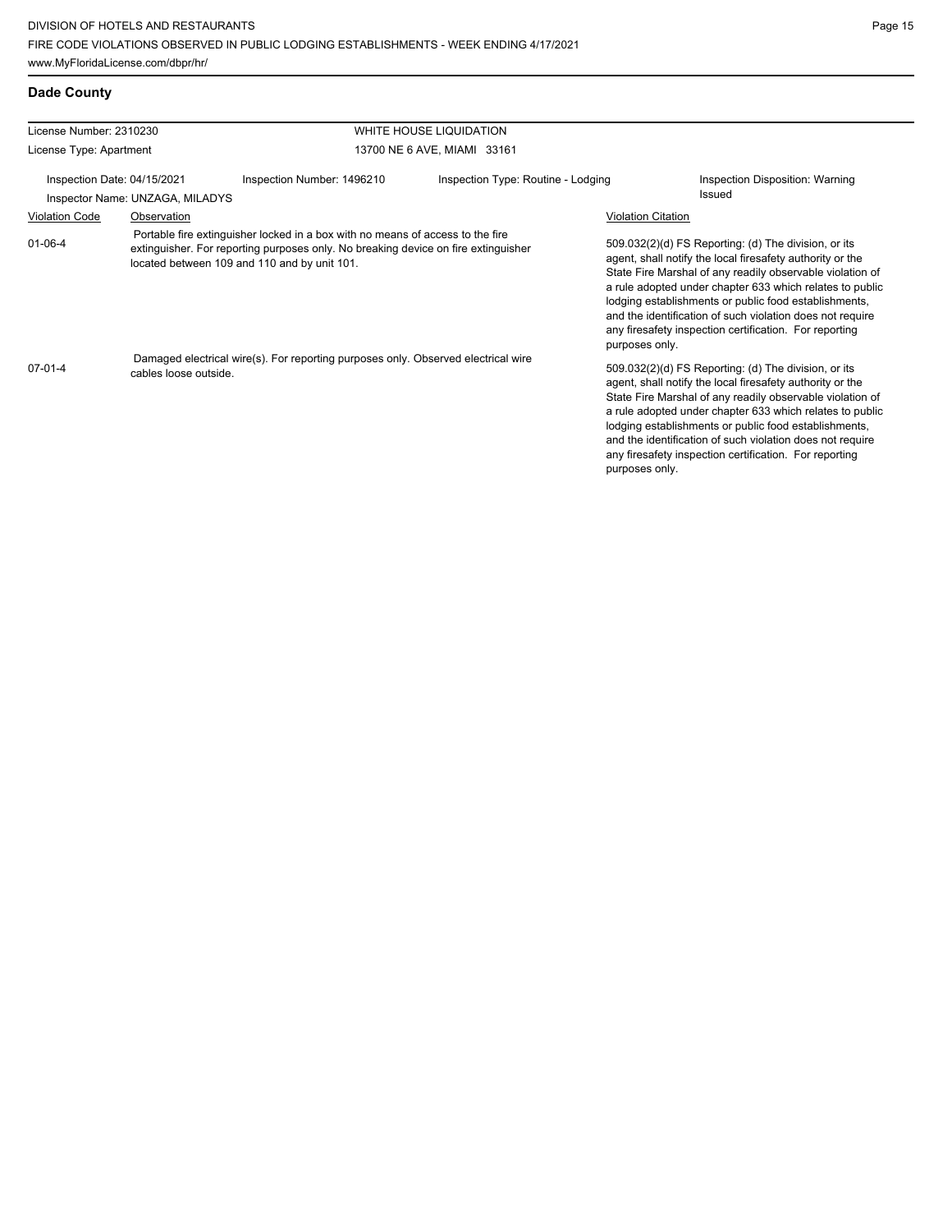| License Number: 2310230 |                                 |                                                                                                                                                                                                                      | WHITE HOUSE LIQUIDATION            |                                                                                                                                                                                                                                                                                                                                                                                                                                              |
|-------------------------|---------------------------------|----------------------------------------------------------------------------------------------------------------------------------------------------------------------------------------------------------------------|------------------------------------|----------------------------------------------------------------------------------------------------------------------------------------------------------------------------------------------------------------------------------------------------------------------------------------------------------------------------------------------------------------------------------------------------------------------------------------------|
| License Type: Apartment |                                 |                                                                                                                                                                                                                      | 13700 NE 6 AVE, MIAMI 33161        |                                                                                                                                                                                                                                                                                                                                                                                                                                              |
|                         | Inspection Date: 04/15/2021     | Inspection Number: 1496210                                                                                                                                                                                           | Inspection Type: Routine - Lodging | Inspection Disposition: Warning                                                                                                                                                                                                                                                                                                                                                                                                              |
|                         | Inspector Name: UNZAGA, MILADYS |                                                                                                                                                                                                                      |                                    | Issued                                                                                                                                                                                                                                                                                                                                                                                                                                       |
| <b>Violation Code</b>   | Observation                     |                                                                                                                                                                                                                      |                                    | <b>Violation Citation</b>                                                                                                                                                                                                                                                                                                                                                                                                                    |
| $01 - 06 - 4$           |                                 | Portable fire extinguisher locked in a box with no means of access to the fire<br>extinguisher. For reporting purposes only. No breaking device on fire extinguisher<br>located between 109 and 110 and by unit 101. |                                    | 509.032(2)(d) FS Reporting: (d) The division, or its<br>agent, shall notify the local firesafety authority or the<br>State Fire Marshal of any readily observable violation of<br>a rule adopted under chapter 633 which relates to public<br>lodging establishments or public food establishments,<br>and the identification of such violation does not require<br>any firesafety inspection certification. For reporting<br>purposes only. |
| $07-01-4$               | cables loose outside.           | Damaged electrical wire(s). For reporting purposes only. Observed electrical wire                                                                                                                                    |                                    | 509.032(2)(d) FS Reporting: (d) The division, or its<br>agent, shall notify the local firesafety authority or the<br>State Fire Marshal of any readily observable violation of<br>a rule adopted under chapter 633 which relates to public<br>lodging establishments or public food establishments,<br>and the identification of such violation does not require<br>any firesafety inspection certification. For reporting<br>purposes only. |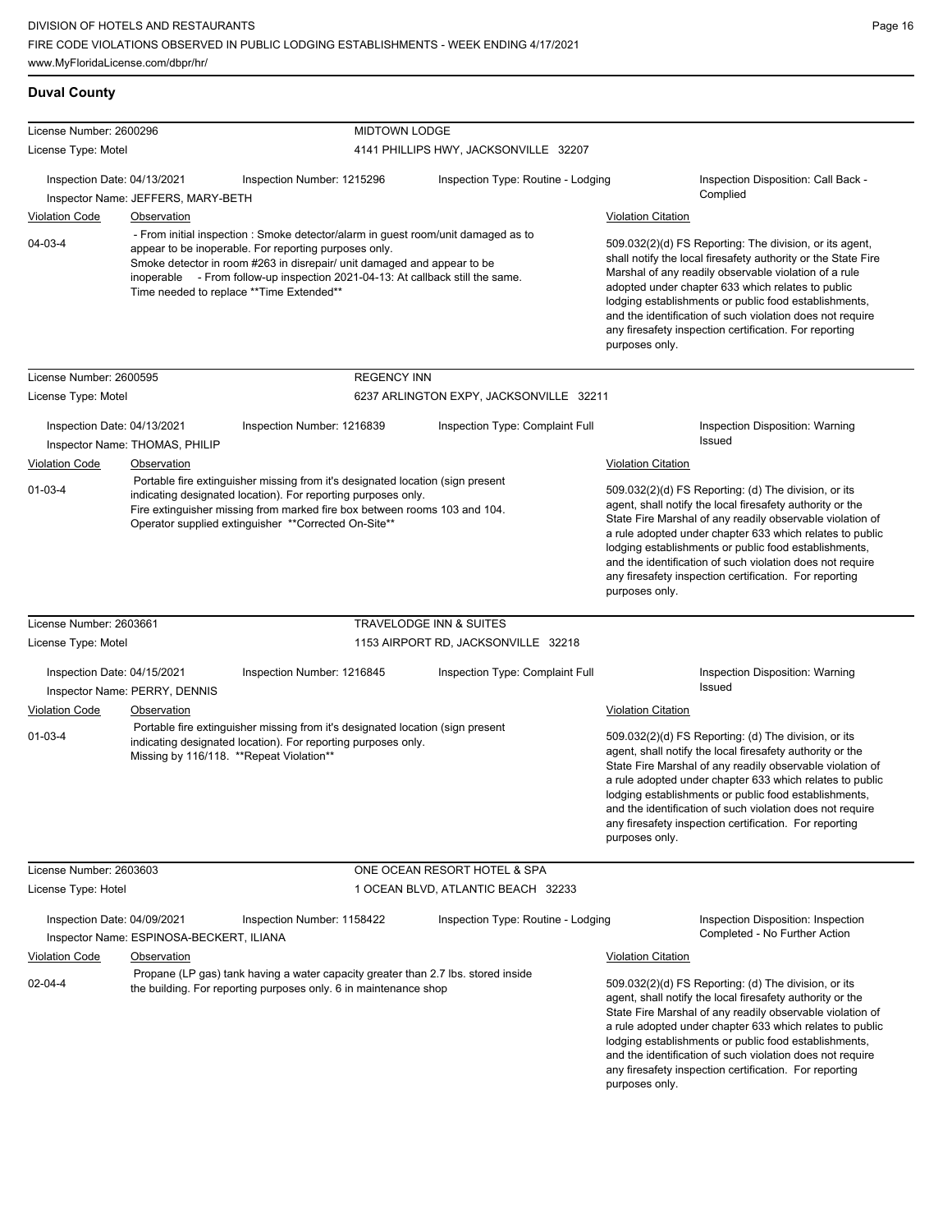**Duval County**

| License Number: 2600296     |                                          | <b>MIDTOWN LODGE</b>                                                                                                                                                                                                                                                                                                                                |                                         |                           |                                                                                                                                                                                                                                                                                                                                                                                                                            |
|-----------------------------|------------------------------------------|-----------------------------------------------------------------------------------------------------------------------------------------------------------------------------------------------------------------------------------------------------------------------------------------------------------------------------------------------------|-----------------------------------------|---------------------------|----------------------------------------------------------------------------------------------------------------------------------------------------------------------------------------------------------------------------------------------------------------------------------------------------------------------------------------------------------------------------------------------------------------------------|
| License Type: Motel         |                                          |                                                                                                                                                                                                                                                                                                                                                     | 4141 PHILLIPS HWY, JACKSONVILLE 32207   |                           |                                                                                                                                                                                                                                                                                                                                                                                                                            |
| Inspection Date: 04/13/2021 | Inspector Name: JEFFERS, MARY-BETH       | Inspection Number: 1215296                                                                                                                                                                                                                                                                                                                          | Inspection Type: Routine - Lodging      |                           | Inspection Disposition: Call Back -<br>Complied                                                                                                                                                                                                                                                                                                                                                                            |
| <b>Violation Code</b>       | <b>Observation</b>                       |                                                                                                                                                                                                                                                                                                                                                     |                                         | <b>Violation Citation</b> |                                                                                                                                                                                                                                                                                                                                                                                                                            |
| 04-03-4                     |                                          | - From initial inspection : Smoke detector/alarm in guest room/unit damaged as to<br>appear to be inoperable. For reporting purposes only.<br>Smoke detector in room #263 in disrepair/ unit damaged and appear to be<br>inoperable - From follow-up inspection 2021-04-13: At callback still the same.<br>Time needed to replace **Time Extended** |                                         | purposes only.            | 509.032(2)(d) FS Reporting: The division, or its agent,<br>shall notify the local firesafety authority or the State Fire<br>Marshal of any readily observable violation of a rule<br>adopted under chapter 633 which relates to public<br>lodging establishments or public food establishments,<br>and the identification of such violation does not require<br>any firesafety inspection certification. For reporting     |
| License Number: 2600595     |                                          | <b>REGENCY INN</b>                                                                                                                                                                                                                                                                                                                                  |                                         |                           |                                                                                                                                                                                                                                                                                                                                                                                                                            |
| License Type: Motel         |                                          |                                                                                                                                                                                                                                                                                                                                                     | 6237 ARLINGTON EXPY, JACKSONVILLE 32211 |                           |                                                                                                                                                                                                                                                                                                                                                                                                                            |
| Inspection Date: 04/13/2021 | Inspector Name: THOMAS, PHILIP           | Inspection Number: 1216839                                                                                                                                                                                                                                                                                                                          | Inspection Type: Complaint Full         |                           | Inspection Disposition: Warning<br>Issued                                                                                                                                                                                                                                                                                                                                                                                  |
| Violation Code              | <b>Observation</b>                       |                                                                                                                                                                                                                                                                                                                                                     |                                         | <b>Violation Citation</b> |                                                                                                                                                                                                                                                                                                                                                                                                                            |
| 01-03-4                     |                                          | Portable fire extinguisher missing from it's designated location (sign present<br>indicating designated location). For reporting purposes only.<br>Fire extinguisher missing from marked fire box between rooms 103 and 104.<br>Operator supplied extinguisher **Corrected On-Site**                                                                |                                         | purposes only.            | 509.032(2)(d) FS Reporting: (d) The division, or its<br>agent, shall notify the local firesafety authority or the<br>State Fire Marshal of any readily observable violation of<br>a rule adopted under chapter 633 which relates to public<br>lodging establishments or public food establishments,<br>and the identification of such violation does not require<br>any firesafety inspection certification. For reporting |
| License Number: 2603661     |                                          |                                                                                                                                                                                                                                                                                                                                                     | TRAVELODGE INN & SUITES                 |                           |                                                                                                                                                                                                                                                                                                                                                                                                                            |
| License Type: Motel         |                                          |                                                                                                                                                                                                                                                                                                                                                     | 1153 AIRPORT RD, JACKSONVILLE 32218     |                           |                                                                                                                                                                                                                                                                                                                                                                                                                            |
| Inspection Date: 04/15/2021 | Inspector Name: PERRY, DENNIS            | Inspection Number: 1216845                                                                                                                                                                                                                                                                                                                          | Inspection Type: Complaint Full         |                           | Inspection Disposition: Warning<br><b>Issued</b>                                                                                                                                                                                                                                                                                                                                                                           |
| Violation Code              | Observation                              |                                                                                                                                                                                                                                                                                                                                                     |                                         | <b>Violation Citation</b> |                                                                                                                                                                                                                                                                                                                                                                                                                            |
| 01-03-4                     | Missing by 116/118. **Repeat Violation** | Portable fire extinguisher missing from it's designated location (sign present<br>indicating designated location). For reporting purposes only.                                                                                                                                                                                                     |                                         | purposes only.            | 509.032(2)(d) FS Reporting: (d) The division, or its<br>agent, shall notify the local firesafety authority or the<br>State Fire Marshal of any readily observable violation of<br>a rule adopted under chapter 633 which relates to public<br>lodging establishments or public food establishments,<br>and the identification of such violation does not require<br>any firesafety inspection certification. For reporting |
| License Number: 2603603     |                                          |                                                                                                                                                                                                                                                                                                                                                     | ONE OCEAN RESORT HOTEL & SPA            |                           |                                                                                                                                                                                                                                                                                                                                                                                                                            |
| License Type: Hotel         |                                          |                                                                                                                                                                                                                                                                                                                                                     | 1 OCEAN BLVD, ATLANTIC BEACH 32233      |                           |                                                                                                                                                                                                                                                                                                                                                                                                                            |
| Inspection Date: 04/09/2021 | Inspector Name: ESPINOSA-BECKERT, ILIANA | Inspection Number: 1158422                                                                                                                                                                                                                                                                                                                          | Inspection Type: Routine - Lodging      |                           | <b>Inspection Disposition: Inspection</b><br>Completed - No Further Action                                                                                                                                                                                                                                                                                                                                                 |
| <b>Violation Code</b>       | Observation                              |                                                                                                                                                                                                                                                                                                                                                     |                                         | <b>Violation Citation</b> |                                                                                                                                                                                                                                                                                                                                                                                                                            |
| 02-04-4                     |                                          | Propane (LP gas) tank having a water capacity greater than 2.7 lbs. stored inside<br>the building. For reporting purposes only. 6 in maintenance shop                                                                                                                                                                                               |                                         |                           | 509.032(2)(d) FS Reporting: (d) The division, or its<br>agent, shall notify the local firesafety authority or the<br>State Fire Marshal of any readily observable violation of<br>a rule adopted under chapter 633 which relates to public<br>lodging establishments or public food establishments,<br>and the identification of such violation does not require<br>any firesafety inspection certification. For reporting |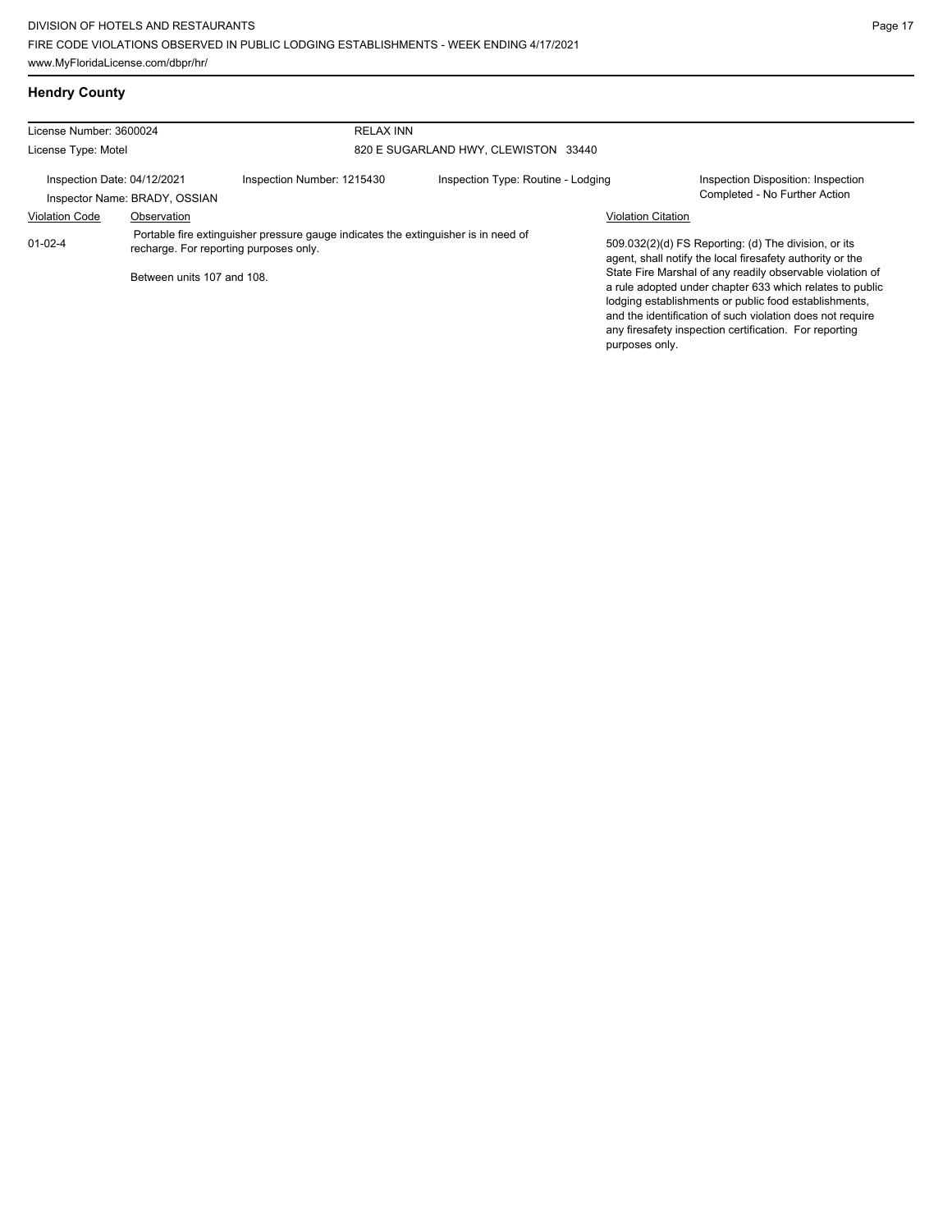# **Hendry County**

| License Number: 3600024                                                                                                                   |             |                            | <b>RELAX INN</b>                     |                           |                                                                                                                                                                                                                                                                                                       |  |  |
|-------------------------------------------------------------------------------------------------------------------------------------------|-------------|----------------------------|--------------------------------------|---------------------------|-------------------------------------------------------------------------------------------------------------------------------------------------------------------------------------------------------------------------------------------------------------------------------------------------------|--|--|
| License Type: Motel                                                                                                                       |             |                            | 820 E SUGARLAND HWY, CLEWISTON 33440 |                           |                                                                                                                                                                                                                                                                                                       |  |  |
| Inspection Date: 04/12/2021<br>Inspector Name: BRADY, OSSIAN                                                                              |             | Inspection Number: 1215430 | Inspection Type: Routine - Lodging   |                           | Inspection Disposition: Inspection<br>Completed - No Further Action                                                                                                                                                                                                                                   |  |  |
| <b>Violation Code</b>                                                                                                                     | Observation |                            |                                      | <b>Violation Citation</b> |                                                                                                                                                                                                                                                                                                       |  |  |
| Portable fire extinguisher pressure gauge indicates the extinguisher is in need of<br>$01-02-4$<br>recharge. For reporting purposes only. |             |                            |                                      |                           | 509.032(2)(d) FS Reporting: (d) The division, or its<br>agent, shall notify the local firesafety authority or the                                                                                                                                                                                     |  |  |
| Between units 107 and 108.                                                                                                                |             |                            |                                      | purposes only.            | State Fire Marshal of any readily observable violation of<br>a rule adopted under chapter 633 which relates to public<br>lodging establishments or public food establishments,<br>and the identification of such violation does not require<br>any firesafety inspection certification. For reporting |  |  |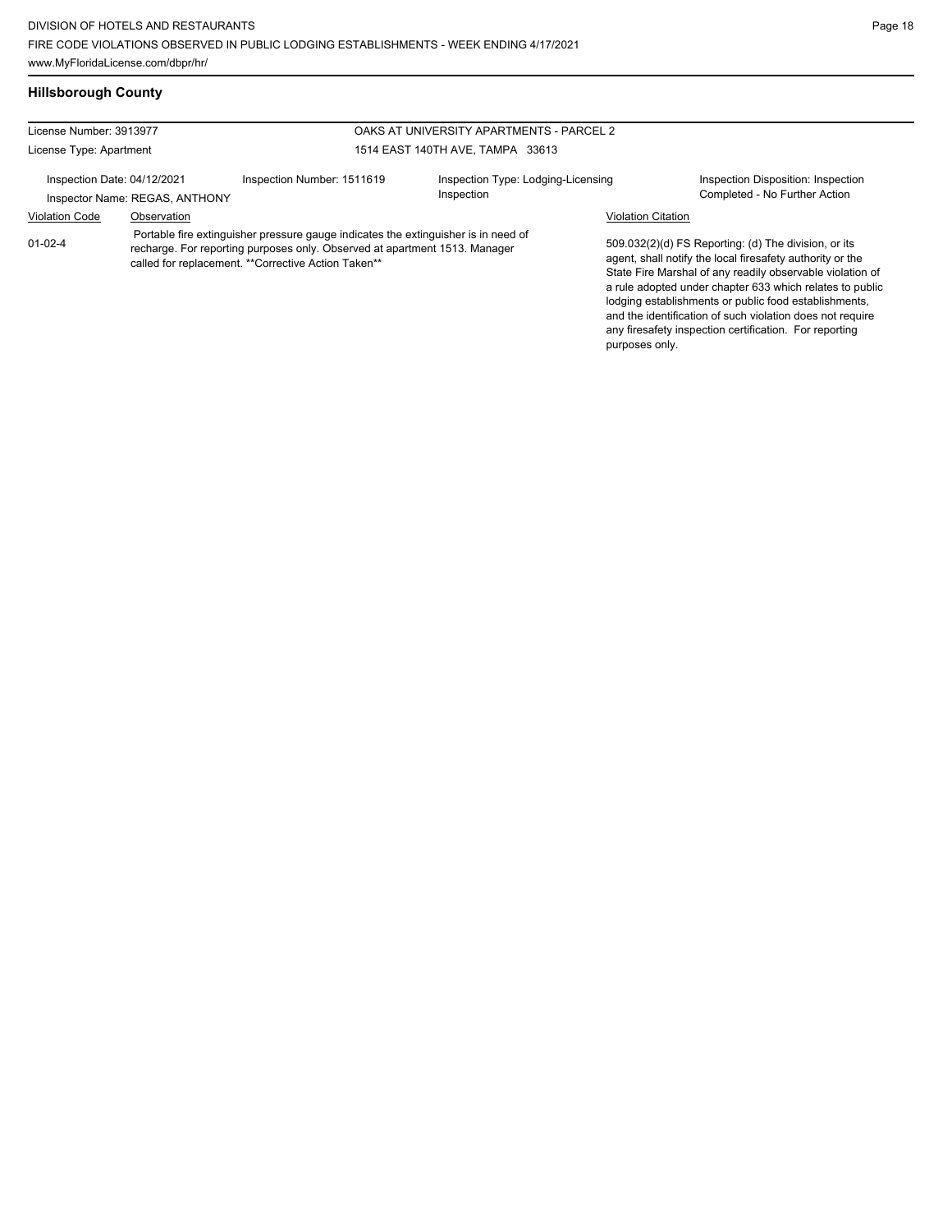# **Hillsborough County**

| License Number: 3913977<br>License Type: Apartment            |             |                                                                                                                                                                                                                          | OAKS AT UNIVERSITY APARTMENTS - PARCEL 2         |                           |                                                                                                                                                                                                                                                                                                                                                                                                                            |
|---------------------------------------------------------------|-------------|--------------------------------------------------------------------------------------------------------------------------------------------------------------------------------------------------------------------------|--------------------------------------------------|---------------------------|----------------------------------------------------------------------------------------------------------------------------------------------------------------------------------------------------------------------------------------------------------------------------------------------------------------------------------------------------------------------------------------------------------------------------|
|                                                               |             |                                                                                                                                                                                                                          | 1514 EAST 140TH AVE, TAMPA 33613                 |                           |                                                                                                                                                                                                                                                                                                                                                                                                                            |
| Inspection Date: 04/12/2021<br>Inspector Name: REGAS, ANTHONY |             | Inspection Number: 1511619                                                                                                                                                                                               | Inspection Type: Lodging-Licensing<br>Inspection |                           | Inspection Disposition: Inspection<br>Completed - No Further Action                                                                                                                                                                                                                                                                                                                                                        |
| <b>Violation Code</b>                                         | Observation |                                                                                                                                                                                                                          |                                                  | <b>Violation Citation</b> |                                                                                                                                                                                                                                                                                                                                                                                                                            |
| 01-02-4                                                       |             | Portable fire extinguisher pressure gauge indicates the extinguisher is in need of<br>recharge. For reporting purposes only. Observed at apartment 1513. Manager<br>called for replacement. ** Corrective Action Taken** |                                                  | purposes only.            | 509.032(2)(d) FS Reporting: (d) The division, or its<br>agent, shall notify the local firesafety authority or the<br>State Fire Marshal of any readily observable violation of<br>a rule adopted under chapter 633 which relates to public<br>lodging establishments or public food establishments,<br>and the identification of such violation does not require<br>any firesafety inspection certification. For reporting |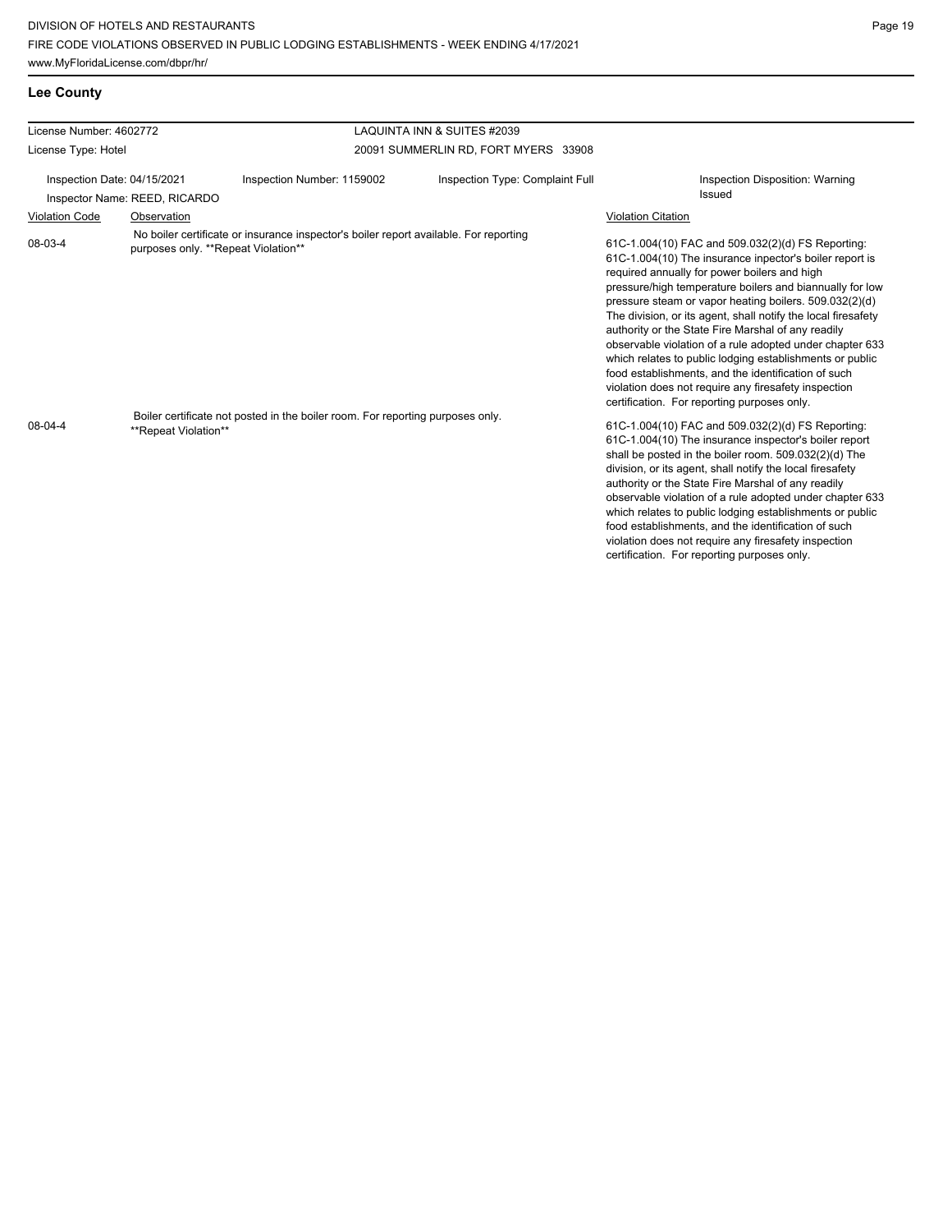| <b>Lee County</b> |
|-------------------|
|-------------------|

| License Type: Hotel<br>20091 SUMMERLIN RD, FORT MYERS 33908                                                                                                                                                                                                  |                                                                                                                                                                                                                                                                                                                                                                                                                                                                                                                                                                                                                                                                                                                                                                                                                                                                                                                                                                                                                                                                                                                                                                                                                                                                                 |
|--------------------------------------------------------------------------------------------------------------------------------------------------------------------------------------------------------------------------------------------------------------|---------------------------------------------------------------------------------------------------------------------------------------------------------------------------------------------------------------------------------------------------------------------------------------------------------------------------------------------------------------------------------------------------------------------------------------------------------------------------------------------------------------------------------------------------------------------------------------------------------------------------------------------------------------------------------------------------------------------------------------------------------------------------------------------------------------------------------------------------------------------------------------------------------------------------------------------------------------------------------------------------------------------------------------------------------------------------------------------------------------------------------------------------------------------------------------------------------------------------------------------------------------------------------|
| Inspection Date: 04/15/2021<br>Inspection Type: Complaint Full<br>Inspection Number: 1159002<br>Inspector Name: REED, RICARDO                                                                                                                                | Inspection Disposition: Warning<br>Issued                                                                                                                                                                                                                                                                                                                                                                                                                                                                                                                                                                                                                                                                                                                                                                                                                                                                                                                                                                                                                                                                                                                                                                                                                                       |
| <b>Violation Code</b><br><b>Violation Citation</b><br>Observation                                                                                                                                                                                            |                                                                                                                                                                                                                                                                                                                                                                                                                                                                                                                                                                                                                                                                                                                                                                                                                                                                                                                                                                                                                                                                                                                                                                                                                                                                                 |
| No boiler certificate or insurance inspector's boiler report available. For reporting<br>08-03-4<br>purposes only. **Repeat Violation**<br>Boiler certificate not posted in the boiler room. For reporting purposes only.<br>08-04-4<br>**Repeat Violation** | 61C-1.004(10) FAC and 509.032(2)(d) FS Reporting:<br>61C-1.004(10) The insurance inpector's boiler report is<br>required annually for power boilers and high<br>pressure/high temperature boilers and biannually for low<br>pressure steam or vapor heating boilers. 509.032(2)(d)<br>The division, or its agent, shall notify the local firesafety<br>authority or the State Fire Marshal of any readily<br>observable violation of a rule adopted under chapter 633<br>which relates to public lodging establishments or public<br>food establishments, and the identification of such<br>violation does not require any firesafety inspection<br>certification. For reporting purposes only.<br>61C-1.004(10) FAC and 509.032(2)(d) FS Reporting:<br>61C-1.004(10) The insurance inspector's boiler report<br>shall be posted in the boiler room. 509.032(2)(d) The<br>division, or its agent, shall notify the local firesafety<br>authority or the State Fire Marshal of any readily<br>observable violation of a rule adopted under chapter 633<br>which relates to public lodging establishments or public<br>food establishments, and the identification of such<br>violation does not require any firesafety inspection<br>certification. For reporting purposes only. |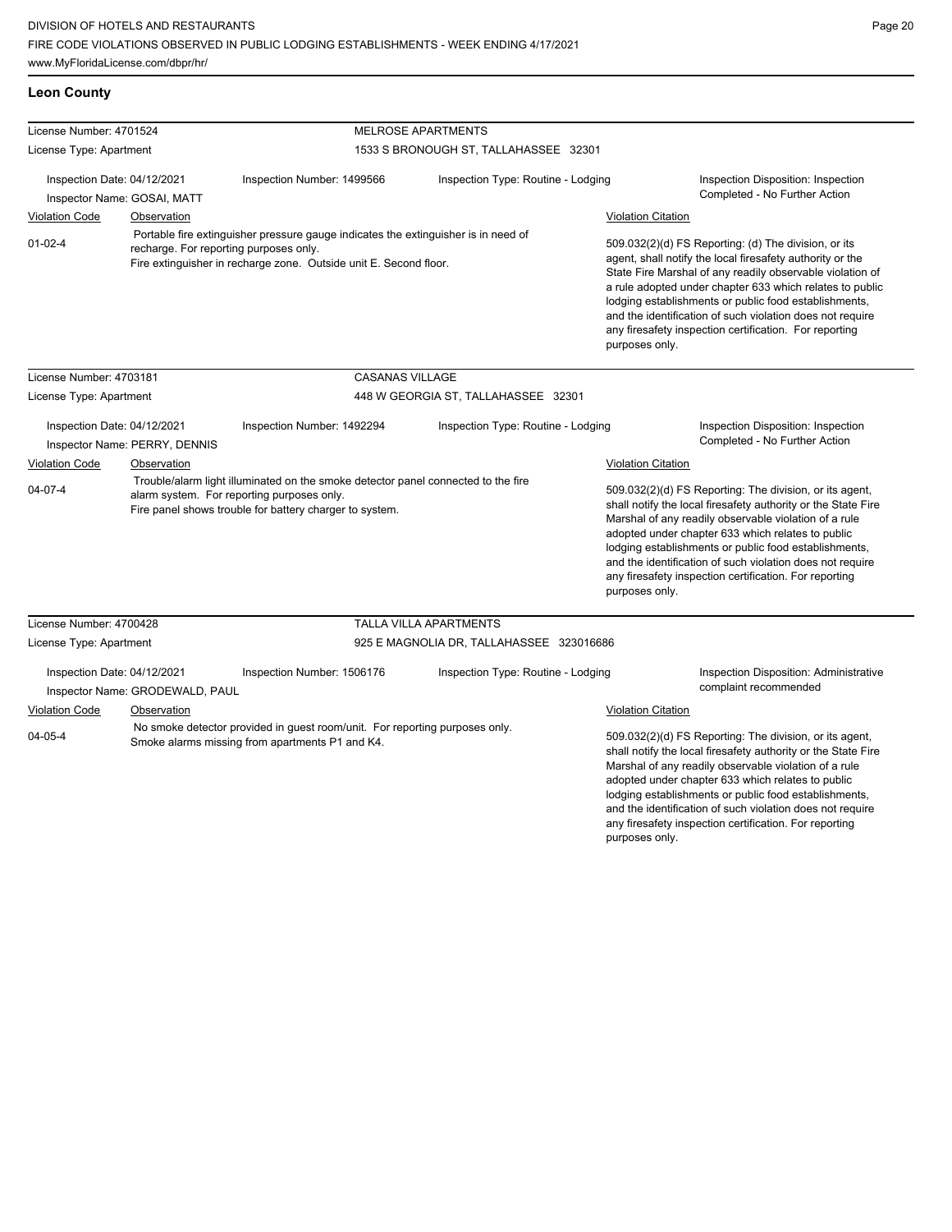## **Leon County**

| License Number: 4701524                                                                                                                                                                                            |                                                                |                                                                                                                                                                                            | <b>MELROSE APARTMENTS</b>                |                           |                                                                                                                                                                                                                                                                                                                                                                                                                                              |  |
|--------------------------------------------------------------------------------------------------------------------------------------------------------------------------------------------------------------------|----------------------------------------------------------------|--------------------------------------------------------------------------------------------------------------------------------------------------------------------------------------------|------------------------------------------|---------------------------|----------------------------------------------------------------------------------------------------------------------------------------------------------------------------------------------------------------------------------------------------------------------------------------------------------------------------------------------------------------------------------------------------------------------------------------------|--|
| License Type: Apartment                                                                                                                                                                                            |                                                                | 1533 S BRONOUGH ST, TALLAHASSEE 32301                                                                                                                                                      |                                          |                           |                                                                                                                                                                                                                                                                                                                                                                                                                                              |  |
| Inspection Date: 04/12/2021<br>Inspector Name: GOSAI, MATT                                                                                                                                                         |                                                                | Inspection Number: 1499566                                                                                                                                                                 | Inspection Type: Routine - Lodging       |                           | Inspection Disposition: Inspection<br>Completed - No Further Action                                                                                                                                                                                                                                                                                                                                                                          |  |
|                                                                                                                                                                                                                    |                                                                |                                                                                                                                                                                            |                                          |                           |                                                                                                                                                                                                                                                                                                                                                                                                                                              |  |
| <b>Violation Code</b>                                                                                                                                                                                              | Observation                                                    |                                                                                                                                                                                            |                                          | <b>Violation Citation</b> |                                                                                                                                                                                                                                                                                                                                                                                                                                              |  |
| Portable fire extinguisher pressure gauge indicates the extinguisher is in need of<br>$01 - 02 - 4$<br>recharge. For reporting purposes only.<br>Fire extinguisher in recharge zone. Outside unit E. Second floor. |                                                                |                                                                                                                                                                                            |                                          |                           | 509.032(2)(d) FS Reporting: (d) The division, or its<br>agent, shall notify the local firesafety authority or the<br>State Fire Marshal of any readily observable violation of<br>a rule adopted under chapter 633 which relates to public<br>lodging establishments or public food establishments,<br>and the identification of such violation does not require<br>any firesafety inspection certification. For reporting<br>purposes only. |  |
| License Number: 4703181                                                                                                                                                                                            |                                                                | <b>CASANAS VILLAGE</b>                                                                                                                                                                     |                                          |                           |                                                                                                                                                                                                                                                                                                                                                                                                                                              |  |
| License Type: Apartment                                                                                                                                                                                            |                                                                |                                                                                                                                                                                            | 448 W GEORGIA ST, TALLAHASSEE 32301      |                           |                                                                                                                                                                                                                                                                                                                                                                                                                                              |  |
|                                                                                                                                                                                                                    | Inspection Date: 04/12/2021<br>Inspector Name: PERRY, DENNIS   | Inspection Number: 1492294                                                                                                                                                                 | Inspection Type: Routine - Lodging       |                           | Inspection Disposition: Inspection<br>Completed - No Further Action                                                                                                                                                                                                                                                                                                                                                                          |  |
| <b>Violation Code</b>                                                                                                                                                                                              | Observation                                                    |                                                                                                                                                                                            |                                          | <b>Violation Citation</b> |                                                                                                                                                                                                                                                                                                                                                                                                                                              |  |
| $04 - 07 - 4$                                                                                                                                                                                                      |                                                                | Trouble/alarm light illuminated on the smoke detector panel connected to the fire<br>alarm system. For reporting purposes only.<br>Fire panel shows trouble for battery charger to system. |                                          | purposes only.            | 509.032(2)(d) FS Reporting: The division, or its agent,<br>shall notify the local firesafety authority or the State Fire<br>Marshal of any readily observable violation of a rule<br>adopted under chapter 633 which relates to public<br>lodging establishments or public food establishments,<br>and the identification of such violation does not require<br>any firesafety inspection certification. For reporting                       |  |
| License Number: 4700428                                                                                                                                                                                            |                                                                |                                                                                                                                                                                            | <b>TALLA VILLA APARTMENTS</b>            |                           |                                                                                                                                                                                                                                                                                                                                                                                                                                              |  |
| License Type: Apartment                                                                                                                                                                                            |                                                                |                                                                                                                                                                                            | 925 E MAGNOLIA DR, TALLAHASSEE 323016686 |                           |                                                                                                                                                                                                                                                                                                                                                                                                                                              |  |
|                                                                                                                                                                                                                    | Inspection Date: 04/12/2021<br>Inspector Name: GRODEWALD, PAUL | Inspection Number: 1506176                                                                                                                                                                 | Inspection Type: Routine - Lodging       |                           | Inspection Disposition: Administrative<br>complaint recommended                                                                                                                                                                                                                                                                                                                                                                              |  |
| <b>Violation Code</b><br>Observation<br>No smoke detector provided in guest room/unit. For reporting purposes only.<br>04-05-4<br>Smoke alarms missing from apartments P1 and K4.                                  |                                                                |                                                                                                                                                                                            |                                          | <b>Violation Citation</b> |                                                                                                                                                                                                                                                                                                                                                                                                                                              |  |
|                                                                                                                                                                                                                    |                                                                |                                                                                                                                                                                            |                                          |                           | 509.032(2)(d) FS Reporting: The division, or its agent,<br>shall notify the local firesafety authority or the State Fire<br>Marshal of any readily observable violation of a rule<br>adopted under chapter 633 which relates to public<br>lodging establishments or public food establishments,<br>and the identification of such violation does not require<br>any firesafety inspection certification. For reporting                       |  |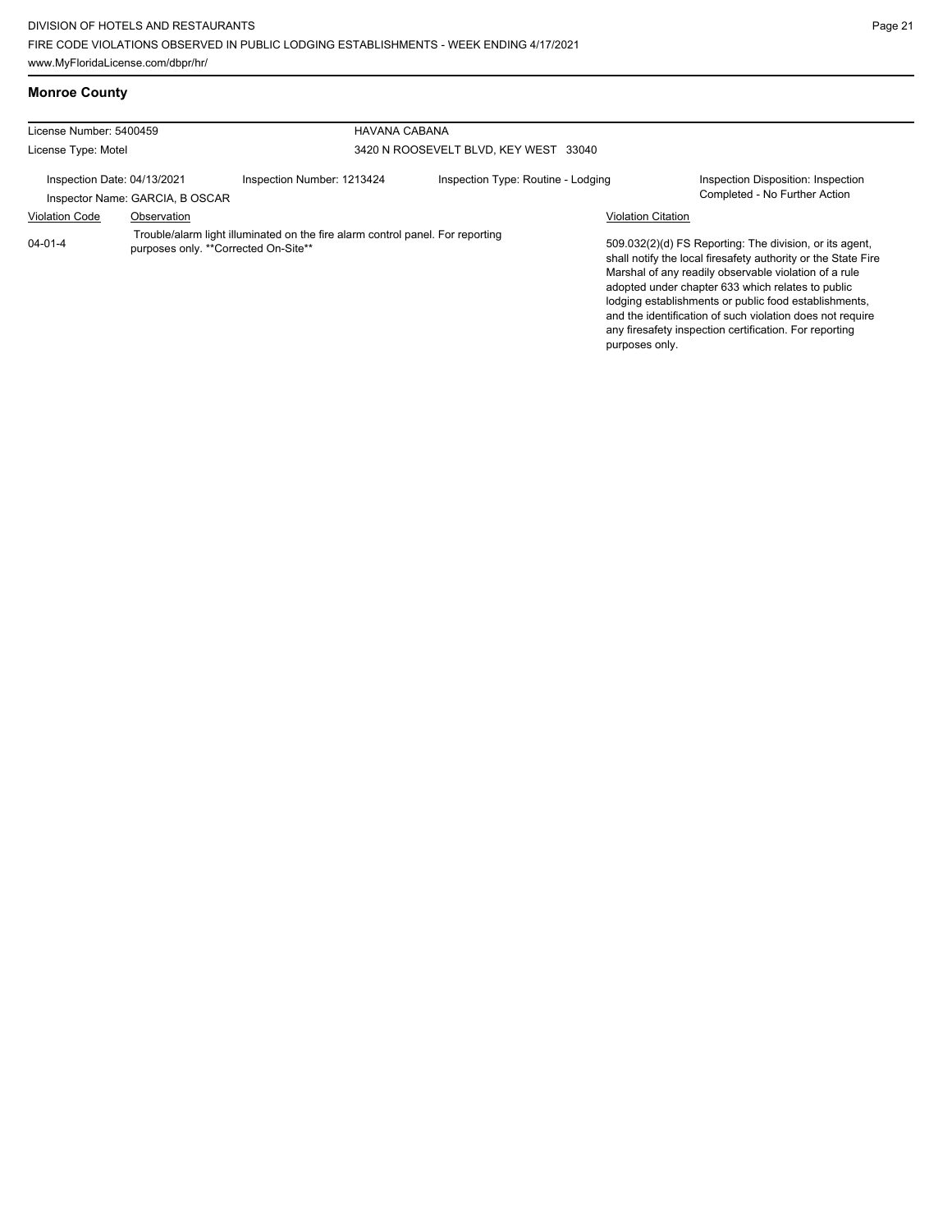| <b>Monroe County</b> |  |
|----------------------|--|
|                      |  |

| License Number: 5400459     |                                 | <b>HAVANA CABANA</b>                                                                                                   |                                       |                           |                                                                                                                                                                                                                                                                                                                                                                                                                        |
|-----------------------------|---------------------------------|------------------------------------------------------------------------------------------------------------------------|---------------------------------------|---------------------------|------------------------------------------------------------------------------------------------------------------------------------------------------------------------------------------------------------------------------------------------------------------------------------------------------------------------------------------------------------------------------------------------------------------------|
|                             |                                 |                                                                                                                        |                                       |                           |                                                                                                                                                                                                                                                                                                                                                                                                                        |
| License Type: Motel         |                                 |                                                                                                                        | 3420 N ROOSEVELT BLVD. KEY WEST 33040 |                           |                                                                                                                                                                                                                                                                                                                                                                                                                        |
| Inspection Date: 04/13/2021 | Inspector Name: GARCIA, B OSCAR | Inspection Number: 1213424                                                                                             | Inspection Type: Routine - Lodging    |                           | Inspection Disposition: Inspection<br>Completed - No Further Action                                                                                                                                                                                                                                                                                                                                                    |
| <b>Violation Code</b>       | Observation                     |                                                                                                                        |                                       | <b>Violation Citation</b> |                                                                                                                                                                                                                                                                                                                                                                                                                        |
| $04 - 01 - 4$               |                                 | Trouble/alarm light illuminated on the fire alarm control panel. For reporting<br>purposes only. **Corrected On-Site** |                                       | purposes only.            | 509.032(2)(d) FS Reporting: The division, or its agent,<br>shall notify the local firesafety authority or the State Fire<br>Marshal of any readily observable violation of a rule<br>adopted under chapter 633 which relates to public<br>lodging establishments or public food establishments,<br>and the identification of such violation does not require<br>any firesafety inspection certification. For reporting |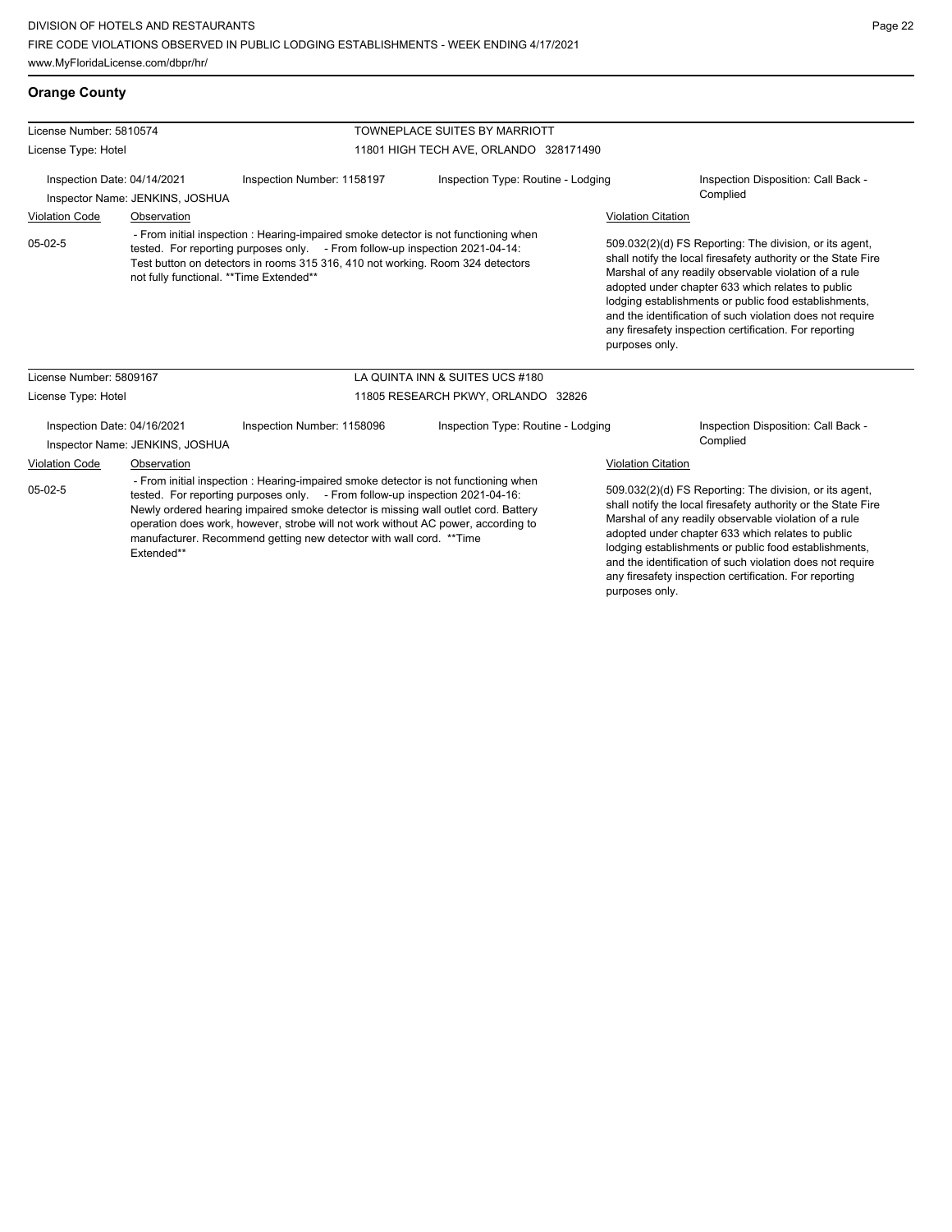## **Orange County**

| License Number: 5810574                                                                                                                                                                                                                                                                                                                                                                                                                           |                                 |                                                                                                                                                                                                                                                                                                   | <b>TOWNEPLACE SUITES BY MARRIOTT</b>   |                           |                                                                                                                                                                                                                                                                                                                                                                                                                        |
|---------------------------------------------------------------------------------------------------------------------------------------------------------------------------------------------------------------------------------------------------------------------------------------------------------------------------------------------------------------------------------------------------------------------------------------------------|---------------------------------|---------------------------------------------------------------------------------------------------------------------------------------------------------------------------------------------------------------------------------------------------------------------------------------------------|----------------------------------------|---------------------------|------------------------------------------------------------------------------------------------------------------------------------------------------------------------------------------------------------------------------------------------------------------------------------------------------------------------------------------------------------------------------------------------------------------------|
| License Type: Hotel                                                                                                                                                                                                                                                                                                                                                                                                                               |                                 |                                                                                                                                                                                                                                                                                                   | 11801 HIGH TECH AVE, ORLANDO 328171490 |                           |                                                                                                                                                                                                                                                                                                                                                                                                                        |
| Inspection Date: 04/14/2021                                                                                                                                                                                                                                                                                                                                                                                                                       | Inspector Name: JENKINS, JOSHUA | Inspection Number: 1158197                                                                                                                                                                                                                                                                        | Inspection Type: Routine - Lodging     |                           | Inspection Disposition: Call Back -<br>Complied                                                                                                                                                                                                                                                                                                                                                                        |
| <b>Violation Code</b>                                                                                                                                                                                                                                                                                                                                                                                                                             | Observation                     |                                                                                                                                                                                                                                                                                                   |                                        | <b>Violation Citation</b> |                                                                                                                                                                                                                                                                                                                                                                                                                        |
| $05-02-5$                                                                                                                                                                                                                                                                                                                                                                                                                                         |                                 | - From initial inspection : Hearing-impaired smoke detector is not functioning when<br>tested. For reporting purposes only. - From follow-up inspection 2021-04-14:<br>Test button on detectors in rooms 315 316, 410 not working. Room 324 detectors<br>not fully functional. ** Time Extended** |                                        | purposes only.            | 509.032(2)(d) FS Reporting: The division, or its agent,<br>shall notify the local firesafety authority or the State Fire<br>Marshal of any readily observable violation of a rule<br>adopted under chapter 633 which relates to public<br>lodging establishments or public food establishments,<br>and the identification of such violation does not require<br>any firesafety inspection certification. For reporting |
| License Number: 5809167                                                                                                                                                                                                                                                                                                                                                                                                                           |                                 |                                                                                                                                                                                                                                                                                                   | LA QUINTA INN & SUITES UCS #180        |                           |                                                                                                                                                                                                                                                                                                                                                                                                                        |
| License Type: Hotel                                                                                                                                                                                                                                                                                                                                                                                                                               |                                 |                                                                                                                                                                                                                                                                                                   | 11805 RESEARCH PKWY, ORLANDO 32826     |                           |                                                                                                                                                                                                                                                                                                                                                                                                                        |
| Inspection Date: 04/16/2021                                                                                                                                                                                                                                                                                                                                                                                                                       | Inspector Name: JENKINS, JOSHUA | Inspection Number: 1158096                                                                                                                                                                                                                                                                        | Inspection Type: Routine - Lodging     |                           | Inspection Disposition: Call Back -<br>Complied                                                                                                                                                                                                                                                                                                                                                                        |
| Violation Code                                                                                                                                                                                                                                                                                                                                                                                                                                    | Observation                     |                                                                                                                                                                                                                                                                                                   |                                        | Violation Citation        |                                                                                                                                                                                                                                                                                                                                                                                                                        |
| - From initial inspection : Hearing-impaired smoke detector is not functioning when<br>$05-02-5$<br>tested. For reporting purposes only. - From follow-up inspection 2021-04-16:<br>Newly ordered hearing impaired smoke detector is missing wall outlet cord. Battery<br>operation does work, however, strobe will not work without AC power, according to<br>manufacturer. Recommend getting new detector with wall cord. ** Time<br>Extended** |                                 |                                                                                                                                                                                                                                                                                                   |                                        |                           | 509.032(2)(d) FS Reporting: The division, or its agent,<br>shall notify the local firesafety authority or the State Fire<br>Marshal of any readily observable violation of a rule<br>adopted under chapter 633 which relates to public<br>lodging establishments or public food establishments,<br>and the identification of such violation does not require<br>any firesafety inspection certification. For reporting |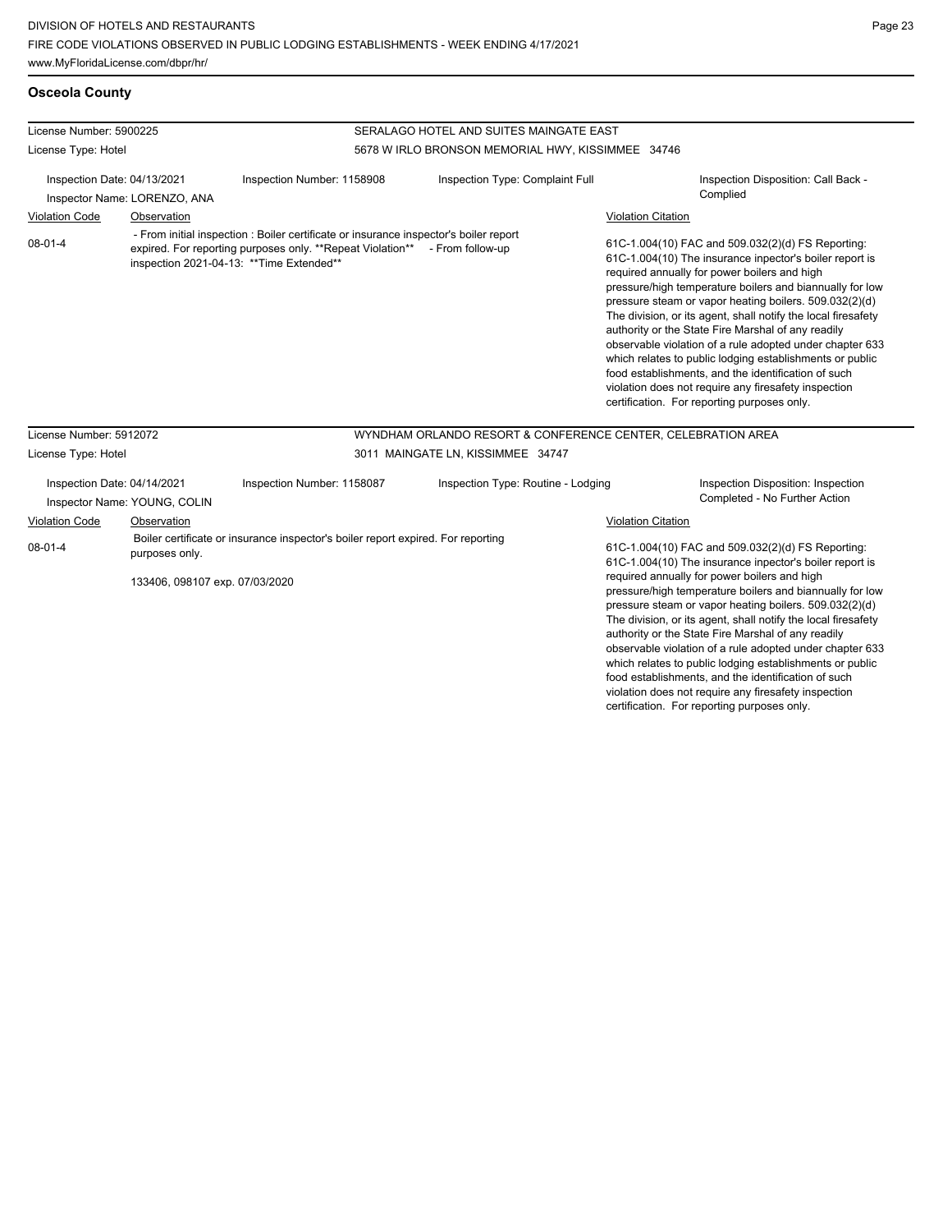violation does not require any firesafety inspection certification. For reporting purposes only.

## **Osceola County**

| License Number: 5900225                                     |                                                             |                                                                                                                                                                                                                   | SERALAGO HOTEL AND SUITES MAINGATE EAST           |                                                                                                                                                                                                                                                                                                                                                                                                                                                                                                                                                                                                                                                                                                                              |  |  |  |
|-------------------------------------------------------------|-------------------------------------------------------------|-------------------------------------------------------------------------------------------------------------------------------------------------------------------------------------------------------------------|---------------------------------------------------|------------------------------------------------------------------------------------------------------------------------------------------------------------------------------------------------------------------------------------------------------------------------------------------------------------------------------------------------------------------------------------------------------------------------------------------------------------------------------------------------------------------------------------------------------------------------------------------------------------------------------------------------------------------------------------------------------------------------------|--|--|--|
| License Type: Hotel                                         |                                                             |                                                                                                                                                                                                                   | 5678 W IRLO BRONSON MEMORIAL HWY, KISSIMMEE 34746 |                                                                                                                                                                                                                                                                                                                                                                                                                                                                                                                                                                                                                                                                                                                              |  |  |  |
| Inspection Date: 04/13/2021<br>Inspector Name: LORENZO, ANA |                                                             | Inspection Number: 1158908                                                                                                                                                                                        | Inspection Type: Complaint Full                   | Inspection Disposition: Call Back -<br>Complied                                                                                                                                                                                                                                                                                                                                                                                                                                                                                                                                                                                                                                                                              |  |  |  |
| <b>Violation Code</b><br>$08 - 01 - 4$                      | Observation                                                 | - From initial inspection : Boiler certificate or insurance inspector's boiler report<br>expired. For reporting purposes only. **Repeat Violation** - From follow-up<br>inspection 2021-04-13: ** Time Extended** |                                                   | <b>Violation Citation</b><br>61C-1.004(10) FAC and 509.032(2)(d) FS Reporting:<br>61C-1.004(10) The insurance inpector's boiler report is<br>required annually for power boilers and high<br>pressure/high temperature boilers and biannually for low<br>pressure steam or vapor heating boilers. 509.032(2)(d)<br>The division, or its agent, shall notify the local firesafety<br>authority or the State Fire Marshal of any readily<br>observable violation of a rule adopted under chapter 633<br>which relates to public lodging establishments or public<br>food establishments, and the identification of such<br>violation does not require any firesafety inspection<br>certification. For reporting purposes only. |  |  |  |
| License Number: 5912072                                     |                                                             |                                                                                                                                                                                                                   |                                                   | WYNDHAM ORLANDO RESORT & CONFERENCE CENTER, CELEBRATION AREA                                                                                                                                                                                                                                                                                                                                                                                                                                                                                                                                                                                                                                                                 |  |  |  |
| License Type: Hotel                                         |                                                             |                                                                                                                                                                                                                   | 3011 MAINGATE LN, KISSIMMEE 34747                 |                                                                                                                                                                                                                                                                                                                                                                                                                                                                                                                                                                                                                                                                                                                              |  |  |  |
|                                                             | Inspection Date: 04/14/2021<br>Inspector Name: YOUNG, COLIN | Inspection Number: 1158087                                                                                                                                                                                        | Inspection Type: Routine - Lodging                | Inspection Disposition: Inspection<br>Completed - No Further Action                                                                                                                                                                                                                                                                                                                                                                                                                                                                                                                                                                                                                                                          |  |  |  |
| <b>Violation Code</b>                                       | Observation                                                 |                                                                                                                                                                                                                   |                                                   | <b>Violation Citation</b>                                                                                                                                                                                                                                                                                                                                                                                                                                                                                                                                                                                                                                                                                                    |  |  |  |
| $08 - 01 - 4$<br>purposes only.                             |                                                             | Boiler certificate or insurance inspector's boiler report expired. For reporting                                                                                                                                  |                                                   | 61C-1.004(10) FAC and 509.032(2)(d) FS Reporting:<br>61C-1.004(10) The insurance inpector's boiler report is<br>required annually for power boilers and high                                                                                                                                                                                                                                                                                                                                                                                                                                                                                                                                                                 |  |  |  |
|                                                             | 133406, 098107 exp. 07/03/2020                              |                                                                                                                                                                                                                   |                                                   | pressure/high temperature boilers and biannually for low<br>pressure steam or vapor heating boilers. 509.032(2)(d)<br>The division, or its agent, shall notify the local firesafety<br>authority or the State Fire Marshal of any readily<br>observable violation of a rule adopted under chapter 633<br>which relates to public lodging establishments or public<br>food establishments, and the identification of such                                                                                                                                                                                                                                                                                                     |  |  |  |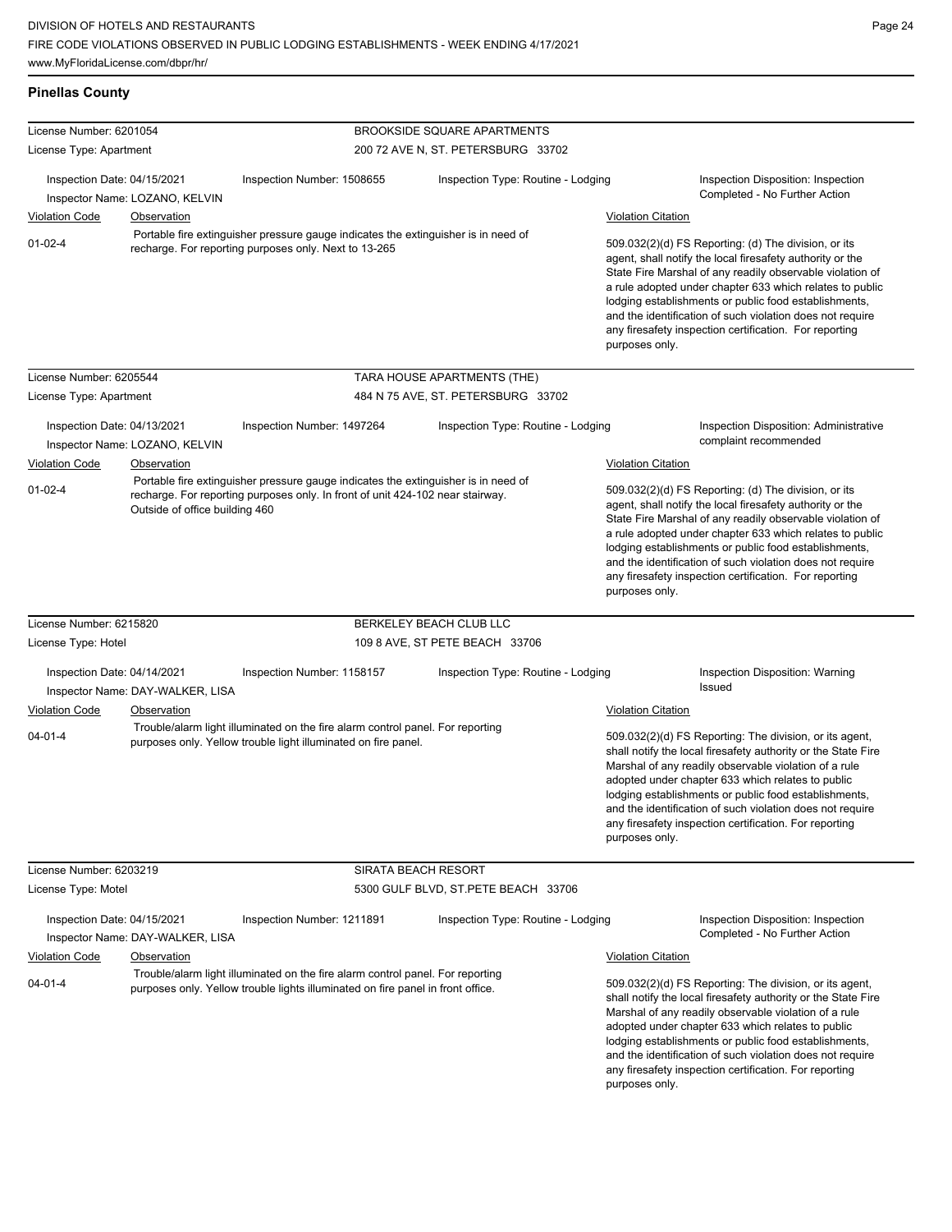| <b>Pinellas County</b>                                                                                                                                       |                                                 |                                                                                                                                                                   |                                     |                           |                                                                                                                                                                                                                                                                                                                                                                                                                                              |  |
|--------------------------------------------------------------------------------------------------------------------------------------------------------------|-------------------------------------------------|-------------------------------------------------------------------------------------------------------------------------------------------------------------------|-------------------------------------|---------------------------|----------------------------------------------------------------------------------------------------------------------------------------------------------------------------------------------------------------------------------------------------------------------------------------------------------------------------------------------------------------------------------------------------------------------------------------------|--|
| License Number: 6201054                                                                                                                                      |                                                 |                                                                                                                                                                   | <b>BROOKSIDE SQUARE APARTMENTS</b>  |                           |                                                                                                                                                                                                                                                                                                                                                                                                                                              |  |
| License Type: Apartment                                                                                                                                      |                                                 |                                                                                                                                                                   | 200 72 AVE N, ST. PETERSBURG 33702  |                           |                                                                                                                                                                                                                                                                                                                                                                                                                                              |  |
| Inspection Date: 04/15/2021                                                                                                                                  |                                                 | Inspection Number: 1508655                                                                                                                                        | Inspection Type: Routine - Lodging  |                           | Inspection Disposition: Inspection<br>Completed - No Further Action                                                                                                                                                                                                                                                                                                                                                                          |  |
|                                                                                                                                                              | Inspector Name: LOZANO, KELVIN                  |                                                                                                                                                                   |                                     |                           |                                                                                                                                                                                                                                                                                                                                                                                                                                              |  |
| <b>Violation Code</b>                                                                                                                                        | Observation                                     |                                                                                                                                                                   |                                     | <b>Violation Citation</b> |                                                                                                                                                                                                                                                                                                                                                                                                                                              |  |
| Portable fire extinguisher pressure gauge indicates the extinguisher is in need of<br>$01 - 02 - 4$<br>recharge. For reporting purposes only. Next to 13-265 |                                                 |                                                                                                                                                                   |                                     |                           | 509.032(2)(d) FS Reporting: (d) The division, or its<br>agent, shall notify the local firesafety authority or the<br>State Fire Marshal of any readily observable violation of<br>a rule adopted under chapter 633 which relates to public<br>lodging establishments or public food establishments,<br>and the identification of such violation does not require<br>any firesafety inspection certification. For reporting<br>purposes only. |  |
| License Number: 6205544                                                                                                                                      |                                                 |                                                                                                                                                                   | TARA HOUSE APARTMENTS (THE)         |                           |                                                                                                                                                                                                                                                                                                                                                                                                                                              |  |
| License Type: Apartment                                                                                                                                      |                                                 |                                                                                                                                                                   | 484 N 75 AVE, ST. PETERSBURG 33702  |                           |                                                                                                                                                                                                                                                                                                                                                                                                                                              |  |
|                                                                                                                                                              |                                                 |                                                                                                                                                                   |                                     |                           |                                                                                                                                                                                                                                                                                                                                                                                                                                              |  |
| Inspection Date: 04/13/2021                                                                                                                                  |                                                 | Inspection Number: 1497264                                                                                                                                        | Inspection Type: Routine - Lodging  |                           | <b>Inspection Disposition: Administrative</b><br>complaint recommended                                                                                                                                                                                                                                                                                                                                                                       |  |
|                                                                                                                                                              | Inspector Name: LOZANO, KELVIN                  |                                                                                                                                                                   |                                     |                           |                                                                                                                                                                                                                                                                                                                                                                                                                                              |  |
| Violation Code                                                                                                                                               | Observation                                     | Portable fire extinguisher pressure gauge indicates the extinguisher is in need of                                                                                |                                     | <b>Violation Citation</b> |                                                                                                                                                                                                                                                                                                                                                                                                                                              |  |
| $01 - 02 - 4$<br>Outside of office building 460                                                                                                              |                                                 | recharge. For reporting purposes only. In front of unit 424-102 near stairway.                                                                                    |                                     | purposes only.            | 509.032(2)(d) FS Reporting: (d) The division, or its<br>agent, shall notify the local firesafety authority or the<br>State Fire Marshal of any readily observable violation of<br>a rule adopted under chapter 633 which relates to public<br>lodging establishments or public food establishments,<br>and the identification of such violation does not require<br>any firesafety inspection certification. For reporting                   |  |
| License Number: 6215820                                                                                                                                      |                                                 |                                                                                                                                                                   | BERKELEY BEACH CLUB LLC             |                           |                                                                                                                                                                                                                                                                                                                                                                                                                                              |  |
| License Type: Hotel                                                                                                                                          |                                                 |                                                                                                                                                                   | 109 8 AVE, ST PETE BEACH 33706      |                           |                                                                                                                                                                                                                                                                                                                                                                                                                                              |  |
| Inspection Date: 04/14/2021                                                                                                                                  |                                                 | Inspection Number: 1158157                                                                                                                                        | Inspection Type: Routine - Lodging  |                           | Inspection Disposition: Warning<br>Issued                                                                                                                                                                                                                                                                                                                                                                                                    |  |
| <b>Violation Code</b>                                                                                                                                        | Inspector Name: DAY-WALKER, LISA<br>Observation |                                                                                                                                                                   |                                     | <b>Violation Citation</b> |                                                                                                                                                                                                                                                                                                                                                                                                                                              |  |
| $04 - 01 - 4$                                                                                                                                                |                                                 | Trouble/alarm light illuminated on the fire alarm control panel. For reporting<br>purposes only. Yellow trouble light illuminated on fire panel.                  |                                     | purposes only.            | 509.032(2)(d) FS Reporting: The division, or its agent,<br>shall notify the local firesafety authority or the State Fire<br>Marshal of any readily observable violation of a rule<br>adopted under chapter 633 which relates to public<br>lodging establishments or public food establishments,<br>and the identification of such violation does not require<br>any firesafety inspection certification. For reporting                       |  |
| License Number: 6203219                                                                                                                                      |                                                 |                                                                                                                                                                   | SIRATA BEACH RESORT                 |                           |                                                                                                                                                                                                                                                                                                                                                                                                                                              |  |
| License Type: Motel                                                                                                                                          |                                                 |                                                                                                                                                                   | 5300 GULF BLVD, ST.PETE BEACH 33706 |                           |                                                                                                                                                                                                                                                                                                                                                                                                                                              |  |
| Inspection Date: 04/15/2021                                                                                                                                  | Inspector Name: DAY-WALKER, LISA                | Inspection Number: 1211891                                                                                                                                        | Inspection Type: Routine - Lodging  |                           | Inspection Disposition: Inspection<br>Completed - No Further Action                                                                                                                                                                                                                                                                                                                                                                          |  |
| <b>Violation Code</b>                                                                                                                                        | Observation                                     |                                                                                                                                                                   |                                     | <b>Violation Citation</b> |                                                                                                                                                                                                                                                                                                                                                                                                                                              |  |
| $04 - 01 - 4$                                                                                                                                                |                                                 | Trouble/alarm light illuminated on the fire alarm control panel. For reporting<br>purposes only. Yellow trouble lights illuminated on fire panel in front office. |                                     | purposes only.            | 509.032(2)(d) FS Reporting: The division, or its agent,<br>shall notify the local firesafety authority or the State Fire<br>Marshal of any readily observable violation of a rule<br>adopted under chapter 633 which relates to public<br>lodging establishments or public food establishments,<br>and the identification of such violation does not require<br>any firesafety inspection certification. For reporting                       |  |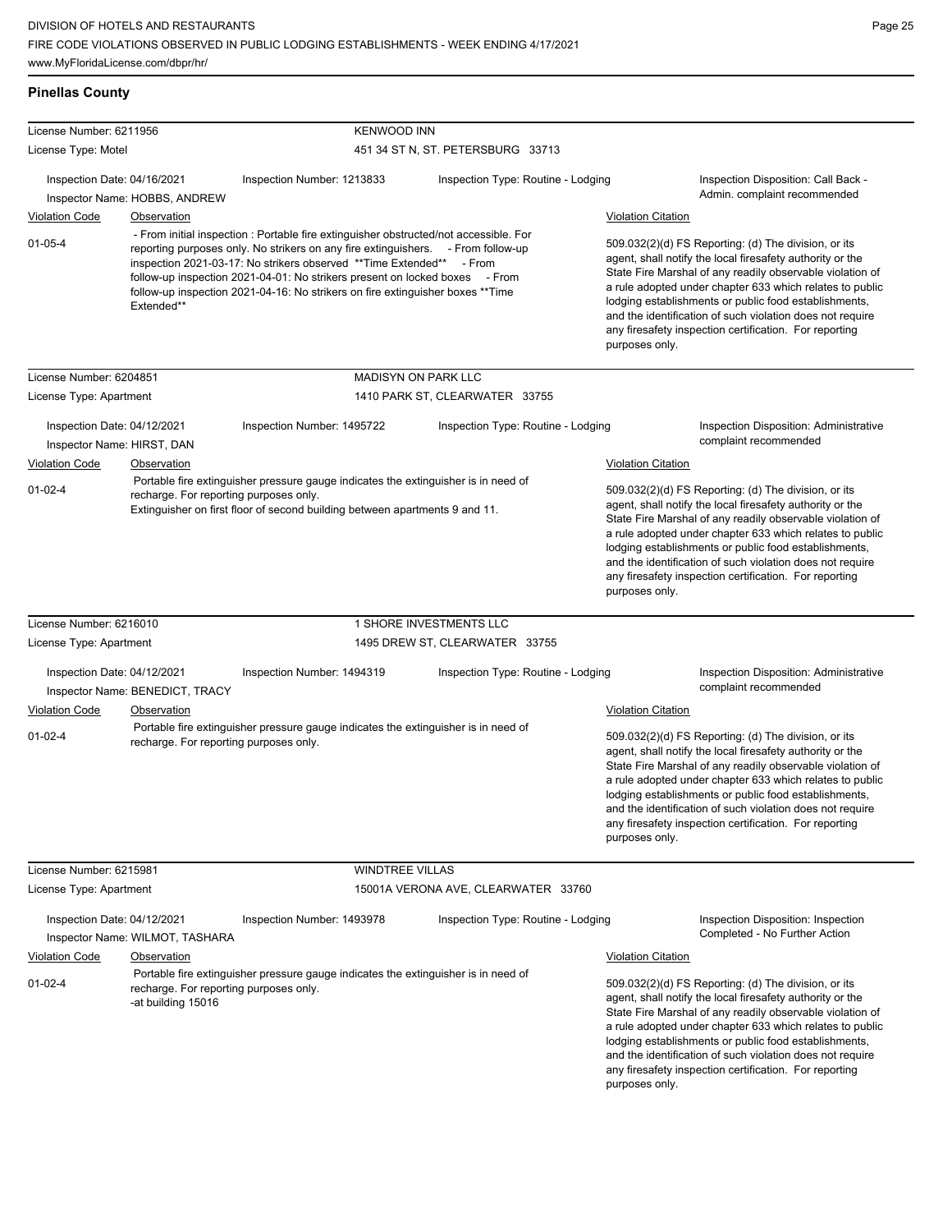## **Pinellas County**

| License Number: 6211956                |                                                              | <b>KENWOOD INN</b>                                                                                                                                                                                                                                                                                                                                                                                                 |                                     |                                                                                                                                                                                                                                                                                                                                                                                                                                                                           |
|----------------------------------------|--------------------------------------------------------------|--------------------------------------------------------------------------------------------------------------------------------------------------------------------------------------------------------------------------------------------------------------------------------------------------------------------------------------------------------------------------------------------------------------------|-------------------------------------|---------------------------------------------------------------------------------------------------------------------------------------------------------------------------------------------------------------------------------------------------------------------------------------------------------------------------------------------------------------------------------------------------------------------------------------------------------------------------|
| License Type: Motel                    |                                                              |                                                                                                                                                                                                                                                                                                                                                                                                                    | 451 34 ST N, ST. PETERSBURG 33713   |                                                                                                                                                                                                                                                                                                                                                                                                                                                                           |
| Inspection Date: 04/16/2021            | Inspector Name: HOBBS, ANDREW                                | Inspection Number: 1213833                                                                                                                                                                                                                                                                                                                                                                                         | Inspection Type: Routine - Lodging  | Inspection Disposition: Call Back -<br>Admin. complaint recommended                                                                                                                                                                                                                                                                                                                                                                                                       |
| <b>Violation Code</b>                  | Observation                                                  |                                                                                                                                                                                                                                                                                                                                                                                                                    |                                     | <b>Violation Citation</b>                                                                                                                                                                                                                                                                                                                                                                                                                                                 |
| $01 - 05 - 4$                          | Extended**                                                   | - From initial inspection : Portable fire extinguisher obstructed/not accessible. For<br>reporting purposes only. No strikers on any fire extinguishers. - From follow-up<br>inspection 2021-03-17: No strikers observed **Time Extended** - From<br>follow-up inspection 2021-04-01: No strikers present on locked boxes - From<br>follow-up inspection 2021-04-16: No strikers on fire extinguisher boxes **Time |                                     | 509.032(2)(d) FS Reporting: (d) The division, or its<br>agent, shall notify the local firesafety authority or the<br>State Fire Marshal of any readily observable violation of<br>a rule adopted under chapter 633 which relates to public<br>lodging establishments or public food establishments,<br>and the identification of such violation does not require<br>any firesafety inspection certification. For reporting<br>purposes only.                              |
| License Number: 6204851                |                                                              |                                                                                                                                                                                                                                                                                                                                                                                                                    | <b>MADISYN ON PARK LLC</b>          |                                                                                                                                                                                                                                                                                                                                                                                                                                                                           |
| License Type: Apartment                |                                                              |                                                                                                                                                                                                                                                                                                                                                                                                                    | 1410 PARK ST, CLEARWATER 33755      |                                                                                                                                                                                                                                                                                                                                                                                                                                                                           |
| Inspection Date: 04/12/2021            |                                                              | Inspection Number: 1495722                                                                                                                                                                                                                                                                                                                                                                                         | Inspection Type: Routine - Lodging  | Inspection Disposition: Administrative<br>complaint recommended                                                                                                                                                                                                                                                                                                                                                                                                           |
| Inspector Name: HIRST, DAN             |                                                              |                                                                                                                                                                                                                                                                                                                                                                                                                    |                                     |                                                                                                                                                                                                                                                                                                                                                                                                                                                                           |
| <b>Violation Code</b><br>$01 - 02 - 4$ | <b>Observation</b><br>recharge. For reporting purposes only. | Portable fire extinguisher pressure gauge indicates the extinguisher is in need of<br>Extinguisher on first floor of second building between apartments 9 and 11.                                                                                                                                                                                                                                                  |                                     | <b>Violation Citation</b><br>509.032(2)(d) FS Reporting: (d) The division, or its<br>agent, shall notify the local firesafety authority or the<br>State Fire Marshal of any readily observable violation of<br>a rule adopted under chapter 633 which relates to public<br>lodging establishments or public food establishments,<br>and the identification of such violation does not require<br>any firesafety inspection certification. For reporting<br>purposes only. |
| License Number: 6216010                |                                                              |                                                                                                                                                                                                                                                                                                                                                                                                                    | 1 SHORE INVESTMENTS LLC             |                                                                                                                                                                                                                                                                                                                                                                                                                                                                           |
| License Type: Apartment                |                                                              |                                                                                                                                                                                                                                                                                                                                                                                                                    | 1495 DREW ST, CLEARWATER 33755      |                                                                                                                                                                                                                                                                                                                                                                                                                                                                           |
| Inspection Date: 04/12/2021            | Inspector Name: BENEDICT, TRACY                              | Inspection Number: 1494319                                                                                                                                                                                                                                                                                                                                                                                         | Inspection Type: Routine - Lodging  | Inspection Disposition: Administrative<br>complaint recommended                                                                                                                                                                                                                                                                                                                                                                                                           |
| <b>Violation Code</b>                  | Observation                                                  |                                                                                                                                                                                                                                                                                                                                                                                                                    |                                     | <b>Violation Citation</b>                                                                                                                                                                                                                                                                                                                                                                                                                                                 |
| $01 - 02 - 4$                          | recharge. For reporting purposes only.                       | Portable fire extinguisher pressure gauge indicates the extinguisher is in need of                                                                                                                                                                                                                                                                                                                                 |                                     | 509.032(2)(d) FS Reporting: (d) The division, or its<br>agent, shall notify the local firesafety authority or the<br>State Fire Marshal of any readily observable violation of<br>a rule adopted under chapter 633 which relates to public<br>lodging establishments or public food establishments,<br>and the identification of such violation does not require<br>any firesafety inspection certification. For reporting<br>purposes only.                              |
| License Number: 6215981                |                                                              | <b>WINDTREE VILLAS</b>                                                                                                                                                                                                                                                                                                                                                                                             |                                     |                                                                                                                                                                                                                                                                                                                                                                                                                                                                           |
| License Type: Apartment                |                                                              |                                                                                                                                                                                                                                                                                                                                                                                                                    | 15001A VERONA AVE, CLEARWATER 33760 |                                                                                                                                                                                                                                                                                                                                                                                                                                                                           |
| Inspection Date: 04/12/2021            | Inspector Name: WILMOT, TASHARA                              | Inspection Number: 1493978                                                                                                                                                                                                                                                                                                                                                                                         | Inspection Type: Routine - Lodging  | Inspection Disposition: Inspection<br>Completed - No Further Action                                                                                                                                                                                                                                                                                                                                                                                                       |
| <b>Violation Code</b>                  | <b>Observation</b>                                           |                                                                                                                                                                                                                                                                                                                                                                                                                    |                                     | <b>Violation Citation</b>                                                                                                                                                                                                                                                                                                                                                                                                                                                 |
| $01 - 02 - 4$                          | recharge. For reporting purposes only.<br>-at building 15016 | Portable fire extinguisher pressure gauge indicates the extinguisher is in need of                                                                                                                                                                                                                                                                                                                                 |                                     | 509.032(2)(d) FS Reporting: (d) The division, or its<br>agent, shall notify the local firesafety authority or the<br>State Fire Marshal of any readily observable violation of<br>a rule adopted under chapter 633 which relates to public<br>lodging establishments or public food establishments,<br>and the identification of such violation does not require<br>any firesafety inspection certification. For reporting<br>purposes only.                              |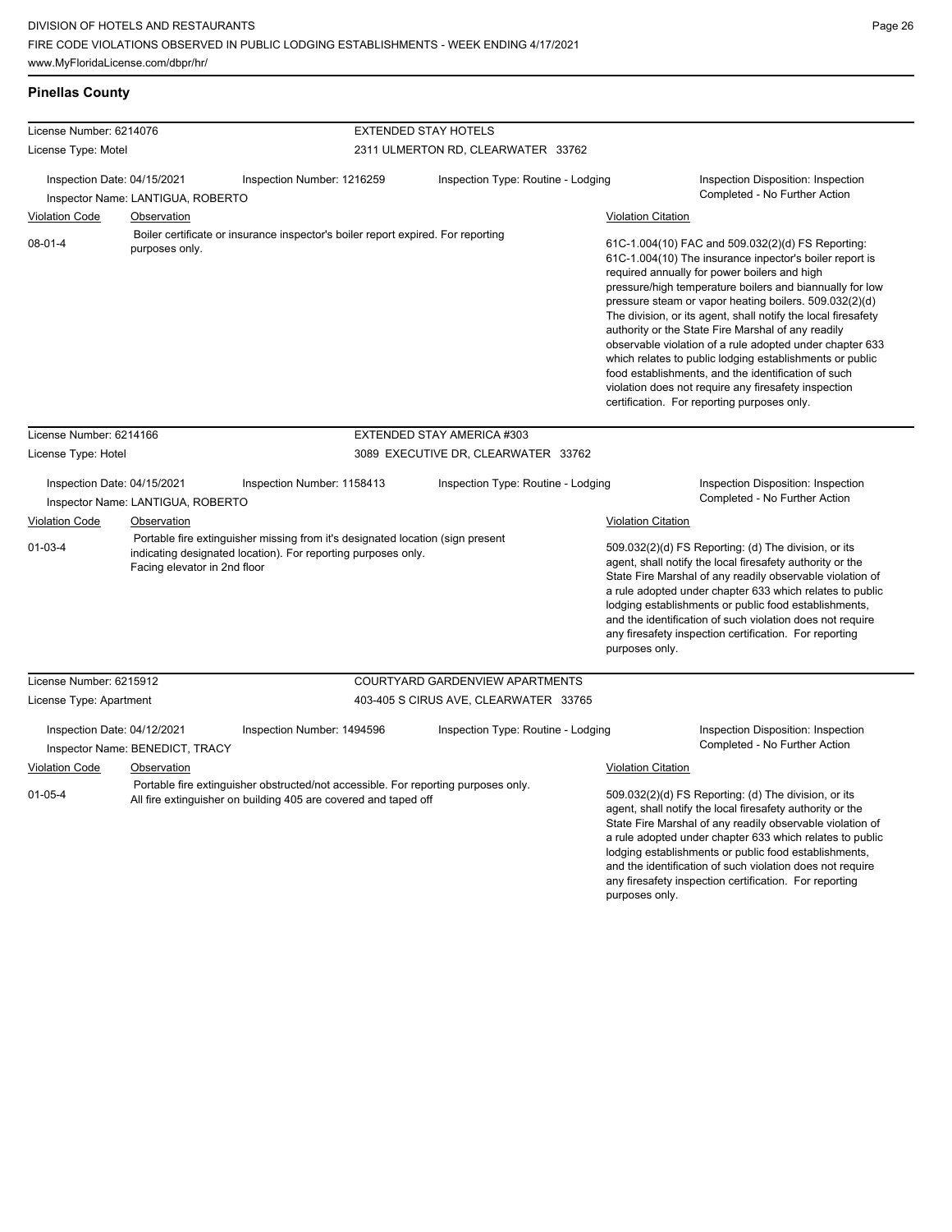**Pinellas County**

and the identification of such violation does not require any firesafety inspection certification. For reporting

| License Number: 6214076                                          |                                                                |                                                                                                                                                       | <b>EXTENDED STAY HOTELS</b>           |                           |                                                                                                                                                                                                                                                                                                                                                                                                                                                                                                                                                                                                                                                                                                 |  |
|------------------------------------------------------------------|----------------------------------------------------------------|-------------------------------------------------------------------------------------------------------------------------------------------------------|---------------------------------------|---------------------------|-------------------------------------------------------------------------------------------------------------------------------------------------------------------------------------------------------------------------------------------------------------------------------------------------------------------------------------------------------------------------------------------------------------------------------------------------------------------------------------------------------------------------------------------------------------------------------------------------------------------------------------------------------------------------------------------------|--|
| License Type: Motel                                              |                                                                |                                                                                                                                                       | 2311 ULMERTON RD, CLEARWATER 33762    |                           |                                                                                                                                                                                                                                                                                                                                                                                                                                                                                                                                                                                                                                                                                                 |  |
|                                                                  |                                                                |                                                                                                                                                       |                                       |                           |                                                                                                                                                                                                                                                                                                                                                                                                                                                                                                                                                                                                                                                                                                 |  |
| Inspection Date: 04/15/2021<br>Inspector Name: LANTIGUA, ROBERTO |                                                                | Inspection Number: 1216259                                                                                                                            | Inspection Type: Routine - Lodging    |                           | Inspection Disposition: Inspection<br>Completed - No Further Action                                                                                                                                                                                                                                                                                                                                                                                                                                                                                                                                                                                                                             |  |
| <b>Violation Code</b>                                            | Observation                                                    |                                                                                                                                                       |                                       | <b>Violation Citation</b> |                                                                                                                                                                                                                                                                                                                                                                                                                                                                                                                                                                                                                                                                                                 |  |
| $08 - 01 - 4$                                                    | purposes only.                                                 | Boiler certificate or insurance inspector's boiler report expired. For reporting                                                                      |                                       |                           | 61C-1.004(10) FAC and 509.032(2)(d) FS Reporting:<br>61C-1.004(10) The insurance inpector's boiler report is<br>required annually for power boilers and high<br>pressure/high temperature boilers and biannually for low<br>pressure steam or vapor heating boilers. 509.032(2)(d)<br>The division, or its agent, shall notify the local firesafety<br>authority or the State Fire Marshal of any readily<br>observable violation of a rule adopted under chapter 633<br>which relates to public lodging establishments or public<br>food establishments, and the identification of such<br>violation does not require any firesafety inspection<br>certification. For reporting purposes only. |  |
| License Number: 6214166                                          |                                                                |                                                                                                                                                       | EXTENDED STAY AMERICA #303            |                           |                                                                                                                                                                                                                                                                                                                                                                                                                                                                                                                                                                                                                                                                                                 |  |
| License Type: Hotel                                              |                                                                |                                                                                                                                                       | 3089 EXECUTIVE DR, CLEARWATER 33762   |                           |                                                                                                                                                                                                                                                                                                                                                                                                                                                                                                                                                                                                                                                                                                 |  |
| Inspection Date: 04/15/2021<br>Inspector Name: LANTIGUA, ROBERTO |                                                                | Inspection Number: 1158413                                                                                                                            | Inspection Type: Routine - Lodging    |                           | Inspection Disposition: Inspection<br>Completed - No Further Action                                                                                                                                                                                                                                                                                                                                                                                                                                                                                                                                                                                                                             |  |
| <b>Violation Code</b>                                            | Observation                                                    |                                                                                                                                                       |                                       | <b>Violation Citation</b> |                                                                                                                                                                                                                                                                                                                                                                                                                                                                                                                                                                                                                                                                                                 |  |
| $01-03-4$                                                        | Facing elevator in 2nd floor                                   | Portable fire extinguisher missing from it's designated location (sign present<br>indicating designated location). For reporting purposes only.       |                                       | purposes only.            | 509.032(2)(d) FS Reporting: (d) The division, or its<br>agent, shall notify the local firesafety authority or the<br>State Fire Marshal of any readily observable violation of<br>a rule adopted under chapter 633 which relates to public<br>lodging establishments or public food establishments,<br>and the identification of such violation does not require<br>any firesafety inspection certification. For reporting                                                                                                                                                                                                                                                                      |  |
| License Number: 6215912                                          |                                                                |                                                                                                                                                       | COURTYARD GARDENVIEW APARTMENTS       |                           |                                                                                                                                                                                                                                                                                                                                                                                                                                                                                                                                                                                                                                                                                                 |  |
| License Type: Apartment                                          |                                                                |                                                                                                                                                       | 403-405 S CIRUS AVE, CLEARWATER 33765 |                           |                                                                                                                                                                                                                                                                                                                                                                                                                                                                                                                                                                                                                                                                                                 |  |
|                                                                  | Inspection Date: 04/12/2021<br>Inspector Name: BENEDICT, TRACY | Inspection Number: 1494596                                                                                                                            | Inspection Type: Routine - Lodging    |                           | Inspection Disposition: Inspection<br>Completed - No Further Action                                                                                                                                                                                                                                                                                                                                                                                                                                                                                                                                                                                                                             |  |
| <b>Violation Code</b>                                            | Observation                                                    |                                                                                                                                                       |                                       | <b>Violation Citation</b> |                                                                                                                                                                                                                                                                                                                                                                                                                                                                                                                                                                                                                                                                                                 |  |
| $01 - 05 - 4$                                                    |                                                                | Portable fire extinguisher obstructed/not accessible. For reporting purposes only.<br>All fire extinguisher on building 405 are covered and taped off |                                       |                           | 509.032(2)(d) FS Reporting: (d) The division, or its<br>agent, shall notify the local firesafety authority or the<br>State Fire Marshal of any readily observable violation of<br>a rule adopted under chapter 633 which relates to public<br>lodging establishments or public food establishments,                                                                                                                                                                                                                                                                                                                                                                                             |  |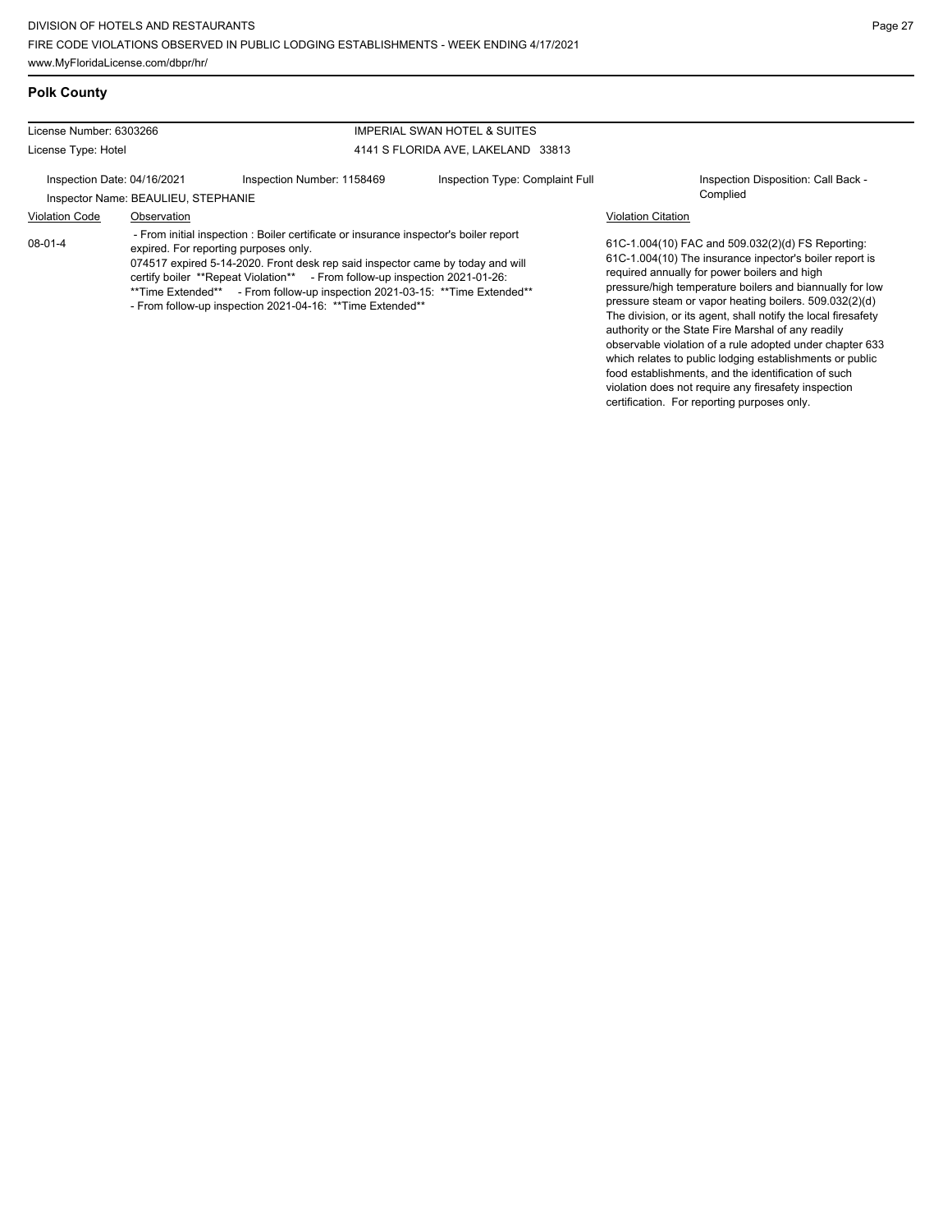food establishments, and the identification of such violation does not require any firesafety inspection certification. For reporting purposes only.

#### **Polk County**

#### License Number: 6303266 License Type: Hotel IMPERIAL SWAN HOTEL & SUITES 4141 S FLORIDA AVE, LAKELAND 33813 Inspection Date: 04/16/2021 Inspection Number: 1158469 Inspection Type: Complaint Full Inspection Disposition: Call Back -Inspector Name: BEAULIEU, STEPHANIE Violation Code Observation Violation Citation 61C-1.004(10) FAC and 509.032(2)(d) FS Reporting: 61C-1.004(10) The insurance inpector's boiler report is required annually for power boilers and high pressure/high temperature boilers and biannually for low pressure steam or vapor heating boilers. 509.032(2)(d) The division, or its agent, shall notify the local firesafety authority or the State Fire Marshal of any readily observable violation of a rule adopted under chapter 633 which relates to public lodging establishments or public 08-01-4 - From initial inspection : Boiler certificate or insurance inspector's boiler report expired. For reporting purposes only. 074517 expired 5-14-2020. Front desk rep said inspector came by today and will certify boiler \*\*Repeat Violation\*\* - From follow-up inspection 2021-01-26: \*\*Time Extended\*\* - From follow-up inspection 2021-03-15: \*\*Time Extended\*\* - From follow-up inspection 2021-04-16: \*\*Time Extended\*\*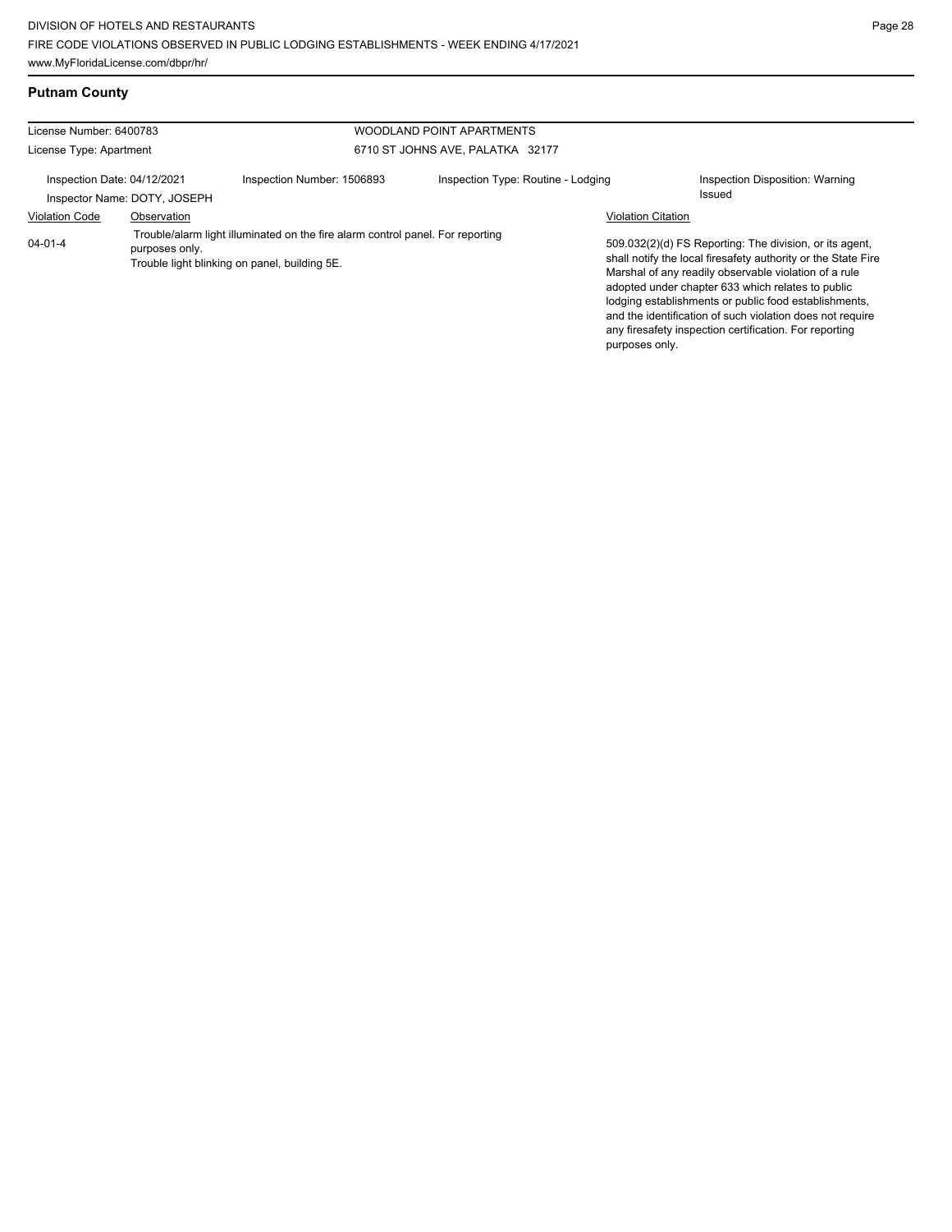| License Number: 6400783<br>WOODLAND POINT APARTMENTS |                              |                                                                                                                                 |                                    |                           |                                                                                                                                                                                                                                                                                                                                                                                                                        |
|------------------------------------------------------|------------------------------|---------------------------------------------------------------------------------------------------------------------------------|------------------------------------|---------------------------|------------------------------------------------------------------------------------------------------------------------------------------------------------------------------------------------------------------------------------------------------------------------------------------------------------------------------------------------------------------------------------------------------------------------|
| License Type: Apartment                              |                              |                                                                                                                                 | 6710 ST JOHNS AVE, PALATKA 32177   |                           |                                                                                                                                                                                                                                                                                                                                                                                                                        |
| Inspection Date: 04/12/2021                          | Inspector Name: DOTY, JOSEPH | Inspection Number: 1506893                                                                                                      | Inspection Type: Routine - Lodging |                           | Inspection Disposition: Warning<br><b>Issued</b>                                                                                                                                                                                                                                                                                                                                                                       |
| <b>Violation Code</b>                                | Observation                  |                                                                                                                                 |                                    | <b>Violation Citation</b> |                                                                                                                                                                                                                                                                                                                                                                                                                        |
| $04 - 01 - 4$                                        | purposes only.               | Trouble/alarm light illuminated on the fire alarm control panel. For reporting<br>Trouble light blinking on panel, building 5E. |                                    | purposes only.            | 509.032(2)(d) FS Reporting: The division, or its agent,<br>shall notify the local firesafety authority or the State Fire<br>Marshal of any readily observable violation of a rule<br>adopted under chapter 633 which relates to public<br>lodging establishments or public food establishments,<br>and the identification of such violation does not require<br>any firesafety inspection certification. For reporting |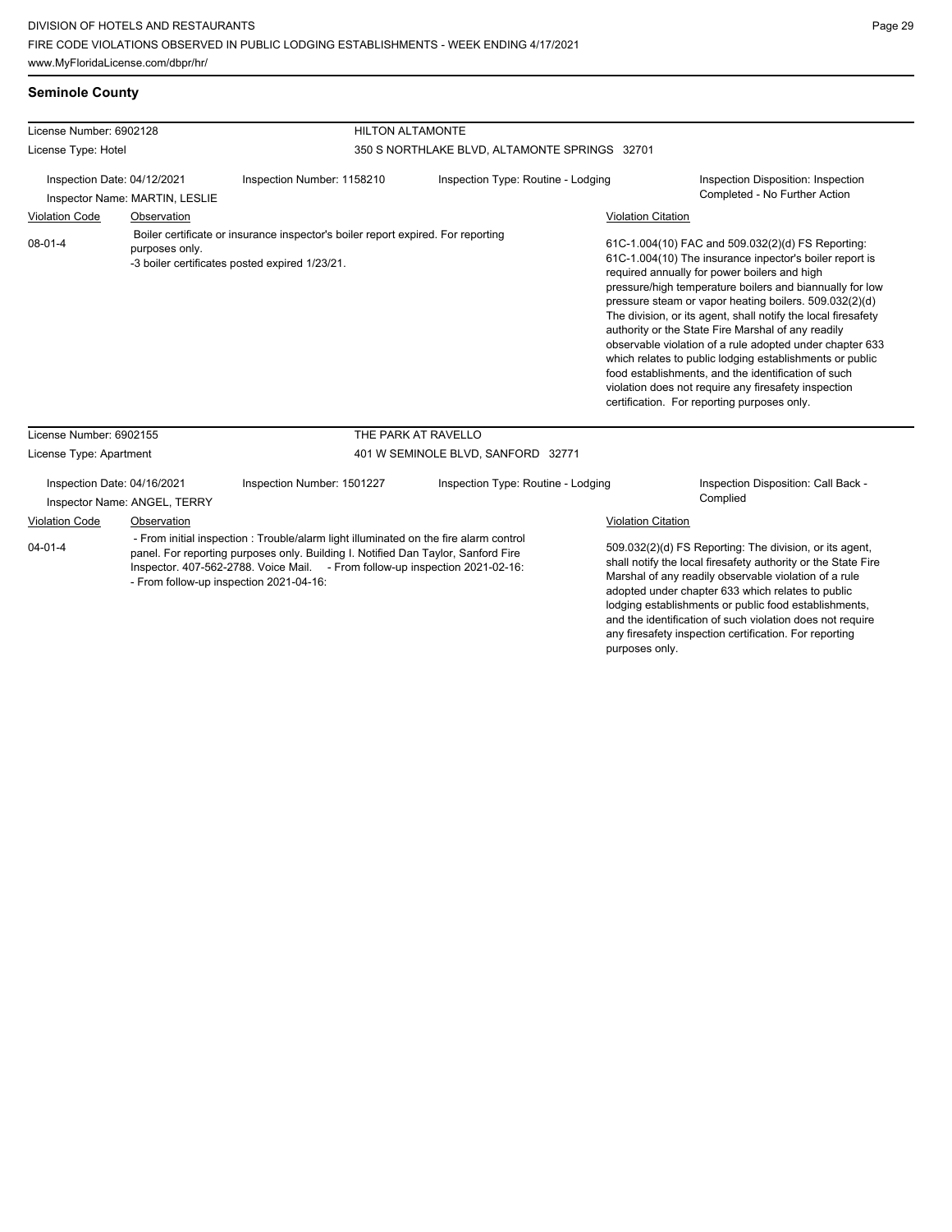## **Seminole County**

| License Number: 6902128                                                     |             |                                                                                  | <b>HILTON ALTAMONTE</b>                       |                           |                                                                                                                                                                                                                                                                                                                                                                                                                                                                                                                                                                                                                                                                                                 |  |
|-----------------------------------------------------------------------------|-------------|----------------------------------------------------------------------------------|-----------------------------------------------|---------------------------|-------------------------------------------------------------------------------------------------------------------------------------------------------------------------------------------------------------------------------------------------------------------------------------------------------------------------------------------------------------------------------------------------------------------------------------------------------------------------------------------------------------------------------------------------------------------------------------------------------------------------------------------------------------------------------------------------|--|
| License Type: Hotel                                                         |             |                                                                                  | 350 S NORTHLAKE BLVD, ALTAMONTE SPRINGS 32701 |                           |                                                                                                                                                                                                                                                                                                                                                                                                                                                                                                                                                                                                                                                                                                 |  |
| Inspection Date: 04/12/2021<br>Inspector Name: MARTIN, LESLIE               |             | Inspection Number: 1158210                                                       | Inspection Type: Routine - Lodging            |                           | Inspection Disposition: Inspection<br>Completed - No Further Action                                                                                                                                                                                                                                                                                                                                                                                                                                                                                                                                                                                                                             |  |
| <b>Violation Code</b>                                                       | Observation |                                                                                  |                                               | <b>Violation Citation</b> |                                                                                                                                                                                                                                                                                                                                                                                                                                                                                                                                                                                                                                                                                                 |  |
| 08-01-4<br>purposes only.<br>-3 boiler certificates posted expired 1/23/21. |             | Boiler certificate or insurance inspector's boiler report expired. For reporting |                                               |                           | 61C-1.004(10) FAC and 509.032(2)(d) FS Reporting:<br>61C-1.004(10) The insurance inpector's boiler report is<br>required annually for power boilers and high<br>pressure/high temperature boilers and biannually for low<br>pressure steam or vapor heating boilers. 509.032(2)(d)<br>The division, or its agent, shall notify the local firesafety<br>authority or the State Fire Marshal of any readily<br>observable violation of a rule adopted under chapter 633<br>which relates to public lodging establishments or public<br>food establishments, and the identification of such<br>violation does not require any firesafety inspection<br>certification. For reporting purposes only. |  |
| License Number: 6902155                                                     |             |                                                                                  | THE PARK AT RAVELLO                           |                           |                                                                                                                                                                                                                                                                                                                                                                                                                                                                                                                                                                                                                                                                                                 |  |
| License Type: Apartment                                                     |             |                                                                                  | 401 W SEMINOLE BLVD, SANFORD 32771            |                           |                                                                                                                                                                                                                                                                                                                                                                                                                                                                                                                                                                                                                                                                                                 |  |

| Inspection Date: 04/16/2021 | Inspector Name: ANGEL, TERRY | Inspection Number: 1501227                                                                                                                                                                                                                                                                            | Inspection Type: Routine - Lodging |                           | Inspection Disposition: Call Back -<br>Complied                                                                                                                                                                                                                                                                                                              |
|-----------------------------|------------------------------|-------------------------------------------------------------------------------------------------------------------------------------------------------------------------------------------------------------------------------------------------------------------------------------------------------|------------------------------------|---------------------------|--------------------------------------------------------------------------------------------------------------------------------------------------------------------------------------------------------------------------------------------------------------------------------------------------------------------------------------------------------------|
| <b>Violation Code</b>       | Observation                  |                                                                                                                                                                                                                                                                                                       |                                    | <b>Violation Citation</b> |                                                                                                                                                                                                                                                                                                                                                              |
| $04 - 01 - 4$               |                              | - From initial inspection : Trouble/alarm light illuminated on the fire alarm control<br>panel. For reporting purposes only. Building I. Notified Dan Taylor, Sanford Fire<br>Inspector. 407-562-2788. Voice Mail. - From follow-up inspection 2021-02-16:<br>- From follow-up inspection 2021-04-16: |                                    |                           | 509.032(2)(d) FS Reporting: The division, or its agent,<br>shall notify the local firesafety authority or the State Fire<br>Marshal of any readily observable violation of a rule<br>adopted under chapter 633 which relates to public<br>lodging establishments or public food establishments,<br>and the identification of such violation does not require |

any firesafety inspection certification. For reporting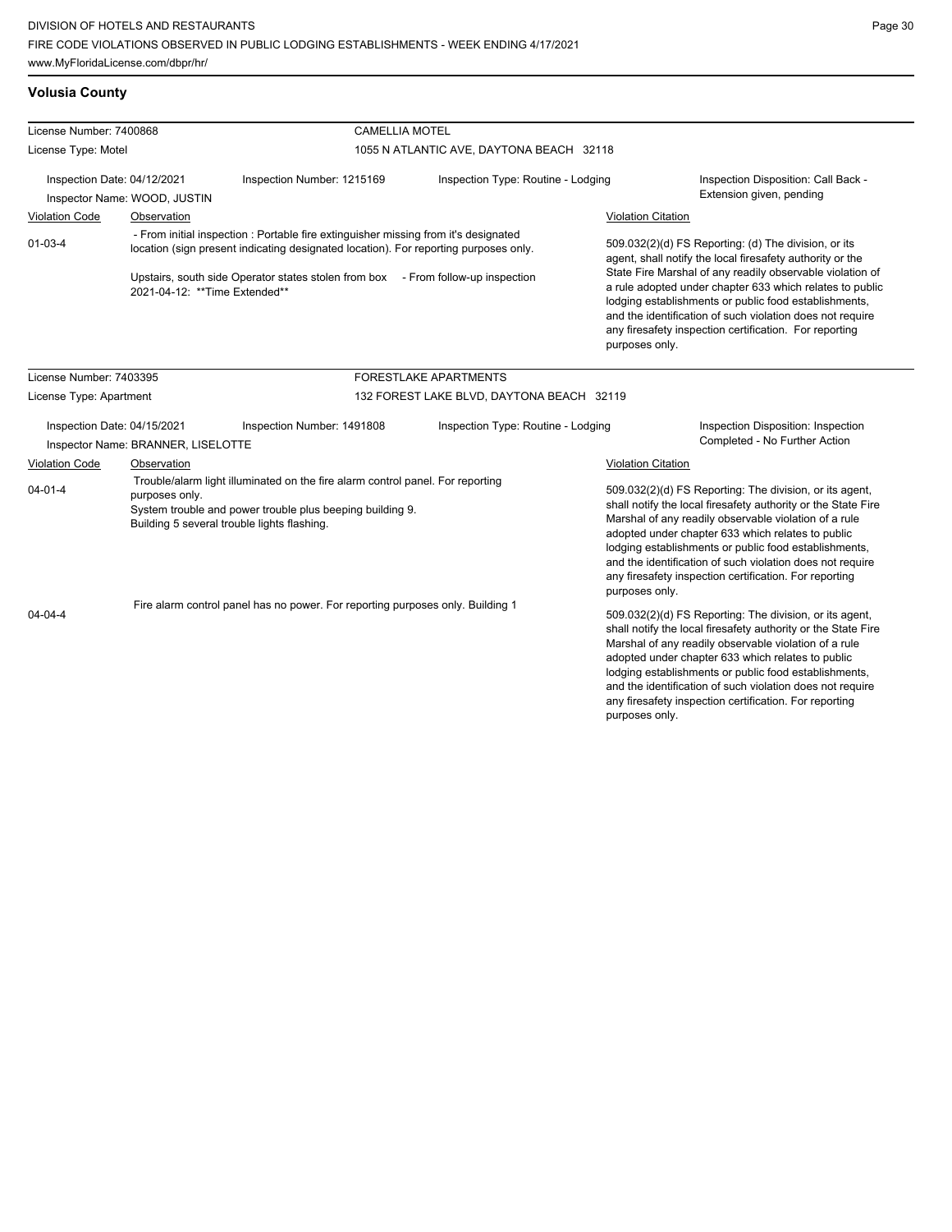## **Volusia County**

| License Number: 7400868                                                                         |                                                                   | <b>CAMELLIA MOTEL</b>                                                                                                                                                                                                                                           |                                                                                                                                                                                                                                                                                                                                                                                                                        |                           |                                                                                                                                                                                                                                                                                                                                                                                                                            |
|-------------------------------------------------------------------------------------------------|-------------------------------------------------------------------|-----------------------------------------------------------------------------------------------------------------------------------------------------------------------------------------------------------------------------------------------------------------|------------------------------------------------------------------------------------------------------------------------------------------------------------------------------------------------------------------------------------------------------------------------------------------------------------------------------------------------------------------------------------------------------------------------|---------------------------|----------------------------------------------------------------------------------------------------------------------------------------------------------------------------------------------------------------------------------------------------------------------------------------------------------------------------------------------------------------------------------------------------------------------------|
| License Type: Motel                                                                             |                                                                   |                                                                                                                                                                                                                                                                 | 1055 N ATLANTIC AVE, DAYTONA BEACH 32118                                                                                                                                                                                                                                                                                                                                                                               |                           |                                                                                                                                                                                                                                                                                                                                                                                                                            |
| Inspection Date: 04/12/2021<br>Inspector Name: WOOD, JUSTIN                                     |                                                                   | Inspection Number: 1215169<br>Inspection Type: Routine - Lodging                                                                                                                                                                                                |                                                                                                                                                                                                                                                                                                                                                                                                                        |                           | Inspection Disposition: Call Back -<br>Extension given, pending                                                                                                                                                                                                                                                                                                                                                            |
| <b>Violation Code</b>                                                                           | Observation                                                       |                                                                                                                                                                                                                                                                 |                                                                                                                                                                                                                                                                                                                                                                                                                        | <b>Violation Citation</b> |                                                                                                                                                                                                                                                                                                                                                                                                                            |
| $01 - 03 - 4$                                                                                   | 2021-04-12: **Time Extended**                                     | - From initial inspection : Portable fire extinguisher missing from it's designated<br>location (sign present indicating designated location). For reporting purposes only.<br>Upstairs, south side Operator states stolen from box - From follow-up inspection |                                                                                                                                                                                                                                                                                                                                                                                                                        | purposes only.            | 509.032(2)(d) FS Reporting: (d) The division, or its<br>agent, shall notify the local firesafety authority or the<br>State Fire Marshal of any readily observable violation of<br>a rule adopted under chapter 633 which relates to public<br>lodging establishments or public food establishments,<br>and the identification of such violation does not require<br>any firesafety inspection certification. For reporting |
| License Number: 7403395                                                                         |                                                                   |                                                                                                                                                                                                                                                                 | FORESTLAKE APARTMENTS                                                                                                                                                                                                                                                                                                                                                                                                  |                           |                                                                                                                                                                                                                                                                                                                                                                                                                            |
| License Type: Apartment                                                                         |                                                                   |                                                                                                                                                                                                                                                                 | 132 FOREST LAKE BLVD, DAYTONA BEACH 32119                                                                                                                                                                                                                                                                                                                                                                              |                           |                                                                                                                                                                                                                                                                                                                                                                                                                            |
|                                                                                                 | Inspection Date: 04/15/2021<br>Inspector Name: BRANNER, LISELOTTE | Inspection Number: 1491808                                                                                                                                                                                                                                      | Inspection Type: Routine - Lodging                                                                                                                                                                                                                                                                                                                                                                                     |                           | Inspection Disposition: Inspection<br>Completed - No Further Action                                                                                                                                                                                                                                                                                                                                                        |
| <b>Violation Code</b>                                                                           | Observation                                                       |                                                                                                                                                                                                                                                                 |                                                                                                                                                                                                                                                                                                                                                                                                                        | <b>Violation Citation</b> |                                                                                                                                                                                                                                                                                                                                                                                                                            |
| $04 - 01 - 4$                                                                                   | purposes only.                                                    | Trouble/alarm light illuminated on the fire alarm control panel. For reporting<br>System trouble and power trouble plus beeping building 9.<br>Building 5 several trouble lights flashing.                                                                      |                                                                                                                                                                                                                                                                                                                                                                                                                        | purposes only.            | 509.032(2)(d) FS Reporting: The division, or its agent,<br>shall notify the local firesafety authority or the State Fire<br>Marshal of any readily observable violation of a rule<br>adopted under chapter 633 which relates to public<br>lodging establishments or public food establishments,<br>and the identification of such violation does not require<br>any firesafety inspection certification. For reporting     |
| Fire alarm control panel has no power. For reporting purposes only. Building 1<br>$04 - 04 - 4$ |                                                                   | purposes only.                                                                                                                                                                                                                                                  | 509.032(2)(d) FS Reporting: The division, or its agent,<br>shall notify the local firesafety authority or the State Fire<br>Marshal of any readily observable violation of a rule<br>adopted under chapter 633 which relates to public<br>lodging establishments or public food establishments,<br>and the identification of such violation does not require<br>any firesafety inspection certification. For reporting |                           |                                                                                                                                                                                                                                                                                                                                                                                                                            |